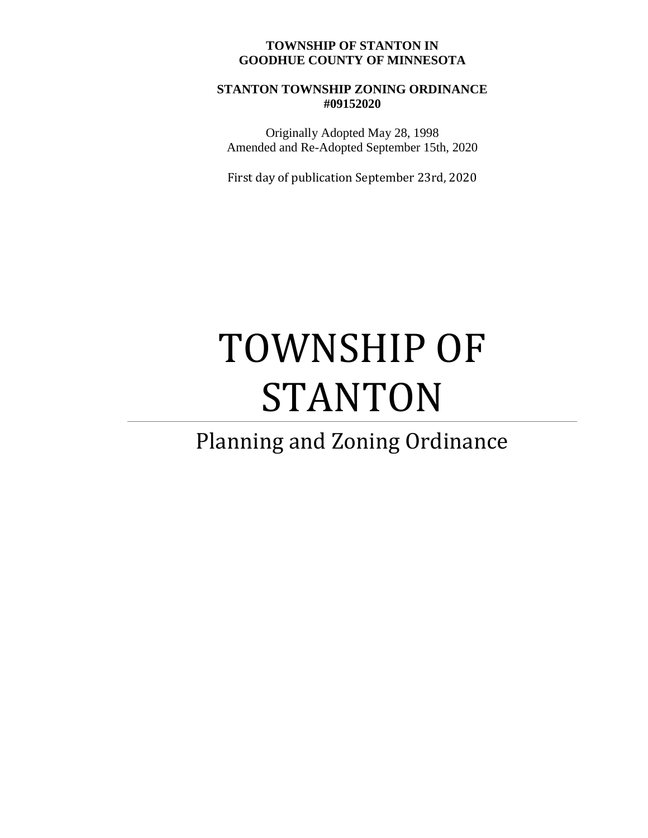#### **TOWNSHIP OF STANTON IN GOODHUE COUNTY OF MINNESOTA**

**STANTON TOWNSHIP ZONING ORDINANCE #09152020**

Originally Adopted May 28, 1998 Amended and Re-Adopted September 15th, 2020

First day of publication September 23rd, 2020

## TOWNSHIP OF STANTON

Planning and Zoning Ordinance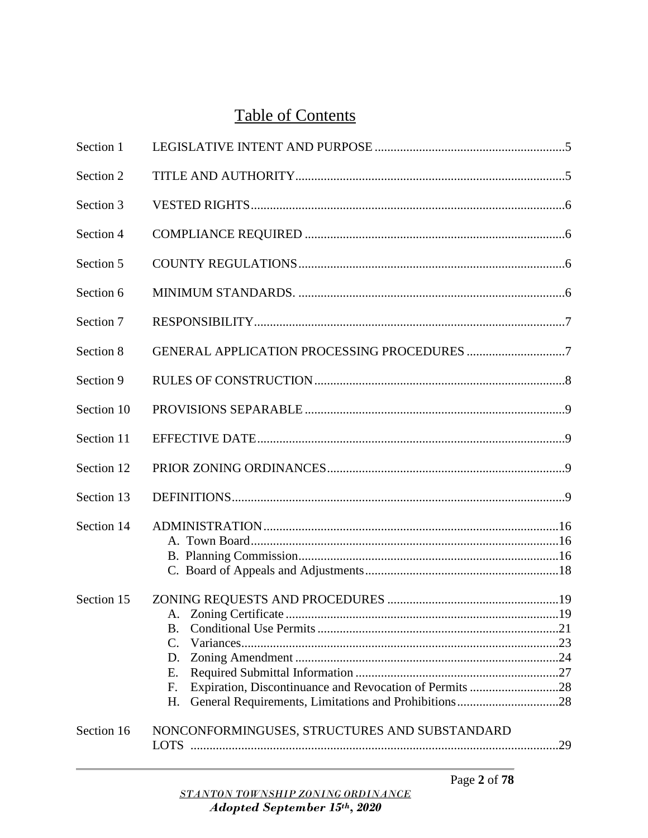### **Table of Contents**

| Section 1  |                                                                                                    |  |  |  |  |
|------------|----------------------------------------------------------------------------------------------------|--|--|--|--|
| Section 2  |                                                                                                    |  |  |  |  |
| Section 3  |                                                                                                    |  |  |  |  |
| Section 4  |                                                                                                    |  |  |  |  |
| Section 5  |                                                                                                    |  |  |  |  |
| Section 6  |                                                                                                    |  |  |  |  |
| Section 7  |                                                                                                    |  |  |  |  |
| Section 8  |                                                                                                    |  |  |  |  |
| Section 9  |                                                                                                    |  |  |  |  |
| Section 10 |                                                                                                    |  |  |  |  |
| Section 11 |                                                                                                    |  |  |  |  |
| Section 12 |                                                                                                    |  |  |  |  |
| Section 13 |                                                                                                    |  |  |  |  |
| Section 14 |                                                                                                    |  |  |  |  |
| Section 15 | <b>B.</b><br>C.<br>D.<br>Е.<br>Expiration, Discontinuance and Revocation of Permits 28<br>F.<br>Η. |  |  |  |  |
| Section 16 | NONCONFORMINGUSES, STRUCTURES AND SUBSTANDARD                                                      |  |  |  |  |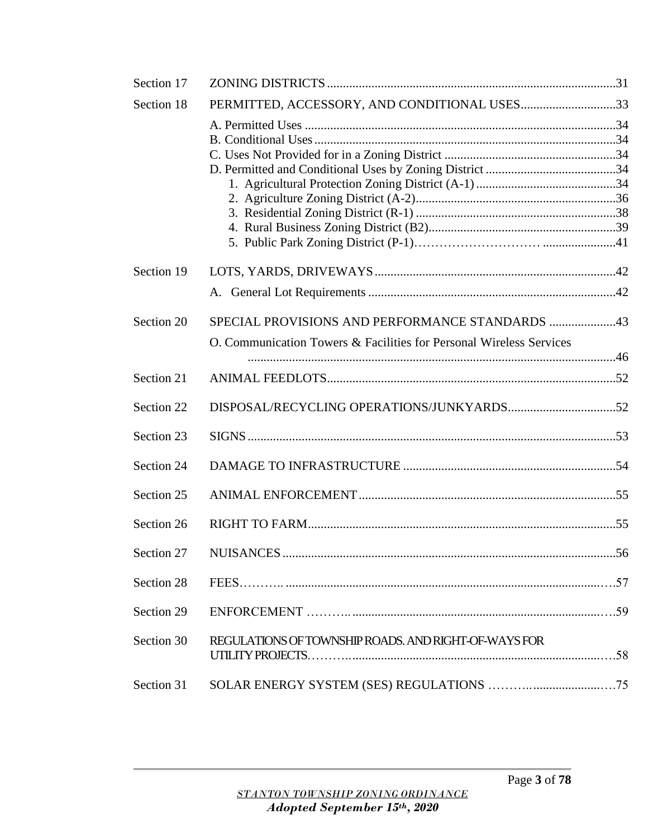| Section 1  | <b>ZONING DISTRICTS</b>                                                                                             |           |
|------------|---------------------------------------------------------------------------------------------------------------------|-----------|
| Section 18 | PERMITTED, ACCESSORY, AND CONDITIONAL USES                                                                          |           |
|            |                                                                                                                     |           |
| Section 19 |                                                                                                                     | .42       |
|            |                                                                                                                     |           |
| Section 20 | SPECIAL PROVISIONS AND PERFORMANCE STANDARDS<br>O. Communication Towers & Facilities for Personal Wireless Services | .43       |
| Section 21 | <b>ANIMAL FEEDLOTS</b>                                                                                              | .46<br>52 |
| Section 22 | DISPOSAL/RECYCLING OPERATIONS/JUNKYARDS.                                                                            | .52       |
| Section 23 |                                                                                                                     | .53       |
| Section 24 | DAMAGE TO INFRASTRUCTURE.                                                                                           | 54        |
| Section 25 | <b>ANIMAL ENFORCEMENT</b>                                                                                           | .55       |
| Section 26 | RIGHT TO FARM.                                                                                                      | .55       |
| Section 27 | <b>NUISANCES</b>                                                                                                    |           |
| Section 28 |                                                                                                                     |           |
| Section 29 |                                                                                                                     | .59       |
| Section 30 | REGULATIONS OF TOWNSHIP ROADS. AND RIGHT-OF-WAYS FOR                                                                |           |
| Section 31 |                                                                                                                     |           |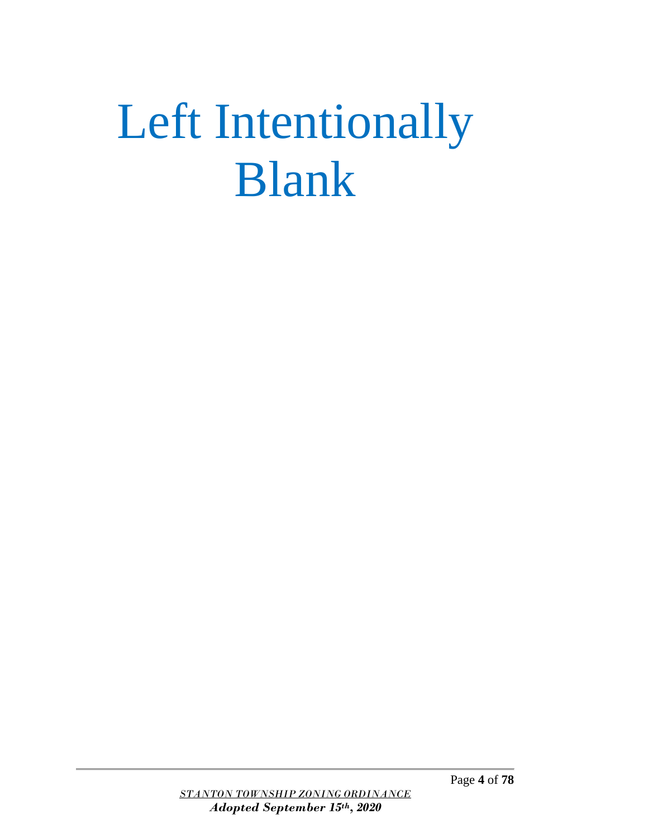# Left Intentionally Blank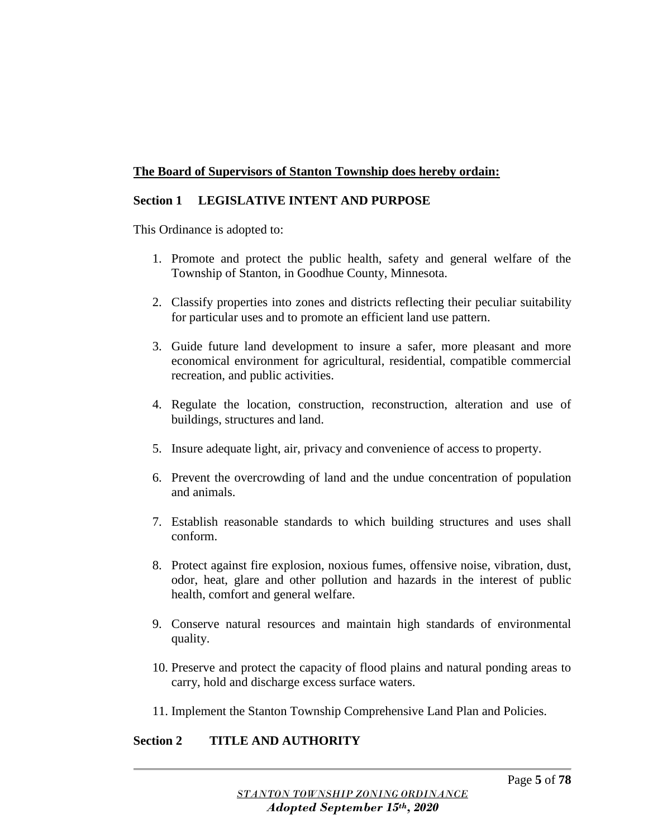#### **The Board of Supervisors of Stanton Township does hereby ordain:**

#### **Section 1 LEGISLATIVE INTENT AND PURPOSE**

This Ordinance is adopted to:

- 1. Promote and protect the public health, safety and general welfare of the Township of Stanton, in Goodhue County, Minnesota.
- 2. Classify properties into zones and districts reflecting their peculiar suitability for particular uses and to promote an efficient land use pattern.
- 3. Guide future land development to insure a safer, more pleasant and more economical environment for agricultural, residential, compatible commercial recreation, and public activities.
- 4. Regulate the location, construction, reconstruction, alteration and use of buildings, structures and land.
- 5. Insure adequate light, air, privacy and convenience of access to property.
- 6. Prevent the overcrowding of land and the undue concentration of population and animals.
- 7. Establish reasonable standards to which building structures and uses shall conform.
- 8. Protect against fire explosion, noxious fumes, offensive noise, vibration, dust, odor, heat, glare and other pollution and hazards in the interest of public health, comfort and general welfare.
- 9. Conserve natural resources and maintain high standards of environmental quality.
- 10. Preserve and protect the capacity of flood plains and natural ponding areas to carry, hold and discharge excess surface waters.
- 11. Implement the Stanton Township Comprehensive Land Plan and Policies.

#### **Section 2 TITLE AND AUTHORITY**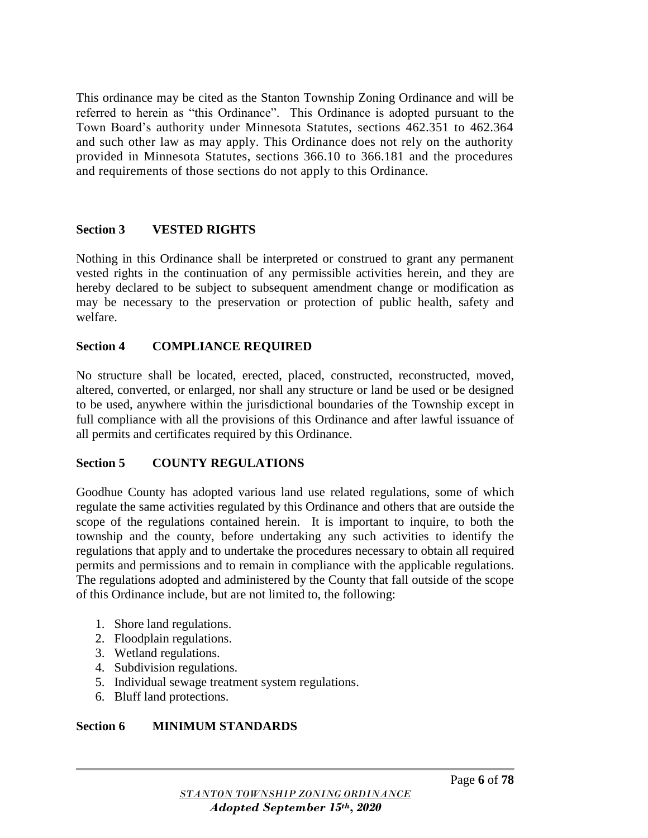This ordinance may be cited as the Stanton Township Zoning Ordinance and will be referred to herein as "this Ordinance". This Ordinance is adopted pursuant to the Town Board's authority under Minnesota Statutes, sections 462.351 to 462.364 and such other law as may apply. This Ordinance does not rely on the authority provided in Minnesota Statutes, sections 366.10 to 366.181 and the procedures and requirements of those sections do not apply to this Ordinance.

#### **Section 3 VESTED RIGHTS**

Nothing in this Ordinance shall be interpreted or construed to grant any permanent vested rights in the continuation of any permissible activities herein, and they are hereby declared to be subject to subsequent amendment change or modification as may be necessary to the preservation or protection of public health, safety and welfare.

#### **Section 4 COMPLIANCE REQUIRED**

No structure shall be located, erected, placed, constructed, reconstructed, moved, altered, converted, or enlarged, nor shall any structure or land be used or be designed to be used, anywhere within the jurisdictional boundaries of the Township except in full compliance with all the provisions of this Ordinance and after lawful issuance of all permits and certificates required by this Ordinance.

#### **Section 5 COUNTY REGULATIONS**

Goodhue County has adopted various land use related regulations, some of which regulate the same activities regulated by this Ordinance and others that are outside the scope of the regulations contained herein. It is important to inquire, to both the township and the county, before undertaking any such activities to identify the regulations that apply and to undertake the procedures necessary to obtain all required permits and permissions and to remain in compliance with the applicable regulations. The regulations adopted and administered by the County that fall outside of the scope of this Ordinance include, but are not limited to, the following:

- 1. Shore land regulations.
- 2. Floodplain regulations.
- 3. Wetland regulations.
- 4. Subdivision regulations.
- 5. Individual sewage treatment system regulations.
- 6. Bluff land protections.

#### **Section 6 MINIMUM STANDARDS**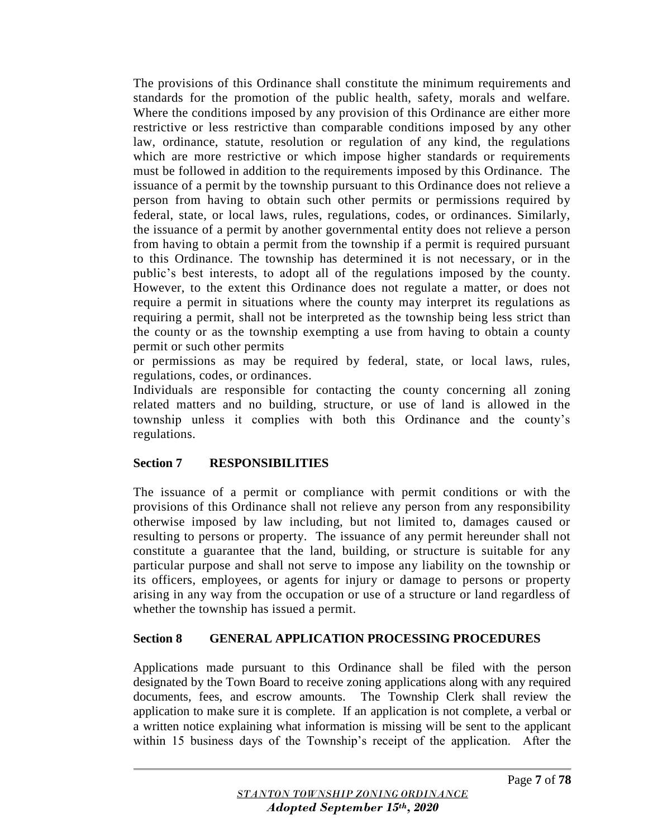The provisions of this Ordinance shall constitute the minimum requirements and standards for the promotion of the public health, safety, morals and welfare. Where the conditions imposed by any provision of this Ordinance are either more restrictive or less restrictive than comparable conditions imposed by any other law, ordinance, statute, resolution or regulation of any kind, the regulations which are more restrictive or which impose higher standards or requirements must be followed in addition to the requirements imposed by this Ordinance. The issuance of a permit by the township pursuant to this Ordinance does not relieve a person from having to obtain such other permits or permissions required by federal, state, or local laws, rules, regulations, codes, or ordinances. Similarly, the issuance of a permit by another governmental entity does not relieve a person from having to obtain a permit from the township if a permit is required pursuant to this Ordinance. The township has determined it is not necessary, or in the public's best interests, to adopt all of the regulations imposed by the county. However, to the extent this Ordinance does not regulate a matter, or does not require a permit in situations where the county may interpret its regulations as requiring a permit, shall not be interpreted as the township being less strict than the county or as the township exempting a use from having to obtain a county permit or such other permits

or permissions as may be required by federal, state, or local laws, rules, regulations, codes, or ordinances.

Individuals are responsible for contacting the county concerning all zoning related matters and no building, structure, or use of land is allowed in the township unless it complies with both this Ordinance and the county's regulations.

#### **Section 7 RESPONSIBILITIES**

The issuance of a permit or compliance with permit conditions or with the provisions of this Ordinance shall not relieve any person from any responsibility otherwise imposed by law including, but not limited to, damages caused or resulting to persons or property. The issuance of any permit hereunder shall not constitute a guarantee that the land, building, or structure is suitable for any particular purpose and shall not serve to impose any liability on the township or its officers, employees, or agents for injury or damage to persons or property arising in any way from the occupation or use of a structure or land regardless of whether the township has issued a permit.

#### **Section 8 GENERAL APPLICATION PROCESSING PROCEDURES**

Applications made pursuant to this Ordinance shall be filed with the person designated by the Town Board to receive zoning applications along with any required documents, fees, and escrow amounts. The Township Clerk shall review the application to make sure it is complete. If an application is not complete, a verbal or a written notice explaining what information is missing will be sent to the applicant within 15 business days of the Township's receipt of the application. After the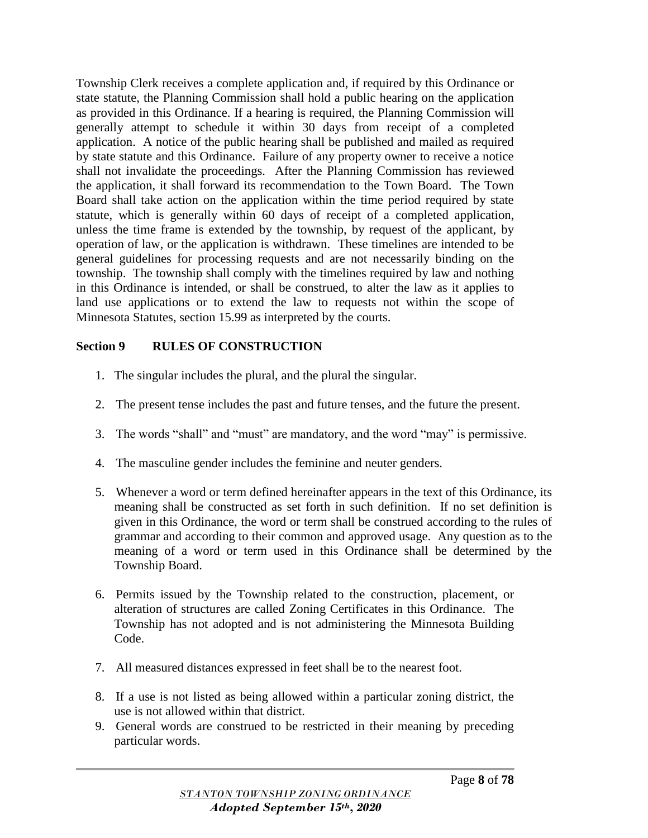Township Clerk receives a complete application and, if required by this Ordinance or state statute, the Planning Commission shall hold a public hearing on the application as provided in this Ordinance. If a hearing is required, the Planning Commission will generally attempt to schedule it within 30 days from receipt of a completed application. A notice of the public hearing shall be published and mailed as required by state statute and this Ordinance. Failure of any property owner to receive a notice shall not invalidate the proceedings. After the Planning Commission has reviewed the application, it shall forward its recommendation to the Town Board. The Town Board shall take action on the application within the time period required by state statute, which is generally within 60 days of receipt of a completed application, unless the time frame is extended by the township, by request of the applicant, by operation of law, or the application is withdrawn. These timelines are intended to be general guidelines for processing requests and are not necessarily binding on the township. The township shall comply with the timelines required by law and nothing in this Ordinance is intended, or shall be construed, to alter the law as it applies to land use applications or to extend the law to requests not within the scope of Minnesota Statutes, section 15.99 as interpreted by the courts.

#### **Section 9 RULES OF CONSTRUCTION**

- 1. The singular includes the plural, and the plural the singular.
- 2. The present tense includes the past and future tenses, and the future the present.
- 3. The words "shall" and "must" are mandatory, and the word "may" is permissive.
- 4. The masculine gender includes the feminine and neuter genders.
- 5. Whenever a word or term defined hereinafter appears in the text of this Ordinance, its meaning shall be constructed as set forth in such definition. If no set definition is given in this Ordinance, the word or term shall be construed according to the rules of grammar and according to their common and approved usage. Any question as to the meaning of a word or term used in this Ordinance shall be determined by the Township Board.
- 6. Permits issued by the Township related to the construction, placement, or alteration of structures are called Zoning Certificates in this Ordinance. The Township has not adopted and is not administering the Minnesota Building Code.
- 7. All measured distances expressed in feet shall be to the nearest foot.
- 8. If a use is not listed as being allowed within a particular zoning district, the use is not allowed within that district.
- 9. General words are construed to be restricted in their meaning by preceding particular words.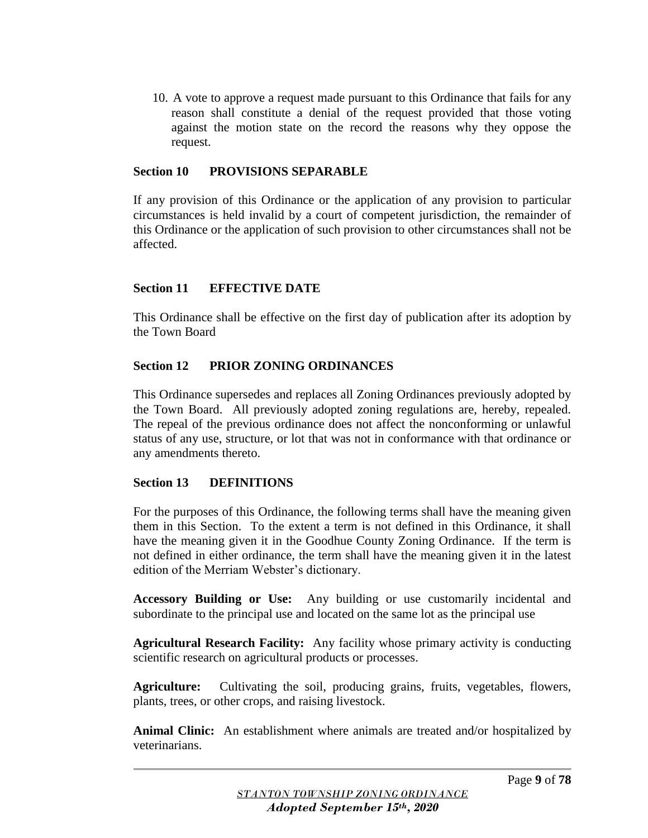10. A vote to approve a request made pursuant to this Ordinance that fails for any reason shall constitute a denial of the request provided that those voting against the motion state on the record the reasons why they oppose the request.

#### **Section 10 PROVISIONS SEPARABLE**

If any provision of this Ordinance or the application of any provision to particular circumstances is held invalid by a court of competent jurisdiction, the remainder of this Ordinance or the application of such provision to other circumstances shall not be affected.

#### **Section 11 EFFECTIVE DATE**

This Ordinance shall be effective on the first day of publication after its adoption by the Town Board

#### **Section 12 PRIOR ZONING ORDINANCES**

This Ordinance supersedes and replaces all Zoning Ordinances previously adopted by the Town Board. All previously adopted zoning regulations are, hereby, repealed. The repeal of the previous ordinance does not affect the nonconforming or unlawful status of any use, structure, or lot that was not in conformance with that ordinance or any amendments thereto.

#### **Section 13 DEFINITIONS**

For the purposes of this Ordinance, the following terms shall have the meaning given them in this Section. To the extent a term is not defined in this Ordinance, it shall have the meaning given it in the Goodhue County Zoning Ordinance. If the term is not defined in either ordinance, the term shall have the meaning given it in the latest edition of the Merriam Webster's dictionary.

**Accessory Building or Use:** Any building or use customarily incidental and subordinate to the principal use and located on the same lot as the principal use

**Agricultural Research Facility:** Any facility whose primary activity is conducting scientific research on agricultural products or processes.

**Agriculture:** Cultivating the soil, producing grains, fruits, vegetables, flowers, plants, trees, or other crops, and raising livestock.

**Animal Clinic:** An establishment where animals are treated and/or hospitalized by veterinarians.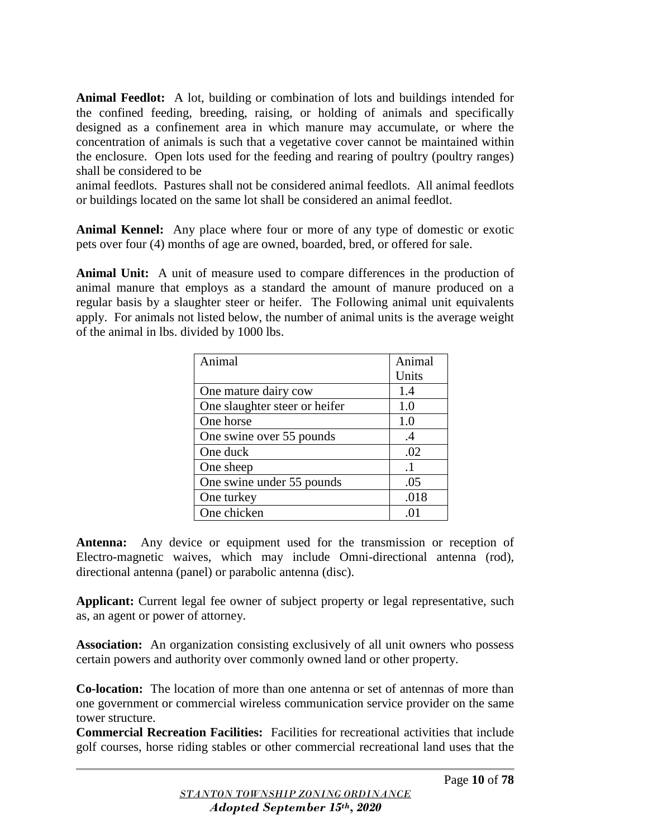**Animal Feedlot:** A lot, building or combination of lots and buildings intended for the confined feeding, breeding, raising, or holding of animals and specifically designed as a confinement area in which manure may accumulate, or where the concentration of animals is such that a vegetative cover cannot be maintained within the enclosure. Open lots used for the feeding and rearing of poultry (poultry ranges) shall be considered to be

animal feedlots. Pastures shall not be considered animal feedlots. All animal feedlots or buildings located on the same lot shall be considered an animal feedlot.

**Animal Kennel:** Any place where four or more of any type of domestic or exotic pets over four (4) months of age are owned, boarded, bred, or offered for sale.

**Animal Unit:** A unit of measure used to compare differences in the production of animal manure that employs as a standard the amount of manure produced on a regular basis by a slaughter steer or heifer. The Following animal unit equivalents apply. For animals not listed below, the number of animal units is the average weight of the animal in lbs. divided by 1000 lbs.

| Animal                        | Animal    |
|-------------------------------|-----------|
|                               | Units     |
| One mature dairy cow          | 1.4       |
| One slaughter steer or heifer | 1.0       |
| One horse                     | 1.0       |
| One swine over 55 pounds      | .4        |
| One duck                      | .02       |
| One sheep                     | $\cdot$ 1 |
| One swine under 55 pounds     | .05       |
| One turkey                    | .018      |
| One chicken                   |           |

**Antenna:** Any device or equipment used for the transmission or reception of Electro-magnetic waives, which may include Omni-directional antenna (rod), directional antenna (panel) or parabolic antenna (disc).

**Applicant:** Current legal fee owner of subject property or legal representative, such as, an agent or power of attorney.

**Association:** An organization consisting exclusively of all unit owners who possess certain powers and authority over commonly owned land or other property.

**Co-location:** The location of more than one antenna or set of antennas of more than one government or commercial wireless communication service provider on the same tower structure.

**Commercial Recreation Facilities:** Facilities for recreational activities that include golf courses, horse riding stables or other commercial recreational land uses that the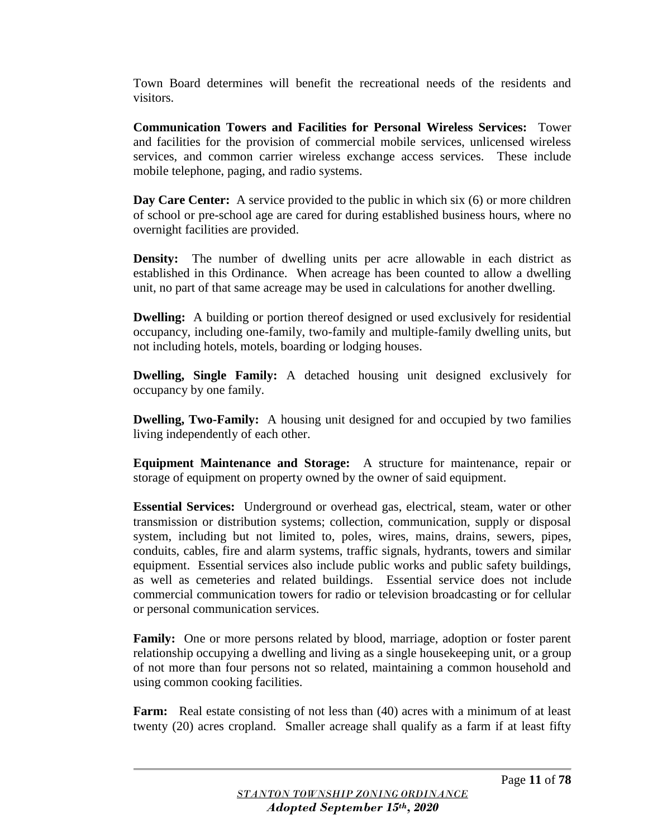Town Board determines will benefit the recreational needs of the residents and visitors.

**Communication Towers and Facilities for Personal Wireless Services:** Tower and facilities for the provision of commercial mobile services, unlicensed wireless services, and common carrier wireless exchange access services. These include mobile telephone, paging, and radio systems.

**Day Care Center:** A service provided to the public in which six (6) or more children of school or pre-school age are cared for during established business hours, where no overnight facilities are provided.

**Density:** The number of dwelling units per acre allowable in each district as established in this Ordinance. When acreage has been counted to allow a dwelling unit, no part of that same acreage may be used in calculations for another dwelling.

**Dwelling:** A building or portion thereof designed or used exclusively for residential occupancy, including one-family, two-family and multiple-family dwelling units, but not including hotels, motels, boarding or lodging houses.

**Dwelling, Single Family:** A detached housing unit designed exclusively for occupancy by one family.

**Dwelling, Two-Family:** A housing unit designed for and occupied by two families living independently of each other.

**Equipment Maintenance and Storage:** A structure for maintenance, repair or storage of equipment on property owned by the owner of said equipment.

**Essential Services:** Underground or overhead gas, electrical, steam, water or other transmission or distribution systems; collection, communication, supply or disposal system, including but not limited to, poles, wires, mains, drains, sewers, pipes, conduits, cables, fire and alarm systems, traffic signals, hydrants, towers and similar equipment. Essential services also include public works and public safety buildings, as well as cemeteries and related buildings. Essential service does not include commercial communication towers for radio or television broadcasting or for cellular or personal communication services.

**Family:** One or more persons related by blood, marriage, adoption or foster parent relationship occupying a dwelling and living as a single housekeeping unit, or a group of not more than four persons not so related, maintaining a common household and using common cooking facilities.

**Farm:** Real estate consisting of not less than (40) acres with a minimum of at least twenty (20) acres cropland. Smaller acreage shall qualify as a farm if at least fifty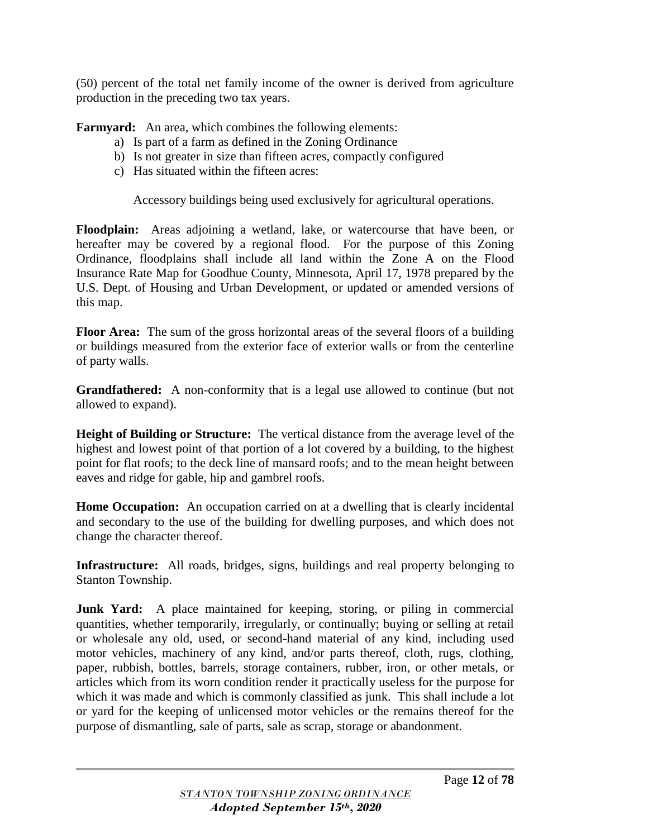(50) percent of the total net family income of the owner is derived from agriculture production in the preceding two tax years.

**Farmyard:** An area, which combines the following elements:

- a) Is part of a farm as defined in the Zoning Ordinance
- b) Is not greater in size than fifteen acres, compactly configured
- c) Has situated within the fifteen acres:

Accessory buildings being used exclusively for agricultural operations.

**Floodplain:** Areas adjoining a wetland, lake, or watercourse that have been, or hereafter may be covered by a regional flood. For the purpose of this Zoning Ordinance, floodplains shall include all land within the Zone A on the Flood Insurance Rate Map for Goodhue County, Minnesota, April 17, 1978 prepared by the U.S. Dept. of Housing and Urban Development, or updated or amended versions of this map.

**Floor Area:** The sum of the gross horizontal areas of the several floors of a building or buildings measured from the exterior face of exterior walls or from the centerline of party walls.

**Grandfathered:** A non-conformity that is a legal use allowed to continue (but not allowed to expand).

**Height of Building or Structure:** The vertical distance from the average level of the highest and lowest point of that portion of a lot covered by a building, to the highest point for flat roofs; to the deck line of mansard roofs; and to the mean height between eaves and ridge for gable, hip and gambrel roofs.

**Home Occupation:** An occupation carried on at a dwelling that is clearly incidental and secondary to the use of the building for dwelling purposes, and which does not change the character thereof.

**Infrastructure:** All roads, bridges, signs, buildings and real property belonging to Stanton Township.

**Junk Yard:** A place maintained for keeping, storing, or piling in commercial quantities, whether temporarily, irregularly, or continually; buying or selling at retail or wholesale any old, used, or second-hand material of any kind, including used motor vehicles, machinery of any kind, and/or parts thereof, cloth, rugs, clothing, paper, rubbish, bottles, barrels, storage containers, rubber, iron, or other metals, or articles which from its worn condition render it practically useless for the purpose for which it was made and which is commonly classified as junk. This shall include a lot or yard for the keeping of unlicensed motor vehicles or the remains thereof for the purpose of dismantling, sale of parts, sale as scrap, storage or abandonment.

Page **12** of **78**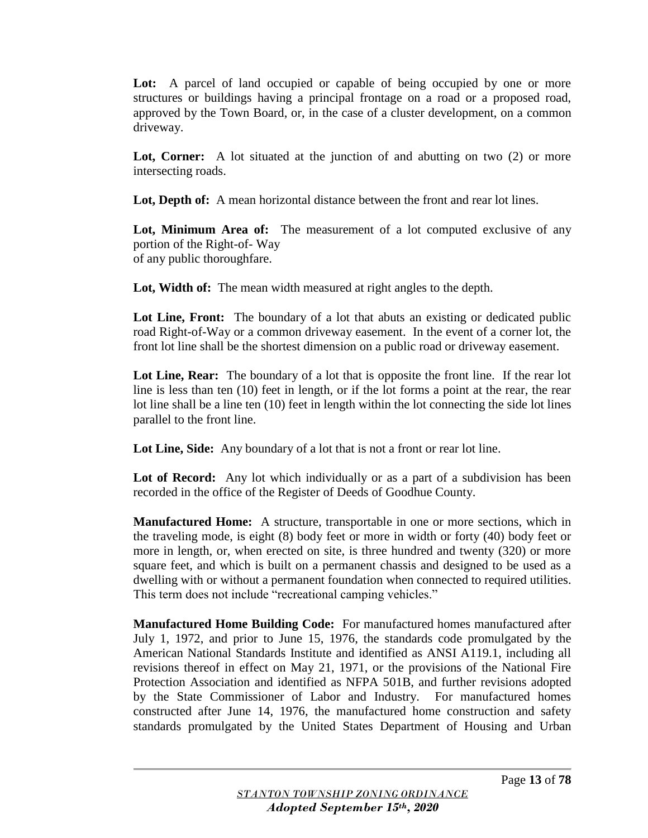Lot: A parcel of land occupied or capable of being occupied by one or more structures or buildings having a principal frontage on a road or a proposed road, approved by the Town Board, or, in the case of a cluster development, on a common driveway.

Lot, Corner: A lot situated at the junction of and abutting on two (2) or more intersecting roads.

Lot, Depth of: A mean horizontal distance between the front and rear lot lines.

**Lot, Minimum Area of:** The measurement of a lot computed exclusive of any portion of the Right-of- Way of any public thoroughfare.

**Lot, Width of:** The mean width measured at right angles to the depth.

Lot Line, Front: The boundary of a lot that abuts an existing or dedicated public road Right-of-Way or a common driveway easement. In the event of a corner lot, the front lot line shall be the shortest dimension on a public road or driveway easement.

Lot Line, **Rear:** The boundary of a lot that is opposite the front line. If the rear lot line is less than ten (10) feet in length, or if the lot forms a point at the rear, the rear lot line shall be a line ten (10) feet in length within the lot connecting the side lot lines parallel to the front line.

Lot Line, Side: Any boundary of a lot that is not a front or rear lot line.

Lot of Record: Any lot which individually or as a part of a subdivision has been recorded in the office of the Register of Deeds of Goodhue County.

**Manufactured Home:** A structure, transportable in one or more sections, which in the traveling mode, is eight (8) body feet or more in width or forty (40) body feet or more in length, or, when erected on site, is three hundred and twenty (320) or more square feet, and which is built on a permanent chassis and designed to be used as a dwelling with or without a permanent foundation when connected to required utilities. This term does not include "recreational camping vehicles."

**Manufactured Home Building Code:** For manufactured homes manufactured after July 1, 1972, and prior to June 15, 1976, the standards code promulgated by the American National Standards Institute and identified as ANSI A119.1, including all revisions thereof in effect on May 21, 1971, or the provisions of the National Fire Protection Association and identified as NFPA 501B, and further revisions adopted by the State Commissioner of Labor and Industry. For manufactured homes constructed after June 14, 1976, the manufactured home construction and safety standards promulgated by the United States Department of Housing and Urban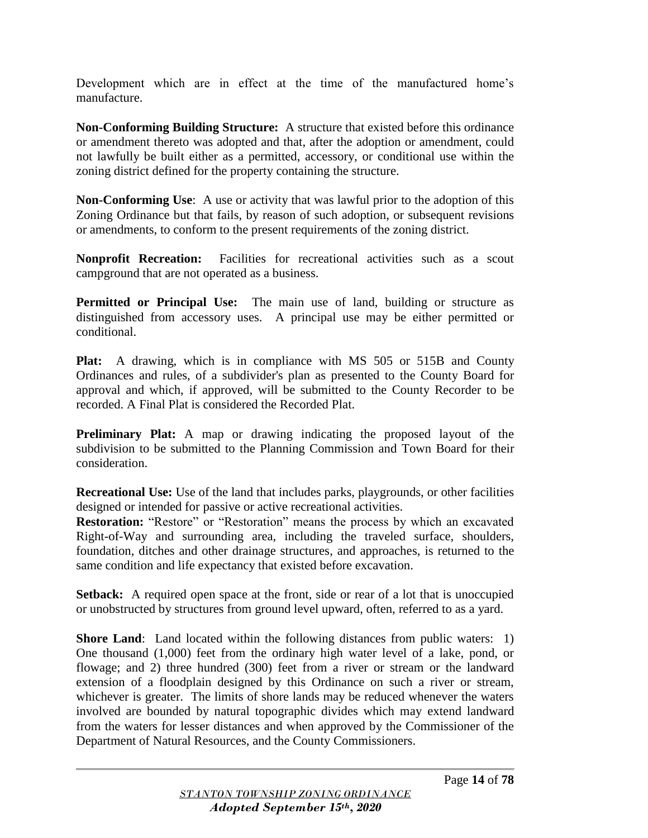Development which are in effect at the time of the manufactured home's manufacture.

**Non-Conforming Building Structure:** A structure that existed before this ordinance or amendment thereto was adopted and that, after the adoption or amendment, could not lawfully be built either as a permitted, accessory, or conditional use within the zoning district defined for the property containing the structure.

**Non-Conforming Use**: A use or activity that was lawful prior to the adoption of this Zoning Ordinance but that fails, by reason of such adoption, or subsequent revisions or amendments, to conform to the present requirements of the zoning district.

**Nonprofit Recreation:** Facilities for recreational activities such as a scout campground that are not operated as a business.

**Permitted or Principal Use:** The main use of land, building or structure as distinguished from accessory uses. A principal use may be either permitted or conditional.

**Plat:** A drawing, which is in compliance with MS 505 or 515B and County Ordinances and rules, of a subdivider's plan as presented to the County Board for approval and which, if approved, will be submitted to the County Recorder to be recorded. A Final Plat is considered the Recorded Plat.

**Preliminary Plat:** A map or drawing indicating the proposed layout of the subdivision to be submitted to the Planning Commission and Town Board for their consideration.

**Recreational Use:** Use of the land that includes parks, playgrounds, or other facilities designed or intended for passive or active recreational activities.

**Restoration:** "Restore" or "Restoration" means the process by which an excavated Right-of-Way and surrounding area, including the traveled surface, shoulders, foundation, ditches and other drainage structures, and approaches, is returned to the same condition and life expectancy that existed before excavation.

**Setback:** A required open space at the front, side or rear of a lot that is unoccupied or unobstructed by structures from ground level upward, often, referred to as a yard.

**Shore Land**: Land located within the following distances from public waters: 1) One thousand (1,000) feet from the ordinary high water level of a lake, pond, or flowage; and 2) three hundred (300) feet from a river or stream or the landward extension of a floodplain designed by this Ordinance on such a river or stream, whichever is greater. The limits of shore lands may be reduced whenever the waters involved are bounded by natural topographic divides which may extend landward from the waters for lesser distances and when approved by the Commissioner of the Department of Natural Resources, and the County Commissioners.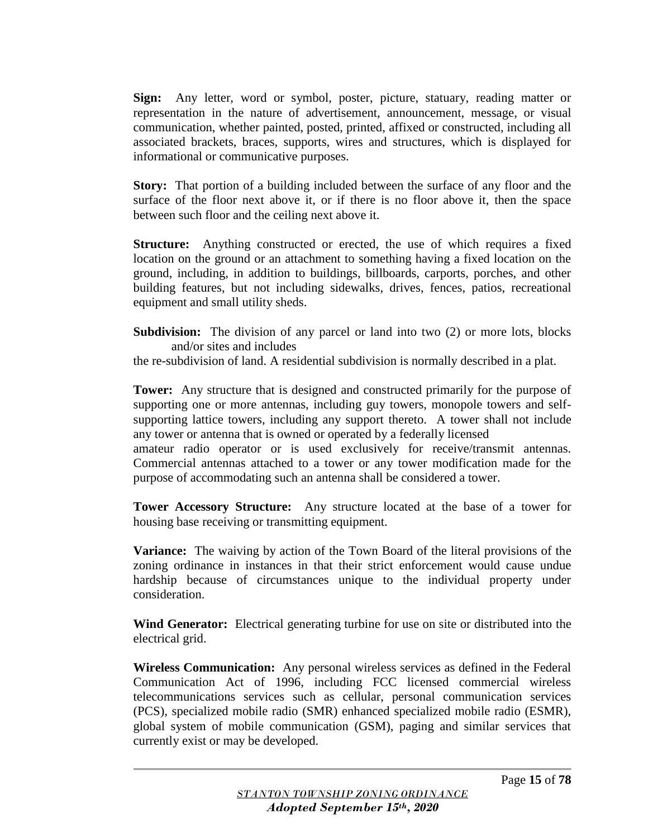**Sign:** Any letter, word or symbol, poster, picture, statuary, reading matter or representation in the nature of advertisement, announcement, message, or visual communication, whether painted, posted, printed, affixed or constructed, including all associated brackets, braces, supports, wires and structures, which is displayed for informational or communicative purposes.

**Story:** That portion of a building included between the surface of any floor and the surface of the floor next above it, or if there is no floor above it, then the space between such floor and the ceiling next above it.

**Structure:** Anything constructed or erected, the use of which requires a fixed location on the ground or an attachment to something having a fixed location on the ground, including, in addition to buildings, billboards, carports, porches, and other building features, but not including sidewalks, drives, fences, patios, recreational equipment and small utility sheds.

**Subdivision:** The division of any parcel or land into two (2) or more lots, blocks and/or sites and includes

the re-subdivision of land. A residential subdivision is normally described in a plat.

**Tower:** Any structure that is designed and constructed primarily for the purpose of supporting one or more antennas, including guy towers, monopole towers and selfsupporting lattice towers, including any support thereto. A tower shall not include any tower or antenna that is owned or operated by a federally licensed

amateur radio operator or is used exclusively for receive/transmit antennas. Commercial antennas attached to a tower or any tower modification made for the purpose of accommodating such an antenna shall be considered a tower.

**Tower Accessory Structure:** Any structure located at the base of a tower for housing base receiving or transmitting equipment.

**Variance:** The waiving by action of the Town Board of the literal provisions of the zoning ordinance in instances in that their strict enforcement would cause undue hardship because of circumstances unique to the individual property under consideration.

**Wind Generator:** Electrical generating turbine for use on site or distributed into the electrical grid.

**Wireless Communication:** Any personal wireless services as defined in the Federal Communication Act of 1996, including FCC licensed commercial wireless telecommunications services such as cellular, personal communication services (PCS), specialized mobile radio (SMR) enhanced specialized mobile radio (ESMR), global system of mobile communication (GSM), paging and similar services that currently exist or may be developed.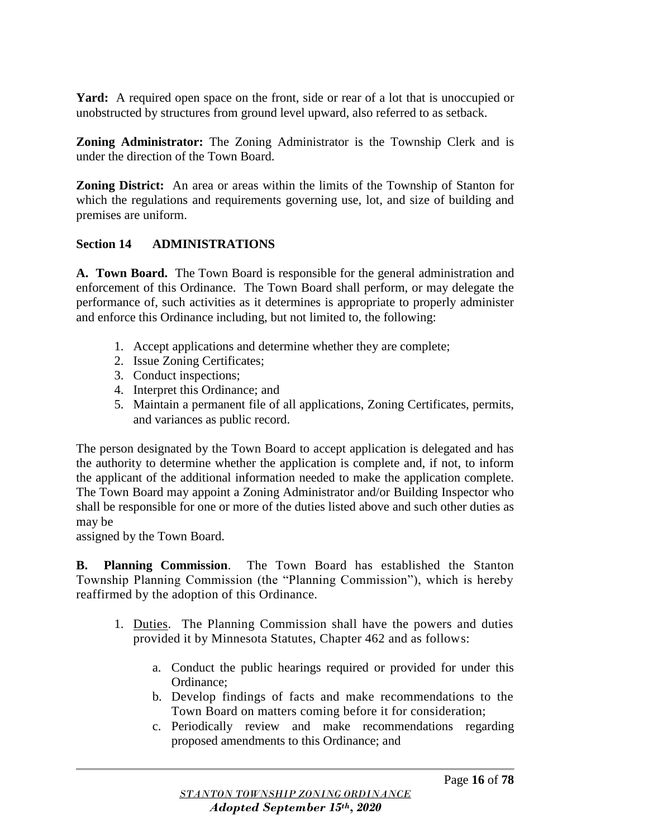Yard: A required open space on the front, side or rear of a lot that is unoccupied or unobstructed by structures from ground level upward, also referred to as setback.

**Zoning Administrator:** The Zoning Administrator is the Township Clerk and is under the direction of the Town Board.

**Zoning District:** An area or areas within the limits of the Township of Stanton for which the regulations and requirements governing use, lot, and size of building and premises are uniform.

#### **Section 14 ADMINISTRATIONS**

**A. Town Board.** The Town Board is responsible for the general administration and enforcement of this Ordinance. The Town Board shall perform, or may delegate the performance of, such activities as it determines is appropriate to properly administer and enforce this Ordinance including, but not limited to, the following:

- 1. Accept applications and determine whether they are complete;
- 2. Issue Zoning Certificates;
- 3. Conduct inspections;
- 4. Interpret this Ordinance; and
- 5. Maintain a permanent file of all applications, Zoning Certificates, permits, and variances as public record.

The person designated by the Town Board to accept application is delegated and has the authority to determine whether the application is complete and, if not, to inform the applicant of the additional information needed to make the application complete. The Town Board may appoint a Zoning Administrator and/or Building Inspector who shall be responsible for one or more of the duties listed above and such other duties as may be

assigned by the Town Board.

**B. Planning Commission**. The Town Board has established the Stanton Township Planning Commission (the "Planning Commission"), which is hereby reaffirmed by the adoption of this Ordinance.

- 1. Duties. The Planning Commission shall have the powers and duties provided it by Minnesota Statutes, Chapter 462 and as follows:
	- a. Conduct the public hearings required or provided for under this Ordinance;
	- b. Develop findings of facts and make recommendations to the Town Board on matters coming before it for consideration;
	- c. Periodically review and make recommendations regarding proposed amendments to this Ordinance; and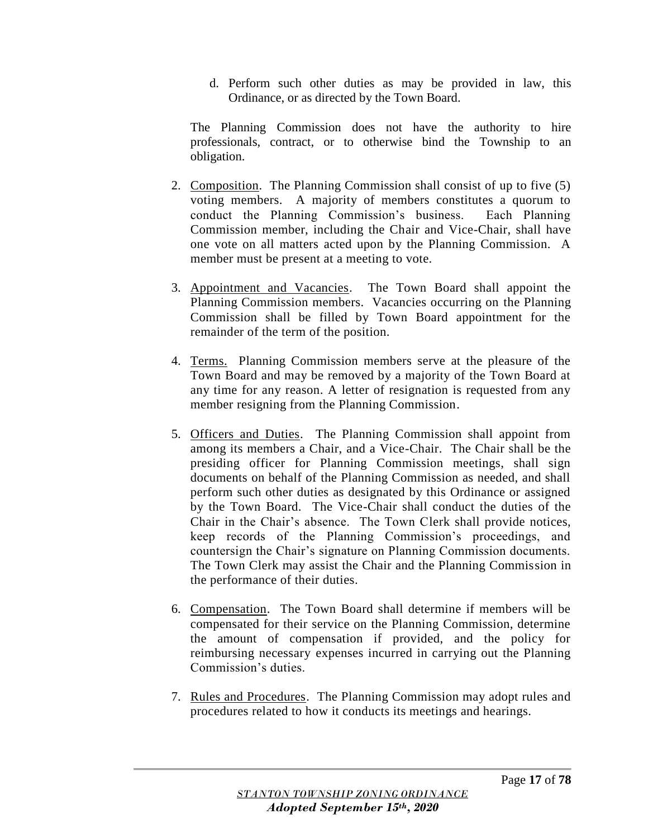d. Perform such other duties as may be provided in law, this Ordinance, or as directed by the Town Board.

The Planning Commission does not have the authority to hire professionals, contract, or to otherwise bind the Township to an obligation.

- 2. Composition. The Planning Commission shall consist of up to five (5) voting members. A majority of members constitutes a quorum to conduct the Planning Commission's business. Each Planning Commission member, including the Chair and Vice-Chair, shall have one vote on all matters acted upon by the Planning Commission. A member must be present at a meeting to vote.
- 3. Appointment and Vacancies. The Town Board shall appoint the Planning Commission members. Vacancies occurring on the Planning Commission shall be filled by Town Board appointment for the remainder of the term of the position.
- 4. Terms. Planning Commission members serve at the pleasure of the Town Board and may be removed by a majority of the Town Board at any time for any reason. A letter of resignation is requested from any member resigning from the Planning Commission.
- 5. Officers and Duties. The Planning Commission shall appoint from among its members a Chair, and a Vice-Chair. The Chair shall be the presiding officer for Planning Commission meetings, shall sign documents on behalf of the Planning Commission as needed, and shall perform such other duties as designated by this Ordinance or assigned by the Town Board. The Vice-Chair shall conduct the duties of the Chair in the Chair's absence. The Town Clerk shall provide notices, keep records of the Planning Commission's proceedings, and countersign the Chair's signature on Planning Commission documents. The Town Clerk may assist the Chair and the Planning Commission in the performance of their duties.
- 6. Compensation. The Town Board shall determine if members will be compensated for their service on the Planning Commission, determine the amount of compensation if provided, and the policy for reimbursing necessary expenses incurred in carrying out the Planning Commission's duties.
- 7. Rules and Procedures. The Planning Commission may adopt rules and procedures related to how it conducts its meetings and hearings.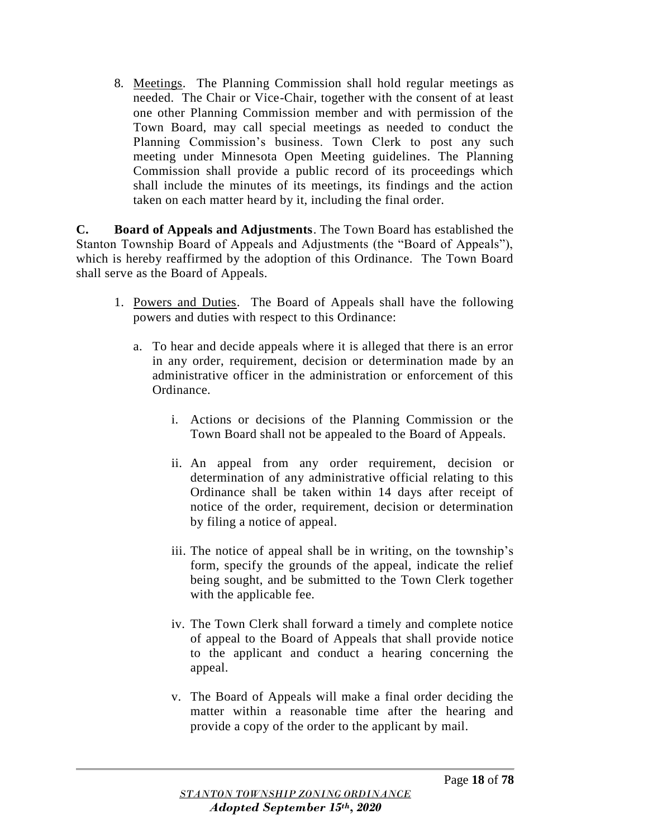8. Meetings. The Planning Commission shall hold regular meetings as needed. The Chair or Vice-Chair, together with the consent of at least one other Planning Commission member and with permission of the Town Board, may call special meetings as needed to conduct the Planning Commission's business. Town Clerk to post any such meeting under Minnesota Open Meeting guidelines. The Planning Commission shall provide a public record of its proceedings which shall include the minutes of its meetings, its findings and the action taken on each matter heard by it, including the final order.

**C. Board of Appeals and Adjustments**. The Town Board has established the Stanton Township Board of Appeals and Adjustments (the "Board of Appeals"), which is hereby reaffirmed by the adoption of this Ordinance. The Town Board shall serve as the Board of Appeals.

- 1. Powers and Duties. The Board of Appeals shall have the following powers and duties with respect to this Ordinance:
	- a. To hear and decide appeals where it is alleged that there is an error in any order, requirement, decision or determination made by an administrative officer in the administration or enforcement of this Ordinance.
		- i. Actions or decisions of the Planning Commission or the Town Board shall not be appealed to the Board of Appeals.
		- ii. An appeal from any order requirement, decision or determination of any administrative official relating to this Ordinance shall be taken within 14 days after receipt of notice of the order, requirement, decision or determination by filing a notice of appeal.
		- iii. The notice of appeal shall be in writing, on the township's form, specify the grounds of the appeal, indicate the relief being sought, and be submitted to the Town Clerk together with the applicable fee.
		- iv. The Town Clerk shall forward a timely and complete notice of appeal to the Board of Appeals that shall provide notice to the applicant and conduct a hearing concerning the appeal.
		- v. The Board of Appeals will make a final order deciding the matter within a reasonable time after the hearing and provide a copy of the order to the applicant by mail.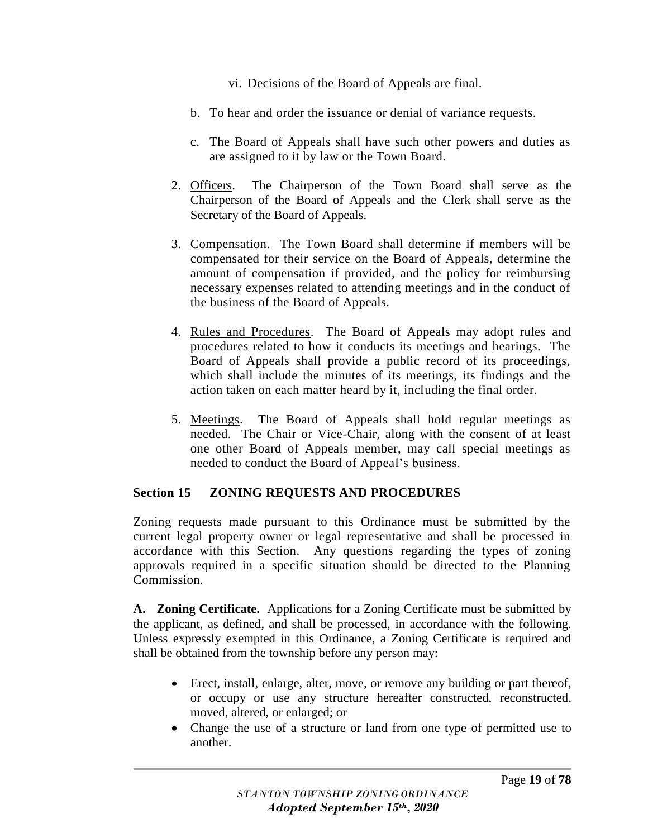- vi. Decisions of the Board of Appeals are final.
- b. To hear and order the issuance or denial of variance requests.
- c. The Board of Appeals shall have such other powers and duties as are assigned to it by law or the Town Board.
- 2. Officers. The Chairperson of the Town Board shall serve as the Chairperson of the Board of Appeals and the Clerk shall serve as the Secretary of the Board of Appeals.
- 3. Compensation. The Town Board shall determine if members will be compensated for their service on the Board of Appeals, determine the amount of compensation if provided, and the policy for reimbursing necessary expenses related to attending meetings and in the conduct of the business of the Board of Appeals.
- 4. Rules and Procedures. The Board of Appeals may adopt rules and procedures related to how it conducts its meetings and hearings. The Board of Appeals shall provide a public record of its proceedings, which shall include the minutes of its meetings, its findings and the action taken on each matter heard by it, including the final order.
- 5. Meetings. The Board of Appeals shall hold regular meetings as needed. The Chair or Vice-Chair, along with the consent of at least one other Board of Appeals member, may call special meetings as needed to conduct the Board of Appeal's business.

#### **Section 15 ZONING REQUESTS AND PROCEDURES**

Zoning requests made pursuant to this Ordinance must be submitted by the current legal property owner or legal representative and shall be processed in accordance with this Section. Any questions regarding the types of zoning approvals required in a specific situation should be directed to the Planning Commission.

**A. Zoning Certificate.** Applications for a Zoning Certificate must be submitted by the applicant, as defined, and shall be processed, in accordance with the following. Unless expressly exempted in this Ordinance, a Zoning Certificate is required and shall be obtained from the township before any person may:

- Erect, install, enlarge, alter, move, or remove any building or part thereof, or occupy or use any structure hereafter constructed, reconstructed, moved, altered, or enlarged; or
- Change the use of a structure or land from one type of permitted use to another.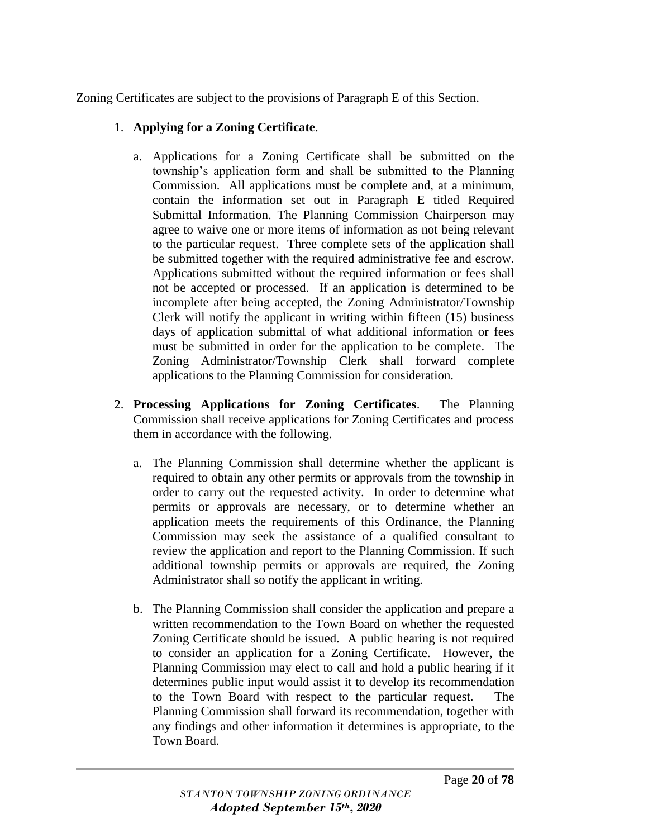Zoning Certificates are subject to the provisions of Paragraph E of this Section.

#### 1. **Applying for a Zoning Certificate**.

- a. Applications for a Zoning Certificate shall be submitted on the township's application form and shall be submitted to the Planning Commission. All applications must be complete and, at a minimum, contain the information set out in Paragraph E titled Required Submittal Information. The Planning Commission Chairperson may agree to waive one or more items of information as not being relevant to the particular request. Three complete sets of the application shall be submitted together with the required administrative fee and escrow. Applications submitted without the required information or fees shall not be accepted or processed. If an application is determined to be incomplete after being accepted, the Zoning Administrator/Township Clerk will notify the applicant in writing within fifteen (15) business days of application submittal of what additional information or fees must be submitted in order for the application to be complete.The Zoning Administrator/Township Clerk shall forward complete applications to the Planning Commission for consideration.
- 2. **Processing Applications for Zoning Certificates**. The Planning Commission shall receive applications for Zoning Certificates and process them in accordance with the following.
	- a. The Planning Commission shall determine whether the applicant is required to obtain any other permits or approvals from the township in order to carry out the requested activity. In order to determine what permits or approvals are necessary, or to determine whether an application meets the requirements of this Ordinance, the Planning Commission may seek the assistance of a qualified consultant to review the application and report to the Planning Commission. If such additional township permits or approvals are required, the Zoning Administrator shall so notify the applicant in writing.
	- b. The Planning Commission shall consider the application and prepare a written recommendation to the Town Board on whether the requested Zoning Certificate should be issued. A public hearing is not required to consider an application for a Zoning Certificate. However, the Planning Commission may elect to call and hold a public hearing if it determines public input would assist it to develop its recommendation to the Town Board with respect to the particular request. The Planning Commission shall forward its recommendation, together with any findings and other information it determines is appropriate, to the Town Board.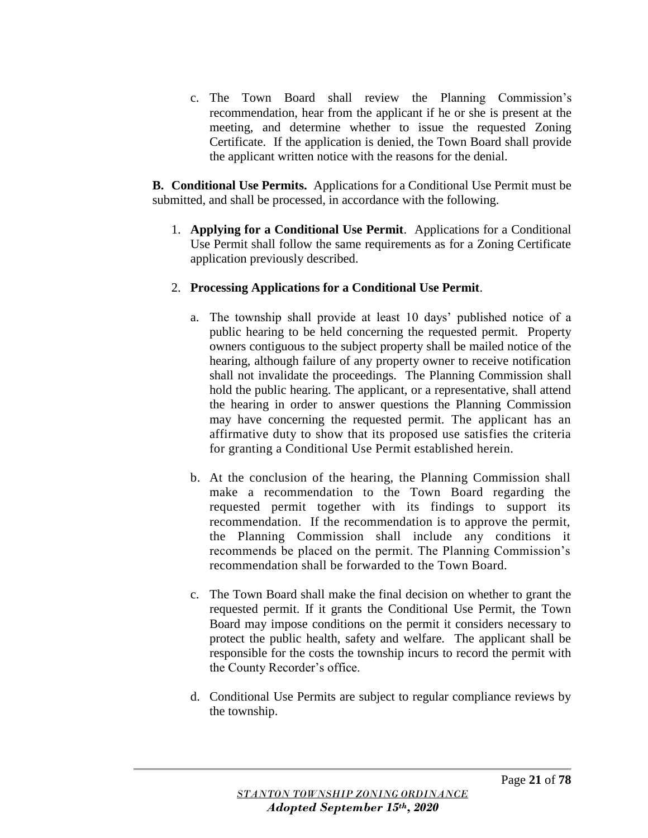c. The Town Board shall review the Planning Commission's recommendation, hear from the applicant if he or she is present at the meeting, and determine whether to issue the requested Zoning Certificate. If the application is denied, the Town Board shall provide the applicant written notice with the reasons for the denial.

**B. Conditional Use Permits.** Applications for a Conditional Use Permit must be submitted, and shall be processed, in accordance with the following.

1. **Applying for a Conditional Use Permit**. Applications for a Conditional Use Permit shall follow the same requirements as for a Zoning Certificate application previously described.

#### 2. **Processing Applications for a Conditional Use Permit**.

- a. The township shall provide at least 10 days' published notice of a public hearing to be held concerning the requested permit. Property owners contiguous to the subject property shall be mailed notice of the hearing, although failure of any property owner to receive notification shall not invalidate the proceedings. The Planning Commission shall hold the public hearing. The applicant, or a representative, shall attend the hearing in order to answer questions the Planning Commission may have concerning the requested permit. The applicant has an affirmative duty to show that its proposed use satisfies the criteria for granting a Conditional Use Permit established herein.
- b. At the conclusion of the hearing, the Planning Commission shall make a recommendation to the Town Board regarding the requested permit together with its findings to support its recommendation. If the recommendation is to approve the permit, the Planning Commission shall include any conditions it recommends be placed on the permit. The Planning Commission's recommendation shall be forwarded to the Town Board.
- c. The Town Board shall make the final decision on whether to grant the requested permit. If it grants the Conditional Use Permit, the Town Board may impose conditions on the permit it considers necessary to protect the public health, safety and welfare. The applicant shall be responsible for the costs the township incurs to record the permit with the County Recorder's office.
- d. Conditional Use Permits are subject to regular compliance reviews by the township.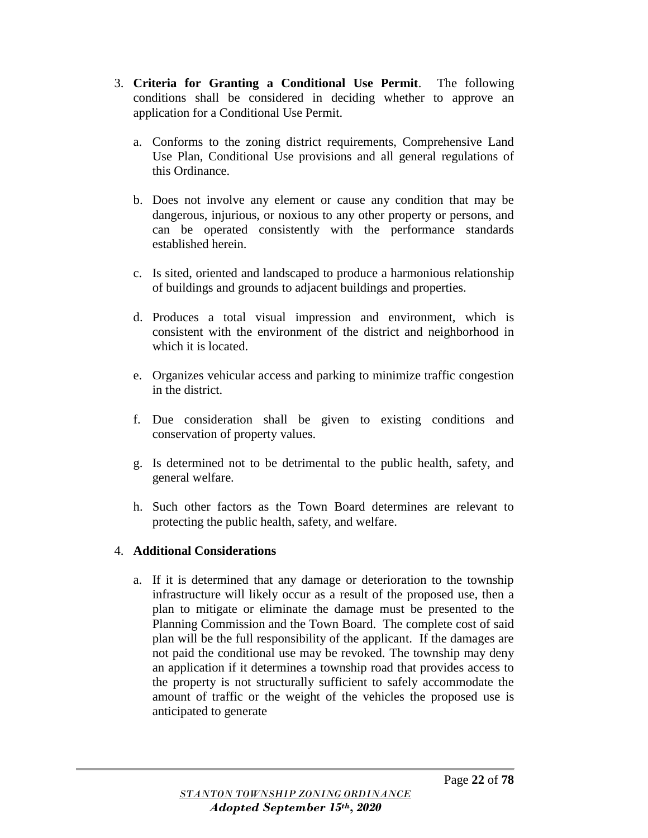- 3. **Criteria for Granting a Conditional Use Permit**. The following conditions shall be considered in deciding whether to approve an application for a Conditional Use Permit.
	- a. Conforms to the zoning district requirements, Comprehensive Land Use Plan, Conditional Use provisions and all general regulations of this Ordinance.
	- b. Does not involve any element or cause any condition that may be dangerous, injurious, or noxious to any other property or persons, and can be operated consistently with the performance standards established herein.
	- c. Is sited, oriented and landscaped to produce a harmonious relationship of buildings and grounds to adjacent buildings and properties.
	- d. Produces a total visual impression and environment, which is consistent with the environment of the district and neighborhood in which it is located.
	- e. Organizes vehicular access and parking to minimize traffic congestion in the district.
	- f. Due consideration shall be given to existing conditions and conservation of property values.
	- g. Is determined not to be detrimental to the public health, safety, and general welfare.
	- h. Such other factors as the Town Board determines are relevant to protecting the public health, safety, and welfare.

#### 4. **Additional Considerations**

a. If it is determined that any damage or deterioration to the township infrastructure will likely occur as a result of the proposed use, then a plan to mitigate or eliminate the damage must be presented to the Planning Commission and the Town Board. The complete cost of said plan will be the full responsibility of the applicant. If the damages are not paid the conditional use may be revoked. The township may deny an application if it determines a township road that provides access to the property is not structurally sufficient to safely accommodate the amount of traffic or the weight of the vehicles the proposed use is anticipated to generate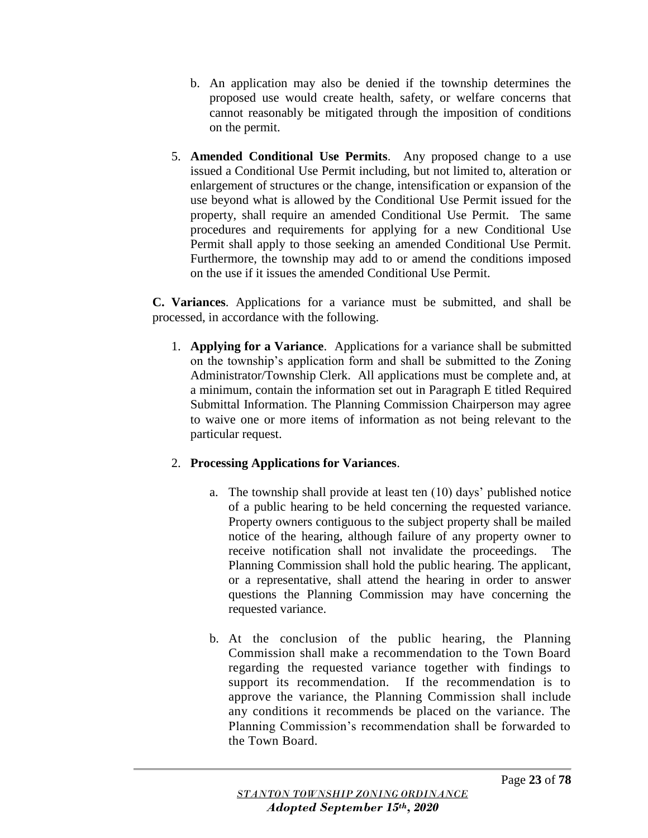- b. An application may also be denied if the township determines the proposed use would create health, safety, or welfare concerns that cannot reasonably be mitigated through the imposition of conditions on the permit.
- 5. **Amended Conditional Use Permits**. Any proposed change to a use issued a Conditional Use Permit including, but not limited to, alteration or enlargement of structures or the change, intensification or expansion of the use beyond what is allowed by the Conditional Use Permit issued for the property, shall require an amended Conditional Use Permit. The same procedures and requirements for applying for a new Conditional Use Permit shall apply to those seeking an amended Conditional Use Permit. Furthermore, the township may add to or amend the conditions imposed on the use if it issues the amended Conditional Use Permit.

**C. Variances**. Applications for a variance must be submitted, and shall be processed, in accordance with the following.

1. **Applying for a Variance**. Applications for a variance shall be submitted on the township's application form and shall be submitted to the Zoning Administrator/Township Clerk. All applications must be complete and, at a minimum, contain the information set out in Paragraph E titled Required Submittal Information. The Planning Commission Chairperson may agree to waive one or more items of information as not being relevant to the particular request.

#### 2. **Processing Applications for Variances**.

- a. The township shall provide at least ten (10) days' published notice of a public hearing to be held concerning the requested variance. Property owners contiguous to the subject property shall be mailed notice of the hearing, although failure of any property owner to receive notification shall not invalidate the proceedings. The Planning Commission shall hold the public hearing. The applicant, or a representative, shall attend the hearing in order to answer questions the Planning Commission may have concerning the requested variance.
- b. At the conclusion of the public hearing, the Planning Commission shall make a recommendation to the Town Board regarding the requested variance together with findings to support its recommendation. If the recommendation is to approve the variance, the Planning Commission shall include any conditions it recommends be placed on the variance. The Planning Commission's recommendation shall be forwarded to the Town Board.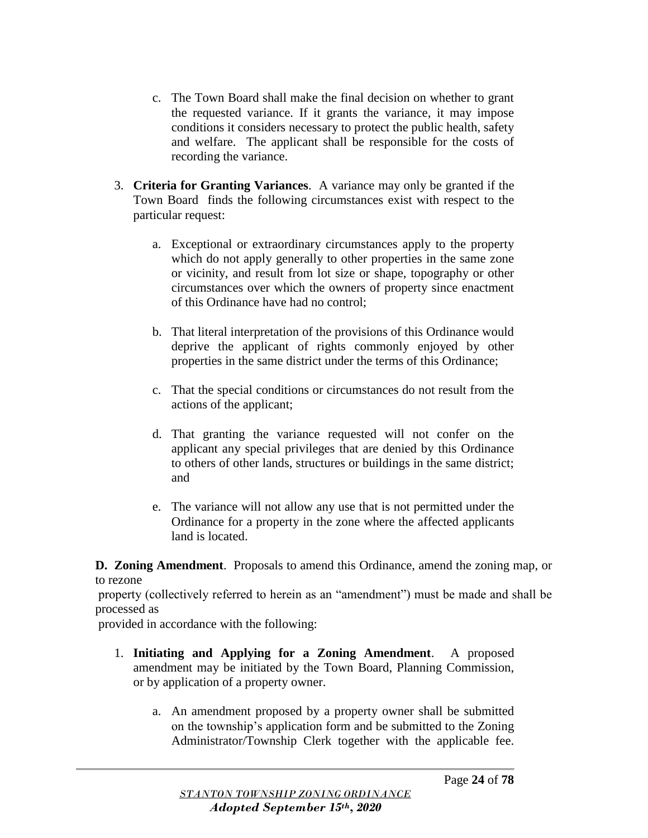- c. The Town Board shall make the final decision on whether to grant the requested variance. If it grants the variance, it may impose conditions it considers necessary to protect the public health, safety and welfare. The applicant shall be responsible for the costs of recording the variance.
- 3. **Criteria for Granting Variances**. A variance may only be granted if the Town Board finds the following circumstances exist with respect to the particular request:
	- a. Exceptional or extraordinary circumstances apply to the property which do not apply generally to other properties in the same zone or vicinity, and result from lot size or shape, topography or other circumstances over which the owners of property since enactment of this Ordinance have had no control;
	- b. That literal interpretation of the provisions of this Ordinance would deprive the applicant of rights commonly enjoyed by other properties in the same district under the terms of this Ordinance;
	- c. That the special conditions or circumstances do not result from the actions of the applicant;
	- d. That granting the variance requested will not confer on the applicant any special privileges that are denied by this Ordinance to others of other lands, structures or buildings in the same district; and
	- e. The variance will not allow any use that is not permitted under the Ordinance for a property in the zone where the affected applicants land is located.

**D. Zoning Amendment**. Proposals to amend this Ordinance, amend the zoning map, or to rezone

property (collectively referred to herein as an "amendment") must be made and shall be processed as

provided in accordance with the following:

- 1. **Initiating and Applying for a Zoning Amendment**. A proposed amendment may be initiated by the Town Board, Planning Commission, or by application of a property owner.
	- a. An amendment proposed by a property owner shall be submitted on the township's application form and be submitted to the Zoning Administrator/Township Clerk together with the applicable fee.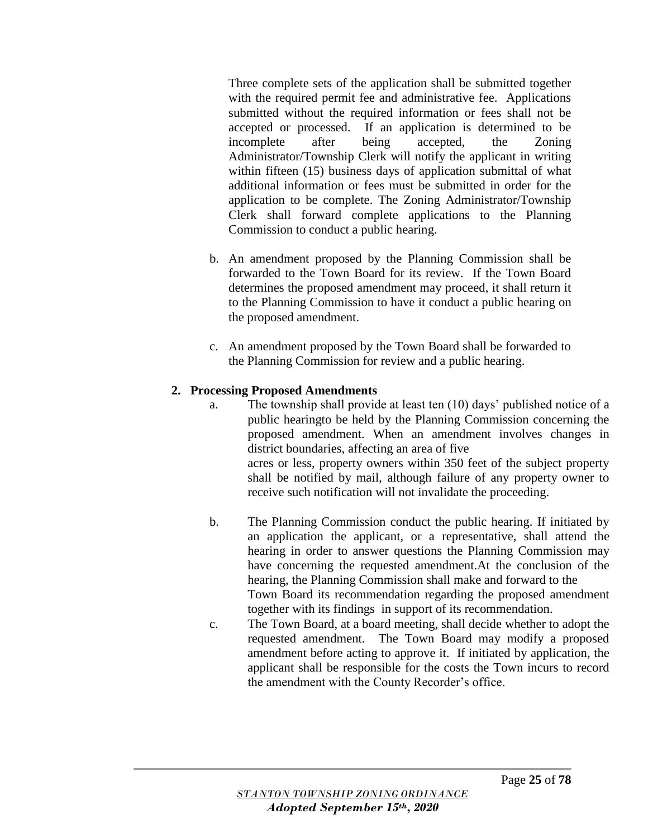Three complete sets of the application shall be submitted together with the required permit fee and administrative fee. Applications submitted without the required information or fees shall not be accepted or processed. If an application is determined to be incomplete after being accepted, the Zoning Administrator/Township Clerk will notify the applicant in writing within fifteen (15) business days of application submittal of what additional information or fees must be submitted in order for the application to be complete. The Zoning Administrator/Township Clerk shall forward complete applications to the Planning Commission to conduct a public hearing.

- b. An amendment proposed by the Planning Commission shall be forwarded to the Town Board for its review. If the Town Board determines the proposed amendment may proceed, it shall return it to the Planning Commission to have it conduct a public hearing on the proposed amendment.
- c. An amendment proposed by the Town Board shall be forwarded to the Planning Commission for review and a public hearing.

#### **2. Processing Proposed Amendments**

- a. The township shall provide at least ten (10) days' published notice of a public hearingto be held by the Planning Commission concerning the proposed amendment. When an amendment involves changes in district boundaries, affecting an area of five acres or less, property owners within 350 feet of the subject property shall be notified by mail, although failure of any property owner to receive such notification will not invalidate the proceeding.
- b. The Planning Commission conduct the public hearing. If initiated by an application the applicant, or a representative, shall attend the hearing in order to answer questions the Planning Commission may have concerning the requested amendment.At the conclusion of the hearing, the Planning Commission shall make and forward to the Town Board its recommendation regarding the proposed amendment together with its findings in support of its recommendation.
- c. The Town Board, at a board meeting, shall decide whether to adopt the requested amendment. The Town Board may modify a proposed amendment before acting to approve it. If initiated by application, the applicant shall be responsible for the costs the Town incurs to record the amendment with the County Recorder's office.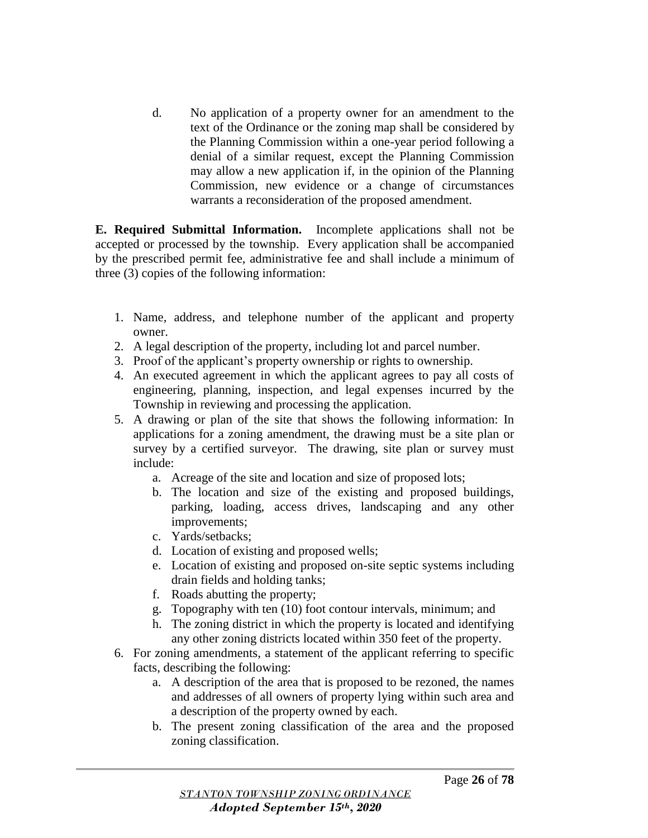d. No application of a property owner for an amendment to the text of the Ordinance or the zoning map shall be considered by the Planning Commission within a one-year period following a denial of a similar request, except the Planning Commission may allow a new application if, in the opinion of the Planning Commission, new evidence or a change of circumstances warrants a reconsideration of the proposed amendment.

**E. Required Submittal Information.** Incomplete applications shall not be accepted or processed by the township. Every application shall be accompanied by the prescribed permit fee, administrative fee and shall include a minimum of three (3) copies of the following information:

- 1. Name, address, and telephone number of the applicant and property owner.
- 2. A legal description of the property, including lot and parcel number.
- 3. Proof of the applicant's property ownership or rights to ownership.
- 4. An executed agreement in which the applicant agrees to pay all costs of engineering, planning, inspection, and legal expenses incurred by the Township in reviewing and processing the application.
- 5. A drawing or plan of the site that shows the following information: In applications for a zoning amendment, the drawing must be a site plan or survey by a certified surveyor. The drawing, site plan or survey must include:
	- a. Acreage of the site and location and size of proposed lots;
	- b. The location and size of the existing and proposed buildings, parking, loading, access drives, landscaping and any other improvements;
	- c. Yards/setbacks;
	- d. Location of existing and proposed wells;
	- e. Location of existing and proposed on-site septic systems including drain fields and holding tanks;
	- f. Roads abutting the property;
	- g. Topography with ten (10) foot contour intervals, minimum; and
	- h. The zoning district in which the property is located and identifying any other zoning districts located within 350 feet of the property.
- 6. For zoning amendments, a statement of the applicant referring to specific facts, describing the following:
	- a. A description of the area that is proposed to be rezoned, the names and addresses of all owners of property lying within such area and a description of the property owned by each.
	- b. The present zoning classification of the area and the proposed zoning classification.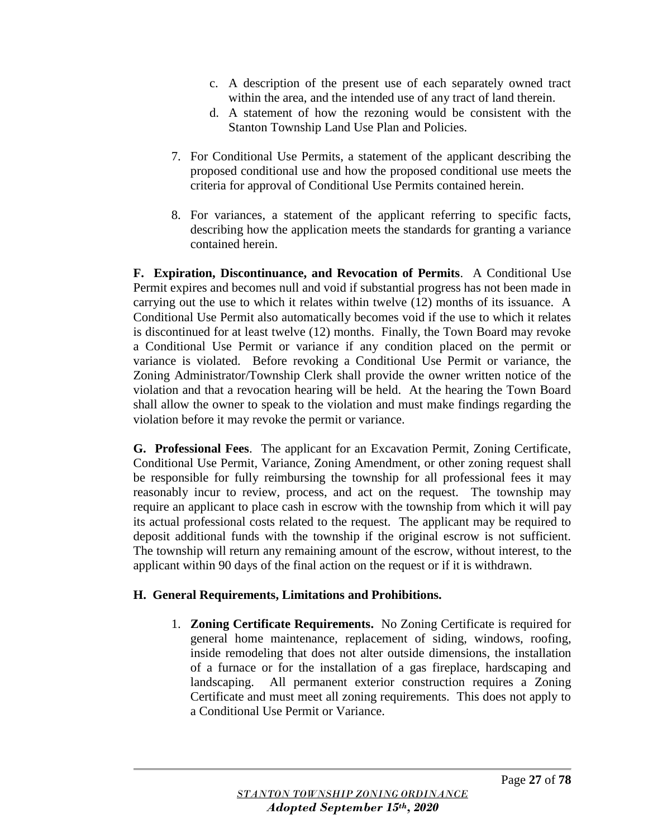- c. A description of the present use of each separately owned tract within the area, and the intended use of any tract of land therein.
- d. A statement of how the rezoning would be consistent with the Stanton Township Land Use Plan and Policies.
- 7. For Conditional Use Permits, a statement of the applicant describing the proposed conditional use and how the proposed conditional use meets the criteria for approval of Conditional Use Permits contained herein.
- 8. For variances, a statement of the applicant referring to specific facts, describing how the application meets the standards for granting a variance contained herein.

**F. Expiration, Discontinuance, and Revocation of Permits**. A Conditional Use Permit expires and becomes null and void if substantial progress has not been made in carrying out the use to which it relates within twelve (12) months of its issuance. A Conditional Use Permit also automatically becomes void if the use to which it relates is discontinued for at least twelve (12) months. Finally, the Town Board may revoke a Conditional Use Permit or variance if any condition placed on the permit or variance is violated. Before revoking a Conditional Use Permit or variance, the Zoning Administrator/Township Clerk shall provide the owner written notice of the violation and that a revocation hearing will be held. At the hearing the Town Board shall allow the owner to speak to the violation and must make findings regarding the violation before it may revoke the permit or variance.

**G. Professional Fees**. The applicant for an Excavation Permit, Zoning Certificate, Conditional Use Permit, Variance, Zoning Amendment, or other zoning request shall be responsible for fully reimbursing the township for all professional fees it may reasonably incur to review, process, and act on the request. The township may require an applicant to place cash in escrow with the township from which it will pay its actual professional costs related to the request. The applicant may be required to deposit additional funds with the township if the original escrow is not sufficient. The township will return any remaining amount of the escrow, without interest, to the applicant within 90 days of the final action on the request or if it is withdrawn.

#### **H. General Requirements, Limitations and Prohibitions.**

1. **Zoning Certificate Requirements.** No Zoning Certificate is required for general home maintenance, replacement of siding, windows, roofing, inside remodeling that does not alter outside dimensions, the installation of a furnace or for the installation of a gas fireplace, hardscaping and landscaping. All permanent exterior construction requires a Zoning Certificate and must meet all zoning requirements. This does not apply to a Conditional Use Permit or Variance.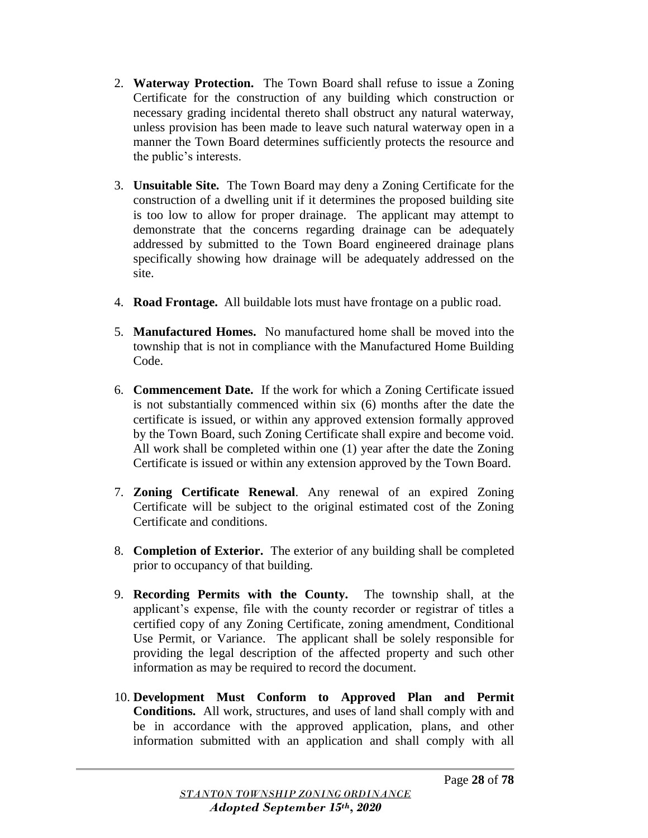- 2. **Waterway Protection.** The Town Board shall refuse to issue a Zoning Certificate for the construction of any building which construction or necessary grading incidental thereto shall obstruct any natural waterway, unless provision has been made to leave such natural waterway open in a manner the Town Board determines sufficiently protects the resource and the public's interests.
- 3. **Unsuitable Site.** The Town Board may deny a Zoning Certificate for the construction of a dwelling unit if it determines the proposed building site is too low to allow for proper drainage. The applicant may attempt to demonstrate that the concerns regarding drainage can be adequately addressed by submitted to the Town Board engineered drainage plans specifically showing how drainage will be adequately addressed on the site.
- 4. **Road Frontage.** All buildable lots must have frontage on a public road.
- 5. **Manufactured Homes.** No manufactured home shall be moved into the township that is not in compliance with the Manufactured Home Building Code.
- 6. **Commencement Date.** If the work for which a Zoning Certificate issued is not substantially commenced within six (6) months after the date the certificate is issued, or within any approved extension formally approved by the Town Board, such Zoning Certificate shall expire and become void. All work shall be completed within one (1) year after the date the Zoning Certificate is issued or within any extension approved by the Town Board.
- 7. **Zoning Certificate Renewal**. Any renewal of an expired Zoning Certificate will be subject to the original estimated cost of the Zoning Certificate and conditions.
- 8. **Completion of Exterior.** The exterior of any building shall be completed prior to occupancy of that building.
- 9. **Recording Permits with the County.** The township shall, at the applicant's expense, file with the county recorder or registrar of titles a certified copy of any Zoning Certificate, zoning amendment, Conditional Use Permit, or Variance. The applicant shall be solely responsible for providing the legal description of the affected property and such other information as may be required to record the document.
- 10. **Development Must Conform to Approved Plan and Permit Conditions.** All work, structures, and uses of land shall comply with and be in accordance with the approved application, plans, and other information submitted with an application and shall comply with all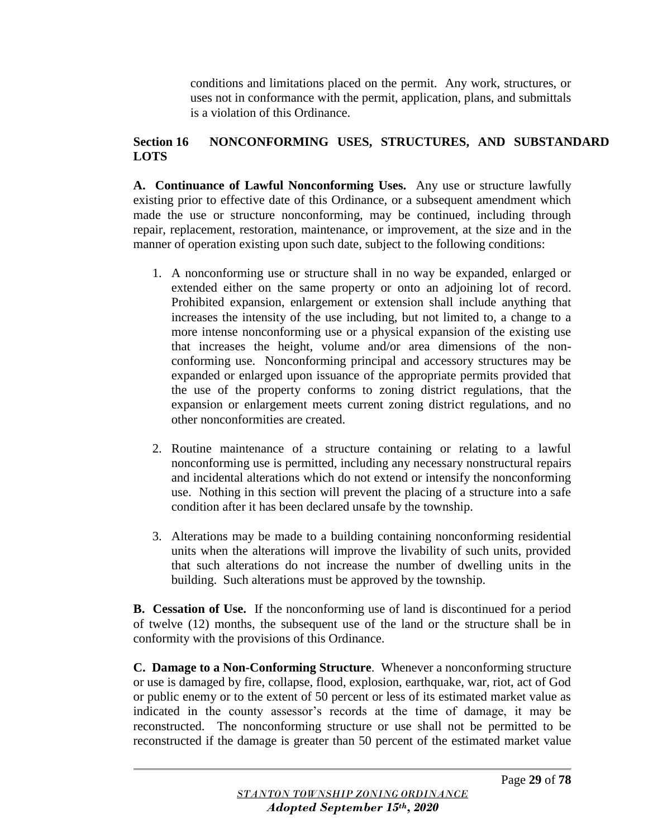conditions and limitations placed on the permit. Any work, structures, or uses not in conformance with the permit, application, plans, and submittals is a violation of this Ordinance.

#### **Section 16 NONCONFORMING USES, STRUCTURES, AND SUBSTANDARD LOTS**

**A. Continuance of Lawful Nonconforming Uses.** Any use or structure lawfully existing prior to effective date of this Ordinance, or a subsequent amendment which made the use or structure nonconforming, may be continued, including through repair, replacement, restoration, maintenance, or improvement, at the size and in the manner of operation existing upon such date, subject to the following conditions:

- 1. A nonconforming use or structure shall in no way be expanded, enlarged or extended either on the same property or onto an adjoining lot of record. Prohibited expansion, enlargement or extension shall include anything that increases the intensity of the use including, but not limited to, a change to a more intense nonconforming use or a physical expansion of the existing use that increases the height, volume and/or area dimensions of the nonconforming use. Nonconforming principal and accessory structures may be expanded or enlarged upon issuance of the appropriate permits provided that the use of the property conforms to zoning district regulations, that the expansion or enlargement meets current zoning district regulations, and no other nonconformities are created.
- 2. Routine maintenance of a structure containing or relating to a lawful nonconforming use is permitted, including any necessary nonstructural repairs and incidental alterations which do not extend or intensify the nonconforming use. Nothing in this section will prevent the placing of a structure into a safe condition after it has been declared unsafe by the township.
- 3. Alterations may be made to a building containing nonconforming residential units when the alterations will improve the livability of such units, provided that such alterations do not increase the number of dwelling units in the building. Such alterations must be approved by the township.

**B. Cessation of Use.** If the nonconforming use of land is discontinued for a period of twelve (12) months, the subsequent use of the land or the structure shall be in conformity with the provisions of this Ordinance.

**C. Damage to a Non-Conforming Structure**. Whenever a nonconforming structure or use is damaged by fire, collapse, flood, explosion, earthquake, war, riot, act of God or public enemy or to the extent of 50 percent or less of its estimated market value as indicated in the county assessor's records at the time of damage, it may be reconstructed. The nonconforming structure or use shall not be permitted to be reconstructed if the damage is greater than 50 percent of the estimated market value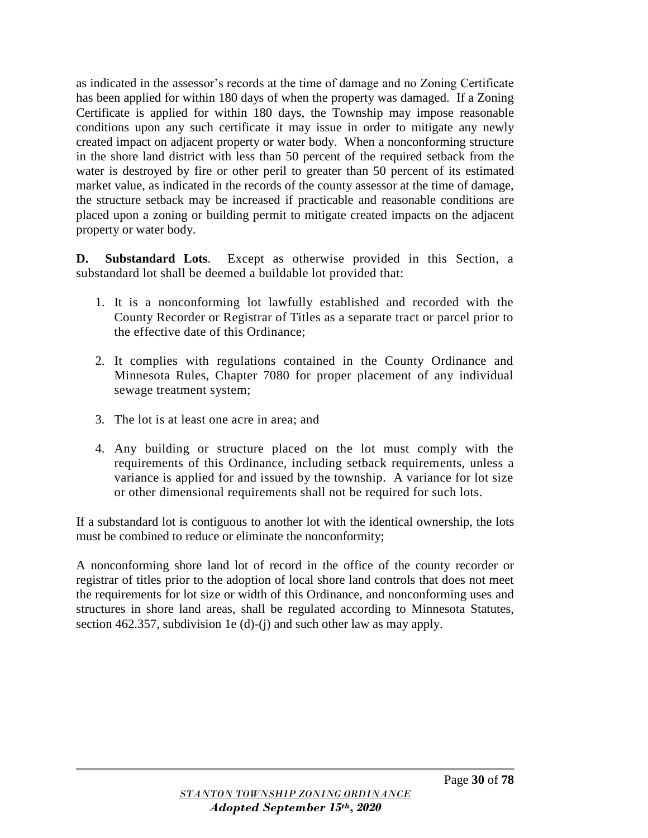as indicated in the assessor's records at the time of damage and no Zoning Certificate has been applied for within 180 days of when the property was damaged. If a Zoning Certificate is applied for within 180 days, the Township may impose reasonable conditions upon any such certificate it may issue in order to mitigate any newly created impact on adjacent property or water body. When a nonconforming structure in the shore land district with less than 50 percent of the required setback from the water is destroyed by fire or other peril to greater than 50 percent of its estimated market value, as indicated in the records of the county assessor at the time of damage, the structure setback may be increased if practicable and reasonable conditions are placed upon a zoning or building permit to mitigate created impacts on the adjacent property or water body.

**D. Substandard Lots**. Except as otherwise provided in this Section, a substandard lot shall be deemed a buildable lot provided that:

- 1. It is a nonconforming lot lawfully established and recorded with the County Recorder or Registrar of Titles as a separate tract or parcel prior to the effective date of this Ordinance;
- 2. It complies with regulations contained in the County Ordinance and Minnesota Rules, Chapter 7080 for proper placement of any individual sewage treatment system;
- 3. The lot is at least one acre in area; and
- 4. Any building or structure placed on the lot must comply with the requirements of this Ordinance, including setback requirements, unless a variance is applied for and issued by the township. A variance for lot size or other dimensional requirements shall not be required for such lots.

If a substandard lot is contiguous to another lot with the identical ownership, the lots must be combined to reduce or eliminate the nonconformity;

A nonconforming shore land lot of record in the office of the county recorder or registrar of titles prior to the adoption of local shore land controls that does not meet the requirements for lot size or width of this Ordinance, and nonconforming uses and structures in shore land areas, shall be regulated according to Minnesota Statutes, section 462.357, subdivision 1e (d)-(j) and such other law as may apply.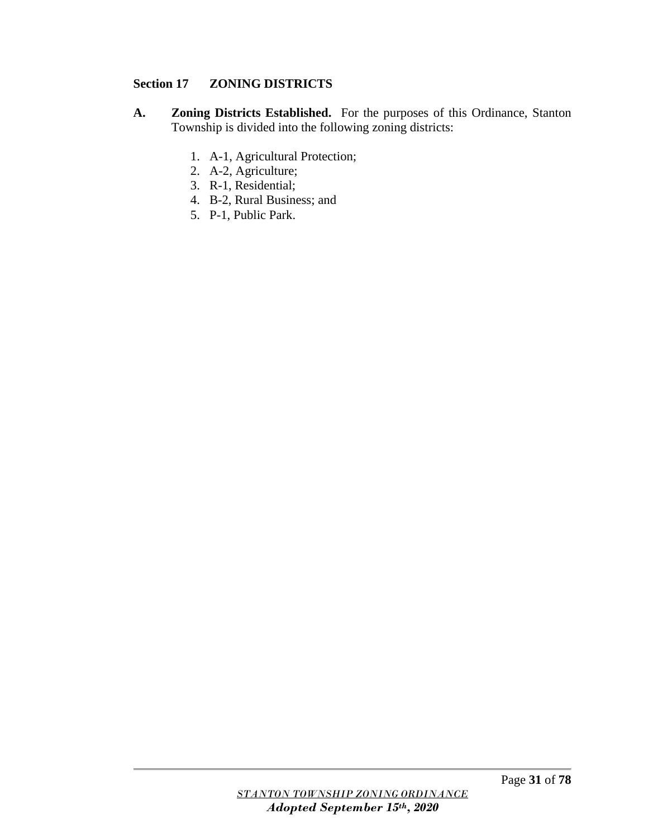#### **Section 17 ZONING DISTRICTS**

- **A. Zoning Districts Established.** For the purposes of this Ordinance, Stanton Township is divided into the following zoning districts:
	- 1. A-1, Agricultural Protection;
	- 2. A-2, Agriculture;
	- 3. R-1, Residential;
	- 4. B-2, Rural Business; and
	- 5. P-1, Public Park.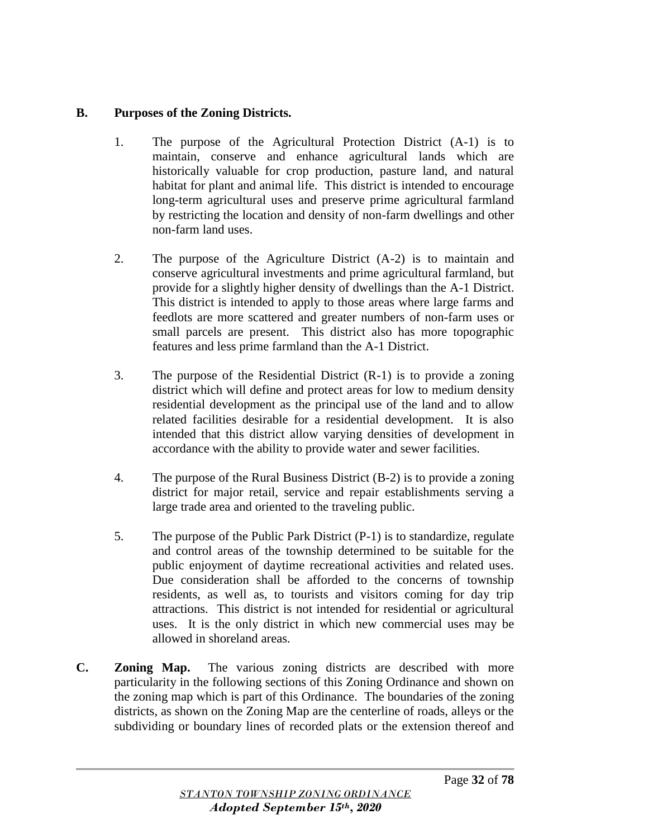#### **B. Purposes of the Zoning Districts.**

- 1. The purpose of the Agricultural Protection District (A-1) is to maintain, conserve and enhance agricultural lands which are historically valuable for crop production, pasture land, and natural habitat for plant and animal life. This district is intended to encourage long-term agricultural uses and preserve prime agricultural farmland by restricting the location and density of non-farm dwellings and other non-farm land uses.
- 2. The purpose of the Agriculture District (A-2) is to maintain and conserve agricultural investments and prime agricultural farmland, but provide for a slightly higher density of dwellings than the A-1 District. This district is intended to apply to those areas where large farms and feedlots are more scattered and greater numbers of non-farm uses or small parcels are present. This district also has more topographic features and less prime farmland than the A-1 District.
- 3. The purpose of the Residential District (R-1) is to provide a zoning district which will define and protect areas for low to medium density residential development as the principal use of the land and to allow related facilities desirable for a residential development. It is also intended that this district allow varying densities of development in accordance with the ability to provide water and sewer facilities.
- 4. The purpose of the Rural Business District (B-2) is to provide a zoning district for major retail, service and repair establishments serving a large trade area and oriented to the traveling public.
- 5. The purpose of the Public Park District (P-1) is to standardize, regulate and control areas of the township determined to be suitable for the public enjoyment of daytime recreational activities and related uses. Due consideration shall be afforded to the concerns of township residents, as well as, to tourists and visitors coming for day trip attractions. This district is not intended for residential or agricultural uses. It is the only district in which new commercial uses may be allowed in shoreland areas.
- **C. Zoning Map.** The various zoning districts are described with more particularity in the following sections of this Zoning Ordinance and shown on the zoning map which is part of this Ordinance. The boundaries of the zoning districts, as shown on the Zoning Map are the centerline of roads, alleys or the subdividing or boundary lines of recorded plats or the extension thereof and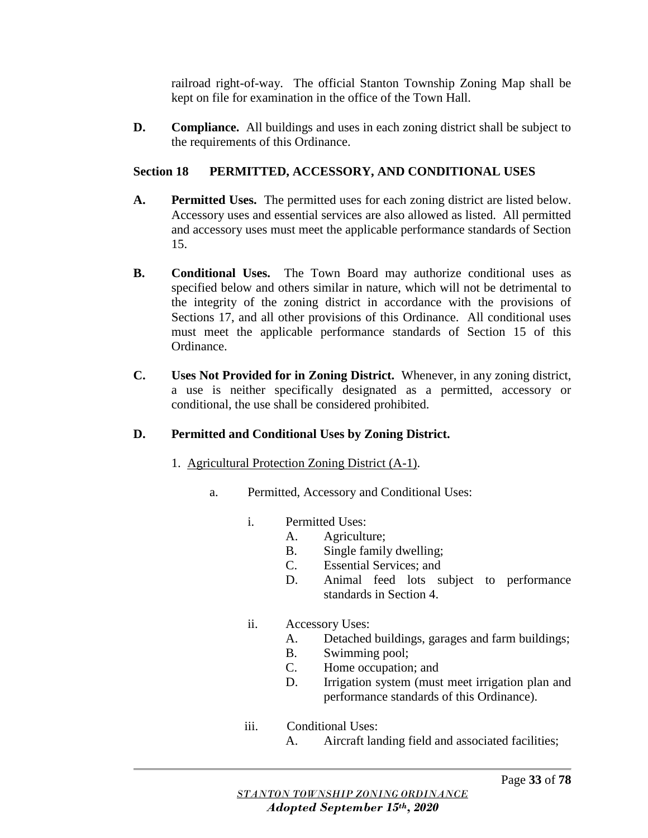railroad right-of-way. The official Stanton Township Zoning Map shall be kept on file for examination in the office of the Town Hall.

**D. Compliance.** All buildings and uses in each zoning district shall be subject to the requirements of this Ordinance.

#### **Section 18 PERMITTED, ACCESSORY, AND CONDITIONAL USES**

- **A. Permitted Uses.** The permitted uses for each zoning district are listed below. Accessory uses and essential services are also allowed as listed. All permitted and accessory uses must meet the applicable performance standards of Section 15.
- **B. Conditional Uses.** The Town Board may authorize conditional uses as specified below and others similar in nature, which will not be detrimental to the integrity of the zoning district in accordance with the provisions of Sections 17, and all other provisions of this Ordinance. All conditional uses must meet the applicable performance standards of Section 15 of this Ordinance.
- **C. Uses Not Provided for in Zoning District.** Whenever, in any zoning district, a use is neither specifically designated as a permitted, accessory or conditional, the use shall be considered prohibited.

#### **D. Permitted and Conditional Uses by Zoning District.**

#### 1. Agricultural Protection Zoning District (A-1).

- a. Permitted, Accessory and Conditional Uses:
	- i. Permitted Uses:
		- A. Agriculture;
		- B. Single family dwelling;
		- C. Essential Services; and
		- D. Animal feed lots subject to performance standards in Section 4.
	- ii. Accessory Uses:
		- A. Detached buildings, garages and farm buildings;
		- B. Swimming pool;
		- C. Home occupation; and
		- D. Irrigation system (must meet irrigation plan and performance standards of this Ordinance).
	- iii. Conditional Uses:
		- A. Aircraft landing field and associated facilities;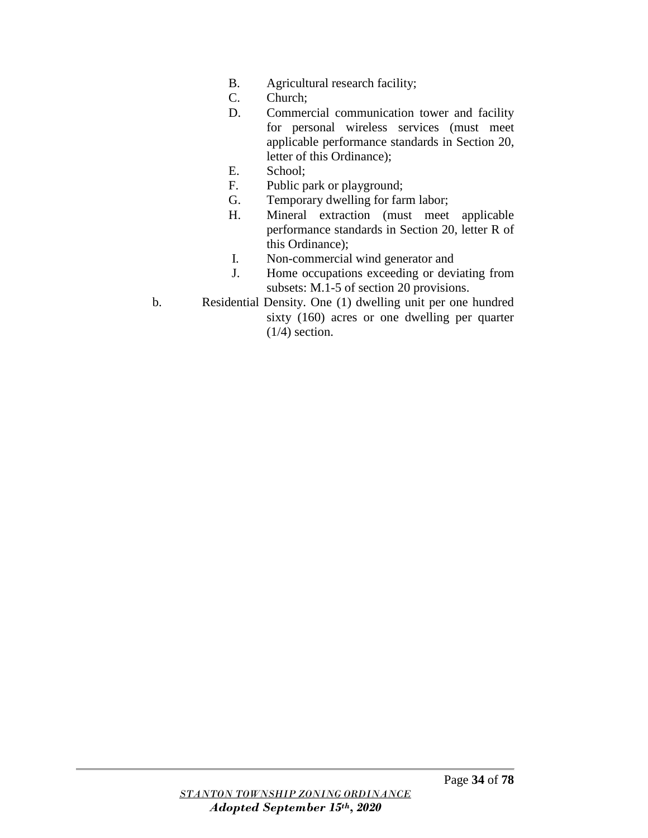- B. Agricultural research facility;
- C. Church;
- D. Commercial communication tower and facility for personal wireless services (must meet applicable performance standards in Section 20, letter of this Ordinance);
- E. School;
- F. Public park or playground;
- G. Temporary dwelling for farm labor;
- H. Mineral extraction (must meet applicable performance standards in Section 20, letter R of this Ordinance);
- I. Non-commercial wind generator and
- J. Home occupations exceeding or deviating from subsets: M.1-5 of section 20 provisions.
- b. Residential Density. One (1) dwelling unit per one hundred sixty (160) acres or one dwelling per quarter (1/4) section.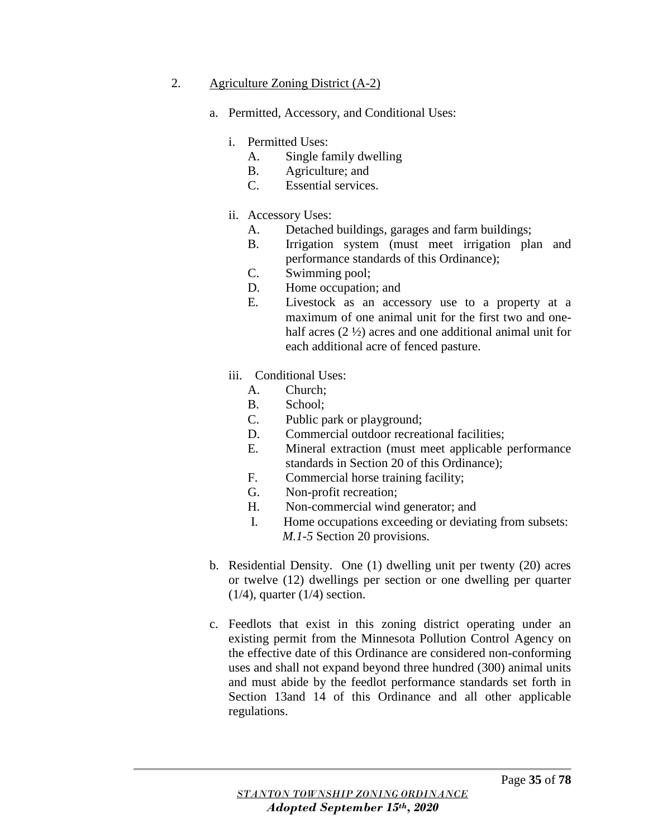#### 2. Agriculture Zoning District (A-2)

- a. Permitted, Accessory, and Conditional Uses:
	- i. Permitted Uses:
		- A. Single family dwelling
		- B. Agriculture; and
		- C. Essential services.
	- ii. Accessory Uses:
		- A. Detached buildings, garages and farm buildings;
		- B. Irrigation system (must meet irrigation plan and performance standards of this Ordinance);
		- C. Swimming pool;
		- D. Home occupation; and
		- E. Livestock as an accessory use to a property at a maximum of one animal unit for the first two and onehalf acres  $(2 \frac{1}{2})$  acres and one additional animal unit for each additional acre of fenced pasture.
	- iii. Conditional Uses:
		- A. Church;
		- B. School;
		- C. Public park or playground;
		- D. Commercial outdoor recreational facilities;
		- E. Mineral extraction (must meet applicable performance standards in Section 20 of this Ordinance);
		- F. Commercial horse training facility;
		- G. Non-profit recreation;
		- H. Non-commercial wind generator; and
		- I. Home occupations exceeding or deviating from subsets: *M.1-5* Section 20 provisions.
- b. Residential Density. One (1) dwelling unit per twenty (20) acres or twelve (12) dwellings per section or one dwelling per quarter  $(1/4)$ , quarter  $(1/4)$  section.
- c. Feedlots that exist in this zoning district operating under an existing permit from the Minnesota Pollution Control Agency on the effective date of this Ordinance are considered non-conforming uses and shall not expand beyond three hundred (300) animal units and must abide by the feedlot performance standards set forth in Section 13and 14 of this Ordinance and all other applicable regulations.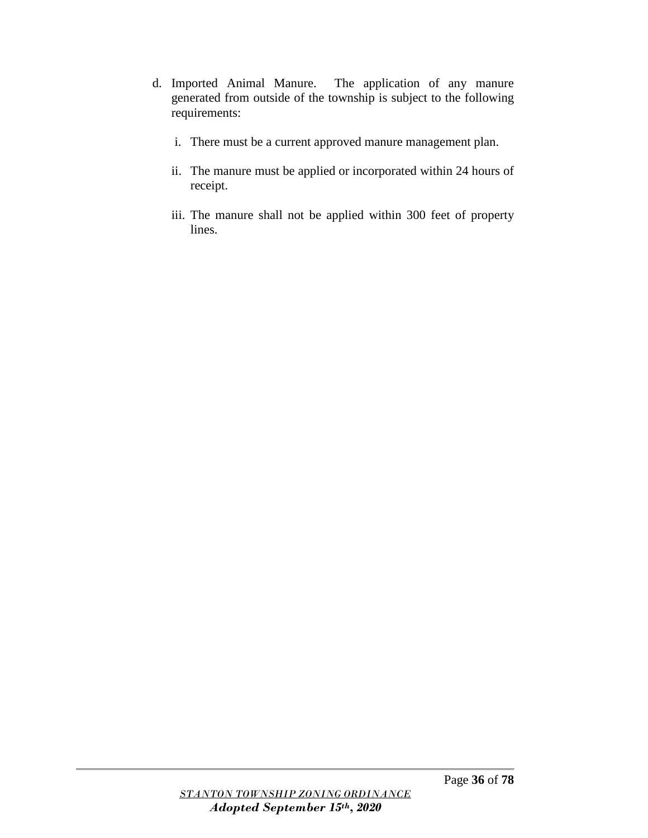- d. Imported Animal Manure. The application of any manure generated from outside of the township is subject to the following requirements:
	- i. There must be a current approved manure management plan.
	- ii. The manure must be applied or incorporated within 24 hours of receipt.
	- iii. The manure shall not be applied within 300 feet of property lines.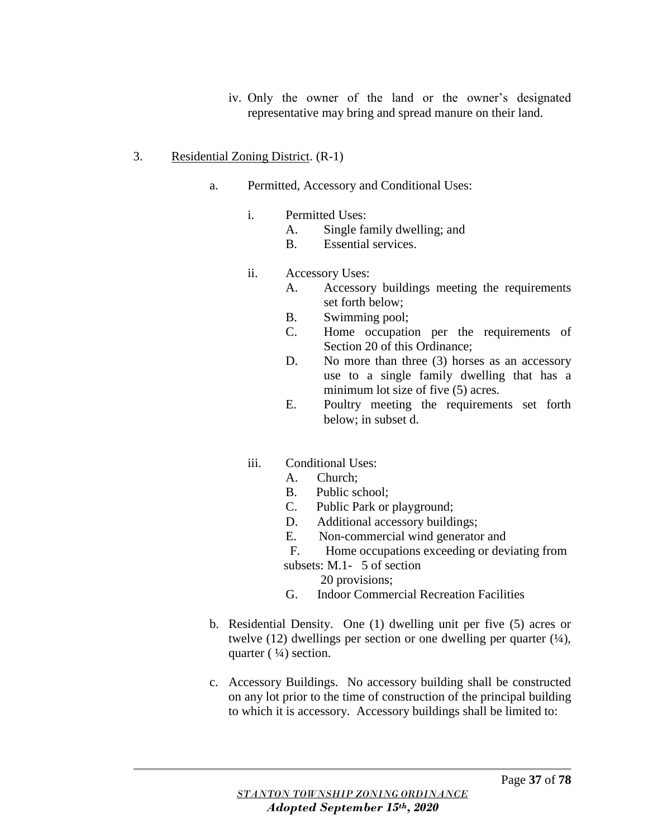iv. Only the owner of the land or the owner's designated representative may bring and spread manure on their land.

## 3. Residential Zoning District. (R-1)

- a. Permitted, Accessory and Conditional Uses:
	- i. Permitted Uses:
		- A. Single family dwelling; and
		- B. Essential services.
	- ii. Accessory Uses:
		- A. Accessory buildings meeting the requirements set forth below;
		- B. Swimming pool;
		- C. Home occupation per the requirements of Section 20 of this Ordinance;
		- D. No more than three (3) horses as an accessory use to a single family dwelling that has a minimum lot size of five (5) acres.
		- E. Poultry meeting the requirements set forth below; in subset d.
	- iii. Conditional Uses:
		- A. Church;
		- B. Public school;
		- C. Public Park or playground;
		- D. Additional accessory buildings;
		- E. Non-commercial wind generator and
		- F. Home occupations exceeding or deviating from
		- subsets: M.1- 5 of section
			- 20 provisions;
		- G. Indoor Commercial Recreation Facilities
- b. Residential Density. One (1) dwelling unit per five (5) acres or twelve  $(12)$  dwellings per section or one dwelling per quarter  $(½)$ , quarter  $( \frac{1}{4} )$  section.
- c. Accessory Buildings. No accessory building shall be constructed on any lot prior to the time of construction of the principal building to which it is accessory. Accessory buildings shall be limited to: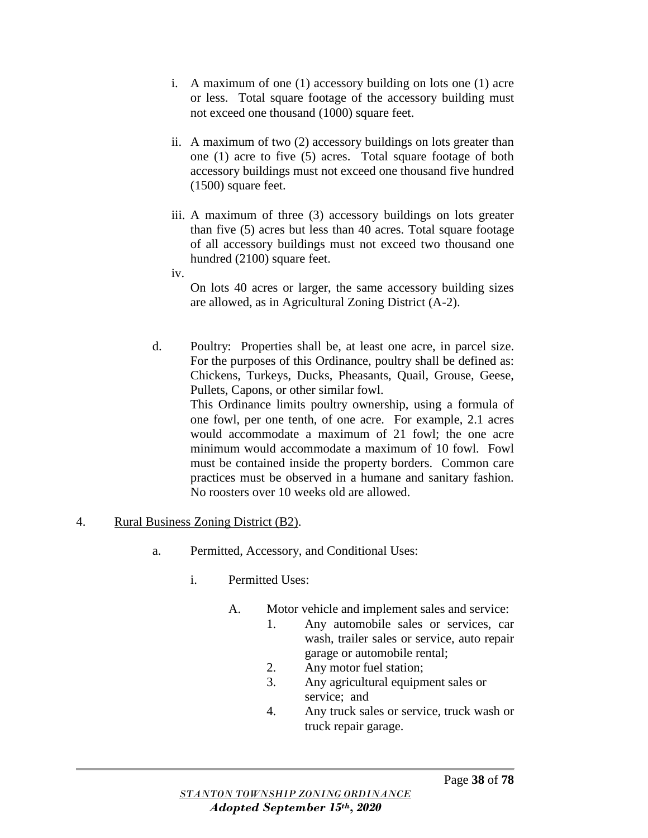- i. A maximum of one (1) accessory building on lots one (1) acre or less. Total square footage of the accessory building must not exceed one thousand (1000) square feet.
- ii. A maximum of two (2) accessory buildings on lots greater than one (1) acre to five (5) acres. Total square footage of both accessory buildings must not exceed one thousand five hundred (1500) square feet.
- iii. A maximum of three (3) accessory buildings on lots greater than five (5) acres but less than 40 acres. Total square footage of all accessory buildings must not exceed two thousand one hundred (2100) square feet.
- iv.

On lots 40 acres or larger, the same accessory building sizes are allowed, as in Agricultural Zoning District (A-2).

d. Poultry: Properties shall be, at least one acre, in parcel size. For the purposes of this Ordinance, poultry shall be defined as: Chickens, Turkeys, Ducks, Pheasants, Quail, Grouse, Geese, Pullets, Capons, or other similar fowl. This Ordinance limits poultry ownership, using a formula of

one fowl, per one tenth, of one acre. For example, 2.1 acres would accommodate a maximum of 21 fowl; the one acre minimum would accommodate a maximum of 10 fowl. Fowl must be contained inside the property borders. Common care practices must be observed in a humane and sanitary fashion. No roosters over 10 weeks old are allowed.

## 4. Rural Business Zoning District (B2).

- a. Permitted, Accessory, and Conditional Uses:
	- i. Permitted Uses:
		- A. Motor vehicle and implement sales and service:
			- 1. Any automobile sales or services, car wash, trailer sales or service, auto repair garage or automobile rental;
			- 2. Any motor fuel station;
			- 3. Any agricultural equipment sales or service; and
			- 4. Any truck sales or service, truck wash or truck repair garage.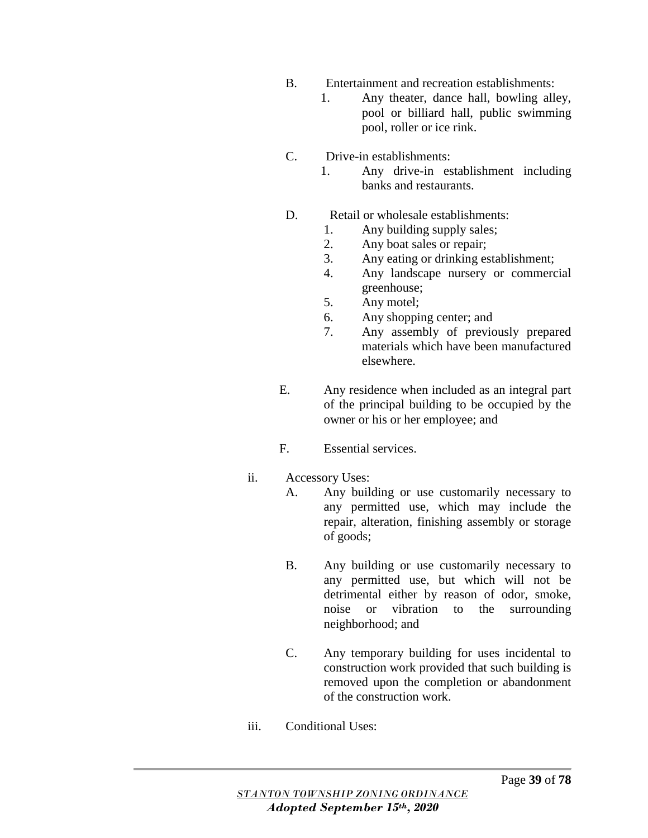- B. Entertainment and recreation establishments:
	- 1. Any theater, dance hall, bowling alley, pool or billiard hall, public swimming pool, roller or ice rink.
- C. Drive-in establishments:
	- 1. Any drive-in establishment including banks and restaurants.
- D. Retail or wholesale establishments:
	- 1. Any building supply sales;
	- 2. Any boat sales or repair;
	- 3. Any eating or drinking establishment;
	- 4. Any landscape nursery or commercial greenhouse;
	- 5. Any motel;
	- 6. Any shopping center; and
	- 7. Any assembly of previously prepared materials which have been manufactured elsewhere.
- E. Any residence when included as an integral part of the principal building to be occupied by the owner or his or her employee; and
- F. Essential services.
- ii. Accessory Uses:
	- A. Any building or use customarily necessary to any permitted use, which may include the repair, alteration, finishing assembly or storage of goods;
	- B. Any building or use customarily necessary to any permitted use, but which will not be detrimental either by reason of odor, smoke, noise or vibration to the surrounding neighborhood; and
	- C. Any temporary building for uses incidental to construction work provided that such building is removed upon the completion or abandonment of the construction work.
- iii. Conditional Uses: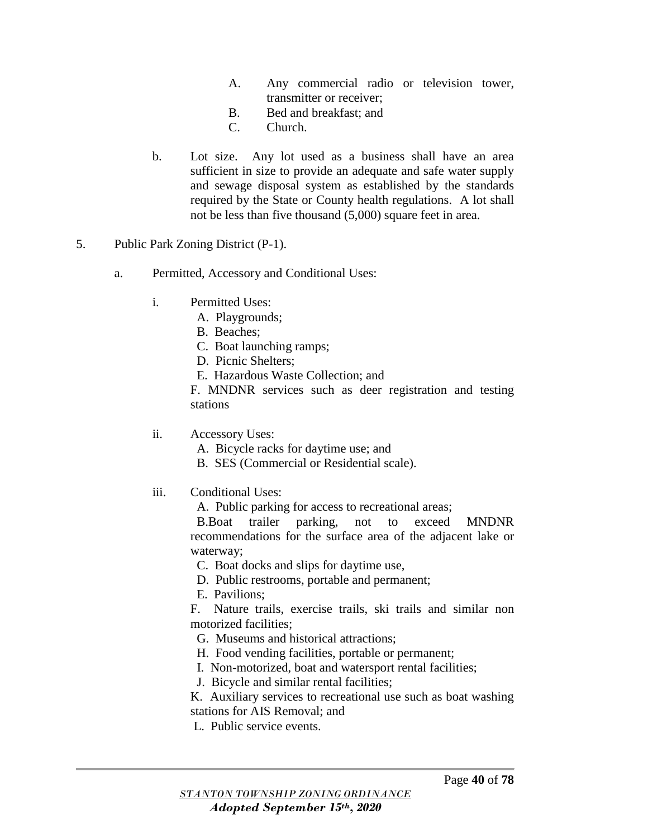- A. Any commercial radio or television tower, transmitter or receiver;
- B. Bed and breakfast; and
- C. Church.
- b. Lot size. Any lot used as a business shall have an area sufficient in size to provide an adequate and safe water supply and sewage disposal system as established by the standards required by the State or County health regulations. A lot shall not be less than five thousand (5,000) square feet in area.
- 5. Public Park Zoning District (P-1).
	- a. Permitted, Accessory and Conditional Uses:
		- i. Permitted Uses:
			- A. Playgrounds;
			- B. Beaches;
			- C. Boat launching ramps;
			- D. Picnic Shelters;
			- E. Hazardous Waste Collection; and

F. MNDNR services such as deer registration and testing stations

- ii. Accessory Uses:
	- A. Bicycle racks for daytime use; and
	- B. SES (Commercial or Residential scale).
- iii. Conditional Uses:

A. Public parking for access to recreational areas;

 B.Boat trailer parking, not to exceed MNDNR recommendations for the surface area of the adjacent lake or waterway;

- C. Boat docks and slips for daytime use,
- D. Public restrooms, portable and permanent;
- E. Pavilions;

F. Nature trails, exercise trails, ski trails and similar non motorized facilities;

- G. Museums and historical attractions;
- H. Food vending facilities, portable or permanent;
- I. Non-motorized, boat and watersport rental facilities;
- J. Bicycle and similar rental facilities;
- K. Auxiliary services to recreational use such as boat washing stations for AIS Removal; and
- L. Public service events.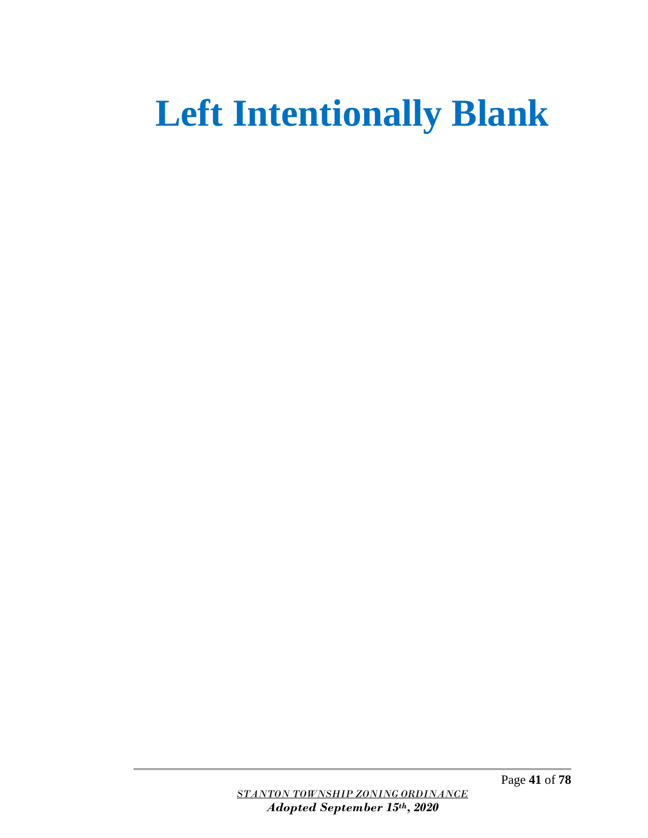# **Left Intentionally Blank**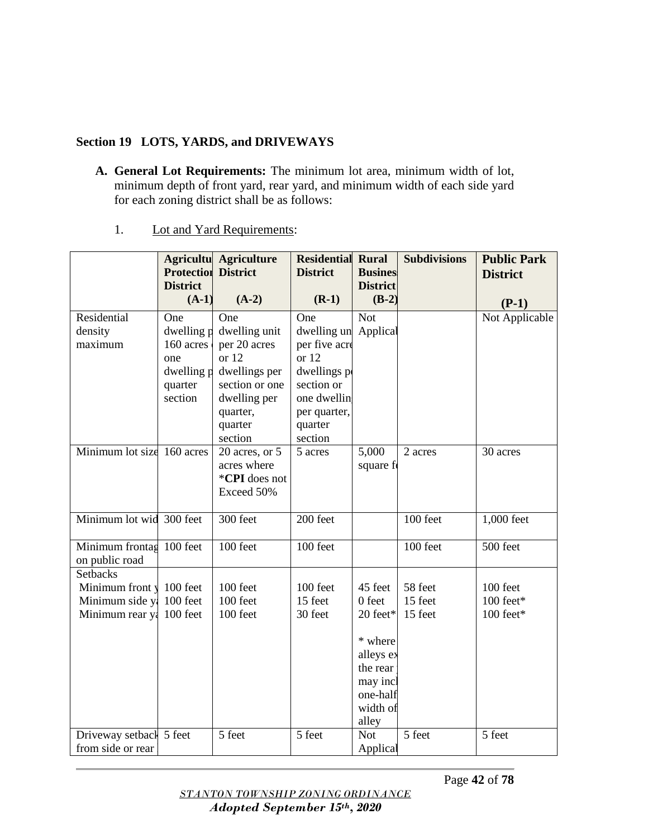# **Section 19 LOTS, YARDS, and DRIVEWAYS**

- **A. General Lot Requirements:** The minimum lot area, minimum width of lot, minimum depth of front yard, rear yard, and minimum width of each side yard for each zoning district shall be as follows:
	- 1. Lot and Yard Requirements:

|                                                                          | <b>Protection</b>                                                         | <b>Agricultu Agriculture</b><br><b>District</b>                                                                                      | <b>Residential Rural</b><br><b>District</b>                                                                                     | <b>Busines</b>                                                                                                 | <b>Subdivisions</b>           | <b>Public Park</b><br><b>District</b> |
|--------------------------------------------------------------------------|---------------------------------------------------------------------------|--------------------------------------------------------------------------------------------------------------------------------------|---------------------------------------------------------------------------------------------------------------------------------|----------------------------------------------------------------------------------------------------------------|-------------------------------|---------------------------------------|
|                                                                          | <b>District</b><br>$(A-1)$                                                | $(A-2)$                                                                                                                              | $(R-1)$                                                                                                                         | <b>District</b><br>$(B-2)$                                                                                     |                               | $(P-1)$                               |
| Residential<br>density<br>maximum                                        | One<br>dwelling p<br>160 acres<br>one<br>dwelling p<br>quarter<br>section | One<br>dwelling unit<br>per 20 acres<br>or $12$<br>dwellings per<br>section or one<br>dwelling per<br>quarter,<br>quarter<br>section | One<br>dwelling un<br>per five acre<br>or 12<br>dwellings po<br>section or<br>one dwellin<br>per quarter,<br>quarter<br>section | <b>Not</b><br>Applical                                                                                         |                               | Not Applicable                        |
| Minimum lot size 160 acres                                               |                                                                           | 20 acres, or 5<br>acres where<br>*CPI does not<br>Exceed 50%                                                                         | 5 acres                                                                                                                         | 5,000<br>square fo                                                                                             | 2 acres                       | 30 acres                              |
| Minimum lot wid 300 feet                                                 |                                                                           | 300 feet                                                                                                                             | 200 feet                                                                                                                        |                                                                                                                | 100 feet                      | 1,000 feet                            |
| Minimum frontag<br>on public road                                        | 100 feet                                                                  | 100 feet                                                                                                                             | 100 feet                                                                                                                        |                                                                                                                | 100 feet                      | 500 feet                              |
| <b>Setbacks</b><br>Minimum front y<br>Minimum side y:<br>Minimum rear ya | 100 feet<br>100 feet<br>100 feet                                          | 100 feet<br>100 feet<br>100 feet                                                                                                     | 100 feet<br>15 feet<br>30 feet                                                                                                  | 45 feet<br>0 feet<br>20 feet*<br>* where<br>alleys ex<br>the rear<br>may incl<br>one-half<br>width of<br>alley | 58 feet<br>15 feet<br>15 feet | 100 feet<br>100 feet*<br>100 feet*    |
| Driveway setback 5 feet<br>from side or rear                             |                                                                           | 5 feet                                                                                                                               | 5 feet                                                                                                                          | <b>Not</b><br>Applical                                                                                         | 5 feet                        | 5 feet                                |

Page **42** of **78**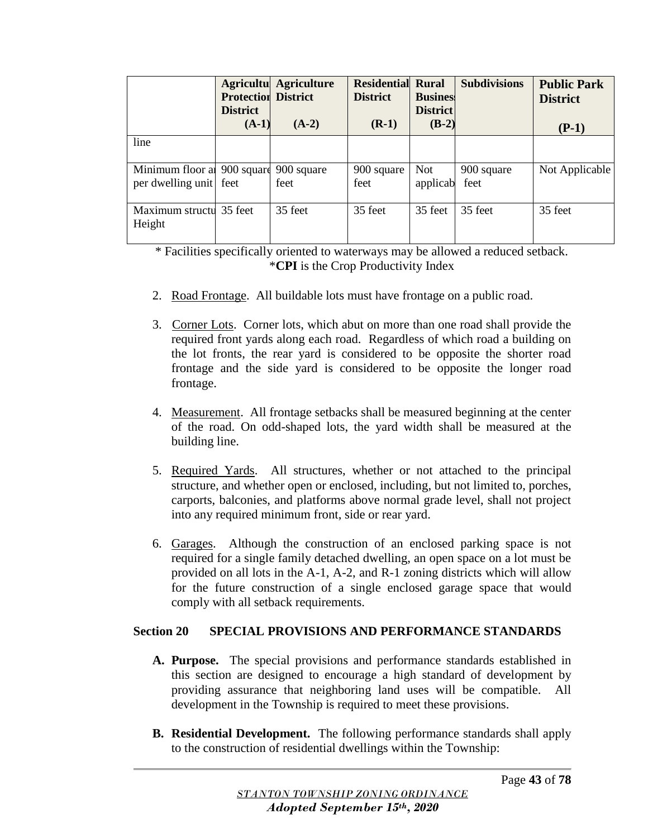|                                                       | <b>Protection District</b><br><b>District</b><br>$(A-1)$ | <b>Agricultu Agriculture</b><br>$(A-2)$ | <b>Residential Rural</b><br><b>District</b><br>$(R-1)$ | <b>Busines</b><br><b>District</b><br>$(B-2)$ | <b>Subdivisions</b> | <b>Public Park</b><br><b>District</b><br>$(P-1)$ |
|-------------------------------------------------------|----------------------------------------------------------|-----------------------------------------|--------------------------------------------------------|----------------------------------------------|---------------------|--------------------------------------------------|
| line                                                  |                                                          |                                         |                                                        |                                              |                     |                                                  |
| Minimum floor at 900 square<br>per dwelling unit feet |                                                          | 900 square<br>feet                      | 900 square<br>feet                                     | Not<br>applicab                              | 900 square<br>feet  | Not Applicable                                   |
| Maximum structu 35 feet<br>Height                     |                                                          | 35 feet                                 | 35 feet                                                | 35 feet                                      | 35 feet             | 35 feet                                          |

\* Facilities specifically oriented to waterways may be allowed a reduced setback. \***CPI** is the Crop Productivity Index

- 2. Road Frontage. All buildable lots must have frontage on a public road.
- 3. Corner Lots.Corner lots, which abut on more than one road shall provide the required front yards along each road. Regardless of which road a building on the lot fronts, the rear yard is considered to be opposite the shorter road frontage and the side yard is considered to be opposite the longer road frontage.
- 4. Measurement.All frontage setbacks shall be measured beginning at the center of the road. On odd-shaped lots, the yard width shall be measured at the building line.
- 5. Required Yards.All structures, whether or not attached to the principal structure, and whether open or enclosed, including, but not limited to, porches, carports, balconies, and platforms above normal grade level, shall not project into any required minimum front, side or rear yard.
- 6. Garages.Although the construction of an enclosed parking space is not required for a single family detached dwelling, an open space on a lot must be provided on all lots in the A-1, A-2, and R-1 zoning districts which will allow for the future construction of a single enclosed garage space that would comply with all setback requirements.

## **Section 20 SPECIAL PROVISIONS AND PERFORMANCE STANDARDS**

- **A. Purpose.** The special provisions and performance standards established in this section are designed to encourage a high standard of development by providing assurance that neighboring land uses will be compatible. All development in the Township is required to meet these provisions.
- **B. Residential Development.** The following performance standards shall apply to the construction of residential dwellings within the Township: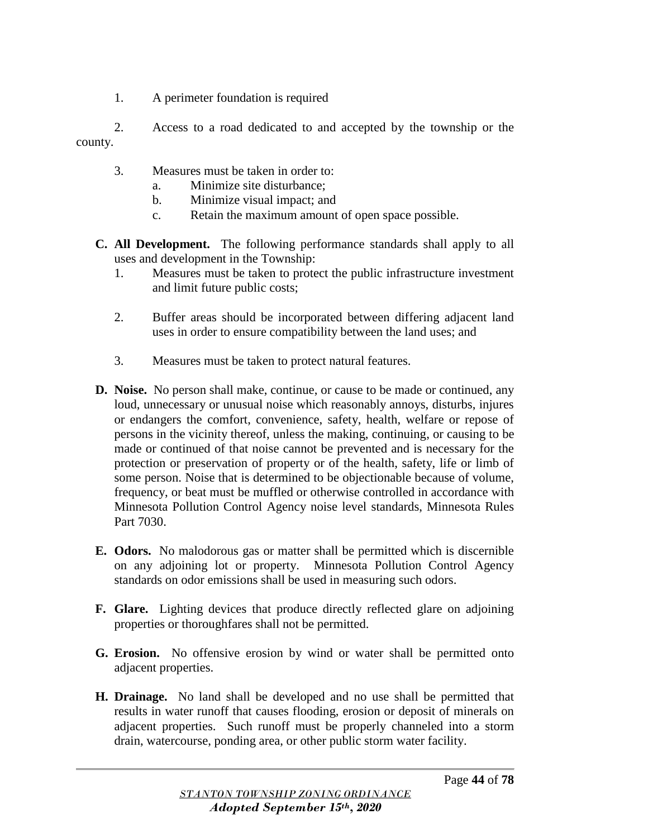1. A perimeter foundation is required

2. Access to a road dedicated to and accepted by the township or the county.

- 3. Measures must be taken in order to:
	- a. Minimize site disturbance;
	- b. Minimize visual impact; and
	- c. Retain the maximum amount of open space possible.
- **C. All Development.** The following performance standards shall apply to all uses and development in the Township:
	- 1. Measures must be taken to protect the public infrastructure investment and limit future public costs;
	- 2. Buffer areas should be incorporated between differing adjacent land uses in order to ensure compatibility between the land uses; and
	- 3. Measures must be taken to protect natural features.
- **D. Noise.** No person shall make, continue, or cause to be made or continued, any loud, unnecessary or unusual noise which reasonably annoys, disturbs, injures or endangers the comfort, convenience, safety, health, welfare or repose of persons in the vicinity thereof, unless the making, continuing, or causing to be made or continued of that noise cannot be prevented and is necessary for the protection or preservation of property or of the health, safety, life or limb of some person. Noise that is determined to be objectionable because of volume, frequency, or beat must be muffled or otherwise controlled in accordance with Minnesota Pollution Control Agency noise level standards, Minnesota Rules Part 7030.
- **E. Odors.** No malodorous gas or matter shall be permitted which is discernible on any adjoining lot or property. Minnesota Pollution Control Agency standards on odor emissions shall be used in measuring such odors.
- **F. Glare.** Lighting devices that produce directly reflected glare on adjoining properties or thoroughfares shall not be permitted.
- **G. Erosion.** No offensive erosion by wind or water shall be permitted onto adjacent properties.
- **H. Drainage.** No land shall be developed and no use shall be permitted that results in water runoff that causes flooding, erosion or deposit of minerals on adjacent properties. Such runoff must be properly channeled into a storm drain, watercourse, ponding area, or other public storm water facility.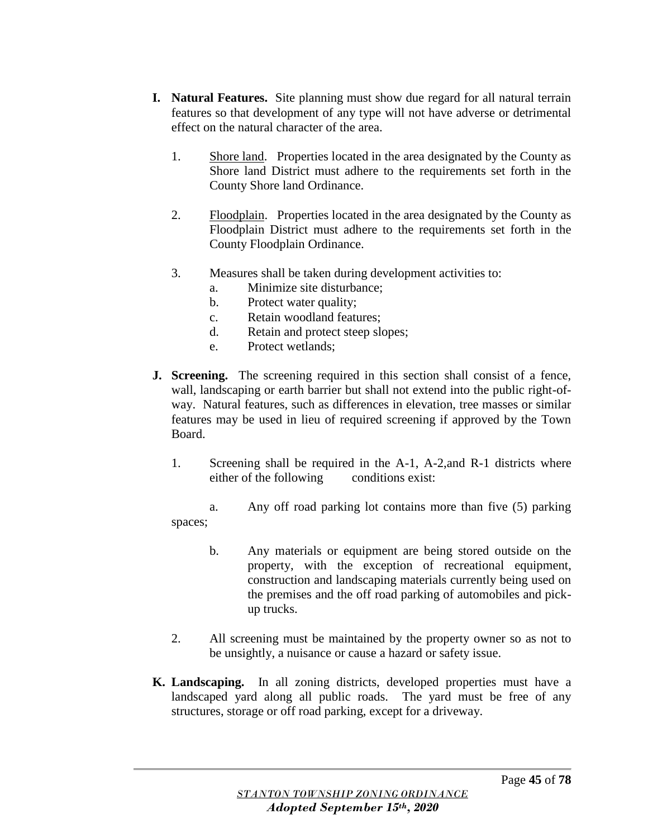- **I. Natural Features.** Site planning must show due regard for all natural terrain features so that development of any type will not have adverse or detrimental effect on the natural character of the area.
	- 1. Shore land.Properties located in the area designated by the County as Shore land District must adhere to the requirements set forth in the County Shore land Ordinance.
	- 2. Floodplain. Properties located in the area designated by the County as Floodplain District must adhere to the requirements set forth in the County Floodplain Ordinance.
	- 3. Measures shall be taken during development activities to:
		- a. Minimize site disturbance;
		- b. Protect water quality;
		- c. Retain woodland features;
		- d. Retain and protect steep slopes;
		- e. Protect wetlands;
- **J. Screening.** The screening required in this section shall consist of a fence, wall, landscaping or earth barrier but shall not extend into the public right-ofway. Natural features, such as differences in elevation, tree masses or similar features may be used in lieu of required screening if approved by the Town Board.
	- 1. Screening shall be required in the A-1, A-2,and R-1 districts where either of the following conditions exist:

a. Any off road parking lot contains more than five (5) parking spaces;

- b. Any materials or equipment are being stored outside on the property, with the exception of recreational equipment, construction and landscaping materials currently being used on the premises and the off road parking of automobiles and pickup trucks.
- 2. All screening must be maintained by the property owner so as not to be unsightly, a nuisance or cause a hazard or safety issue.
- **K. Landscaping.** In all zoning districts, developed properties must have a landscaped yard along all public roads. The yard must be free of any structures, storage or off road parking, except for a driveway.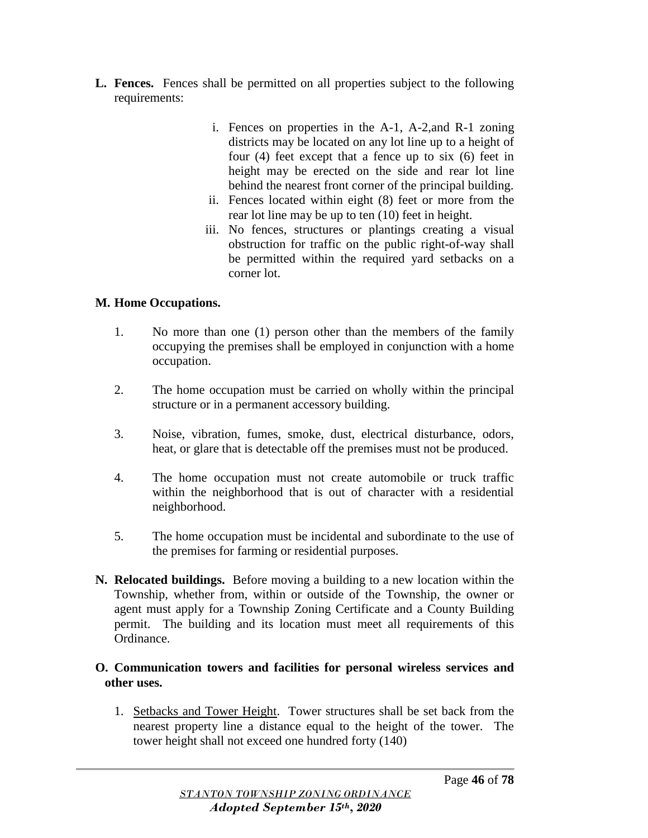- **L. Fences.** Fences shall be permitted on all properties subject to the following requirements:
	- i. Fences on properties in the A-1, A-2,and R-1 zoning districts may be located on any lot line up to a height of four (4) feet except that a fence up to six (6) feet in height may be erected on the side and rear lot line behind the nearest front corner of the principal building.
	- ii. Fences located within eight (8) feet or more from the rear lot line may be up to ten (10) feet in height.
	- iii. No fences, structures or plantings creating a visual obstruction for traffic on the public right-of-way shall be permitted within the required yard setbacks on a corner lot.

# **M. Home Occupations.**

- 1. No more than one (1) person other than the members of the family occupying the premises shall be employed in conjunction with a home occupation.
- 2. The home occupation must be carried on wholly within the principal structure or in a permanent accessory building.
- 3. Noise, vibration, fumes, smoke, dust, electrical disturbance, odors, heat, or glare that is detectable off the premises must not be produced.
- 4. The home occupation must not create automobile or truck traffic within the neighborhood that is out of character with a residential neighborhood.
- 5. The home occupation must be incidental and subordinate to the use of the premises for farming or residential purposes.
- **N. Relocated buildings.** Before moving a building to a new location within the Township, whether from, within or outside of the Township, the owner or agent must apply for a Township Zoning Certificate and a County Building permit. The building and its location must meet all requirements of this Ordinance.

## **O. Communication towers and facilities for personal wireless services and other uses.**

1. Setbacks and Tower Height.Tower structures shall be set back from the nearest property line a distance equal to the height of the tower. The tower height shall not exceed one hundred forty (140)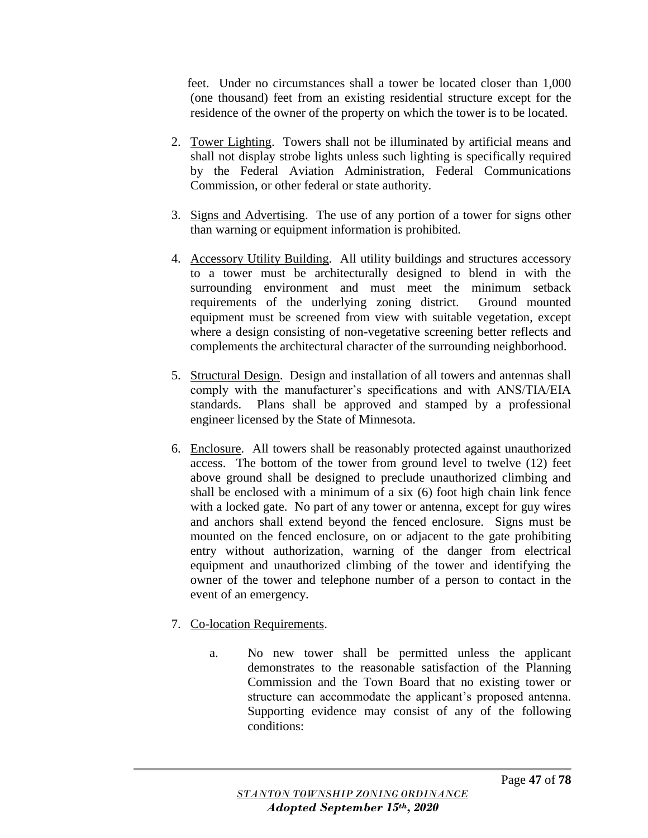feet. Under no circumstances shall a tower be located closer than 1,000 (one thousand) feet from an existing residential structure except for the residence of the owner of the property on which the tower is to be located.

- 2. Tower Lighting.Towers shall not be illuminated by artificial means and shall not display strobe lights unless such lighting is specifically required by the Federal Aviation Administration, Federal Communications Commission, or other federal or state authority.
- 3. Signs and Advertising.The use of any portion of a tower for signs other than warning or equipment information is prohibited.
- 4. Accessory Utility Building.All utility buildings and structures accessory to a tower must be architecturally designed to blend in with the surrounding environment and must meet the minimum setback requirements of the underlying zoning district. Ground mounted equipment must be screened from view with suitable vegetation, except where a design consisting of non-vegetative screening better reflects and complements the architectural character of the surrounding neighborhood.
- 5. Structural Design.Design and installation of all towers and antennas shall comply with the manufacturer's specifications and with ANS/TIA/EIA standards. Plans shall be approved and stamped by a professional engineer licensed by the State of Minnesota.
- 6. Enclosure.All towers shall be reasonably protected against unauthorized access. The bottom of the tower from ground level to twelve (12) feet above ground shall be designed to preclude unauthorized climbing and shall be enclosed with a minimum of a six (6) foot high chain link fence with a locked gate. No part of any tower or antenna, except for guy wires and anchors shall extend beyond the fenced enclosure. Signs must be mounted on the fenced enclosure, on or adjacent to the gate prohibiting entry without authorization, warning of the danger from electrical equipment and unauthorized climbing of the tower and identifying the owner of the tower and telephone number of a person to contact in the event of an emergency.
- 7. Co-location Requirements.
	- a. No new tower shall be permitted unless the applicant demonstrates to the reasonable satisfaction of the Planning Commission and the Town Board that no existing tower or structure can accommodate the applicant's proposed antenna. Supporting evidence may consist of any of the following conditions: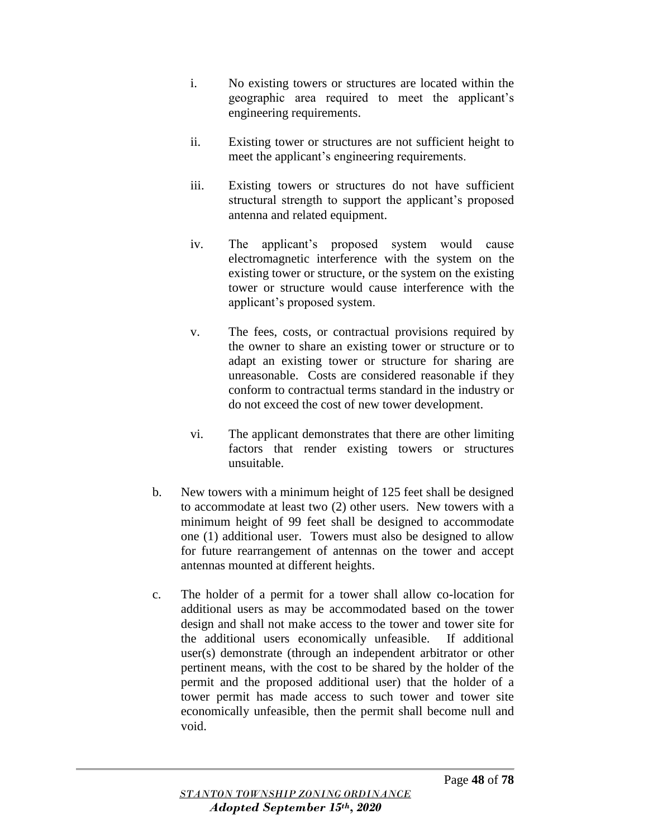- i. No existing towers or structures are located within the geographic area required to meet the applicant's engineering requirements.
- ii. Existing tower or structures are not sufficient height to meet the applicant's engineering requirements.
- iii. Existing towers or structures do not have sufficient structural strength to support the applicant's proposed antenna and related equipment.
- iv. The applicant's proposed system would cause electromagnetic interference with the system on the existing tower or structure, or the system on the existing tower or structure would cause interference with the applicant's proposed system.
- v. The fees, costs, or contractual provisions required by the owner to share an existing tower or structure or to adapt an existing tower or structure for sharing are unreasonable. Costs are considered reasonable if they conform to contractual terms standard in the industry or do not exceed the cost of new tower development.
- vi. The applicant demonstrates that there are other limiting factors that render existing towers or structures unsuitable.
- b. New towers with a minimum height of 125 feet shall be designed to accommodate at least two (2) other users. New towers with a minimum height of 99 feet shall be designed to accommodate one (1) additional user. Towers must also be designed to allow for future rearrangement of antennas on the tower and accept antennas mounted at different heights.
- c. The holder of a permit for a tower shall allow co-location for additional users as may be accommodated based on the tower design and shall not make access to the tower and tower site for the additional users economically unfeasible. If additional user(s) demonstrate (through an independent arbitrator or other pertinent means, with the cost to be shared by the holder of the permit and the proposed additional user) that the holder of a tower permit has made access to such tower and tower site economically unfeasible, then the permit shall become null and void.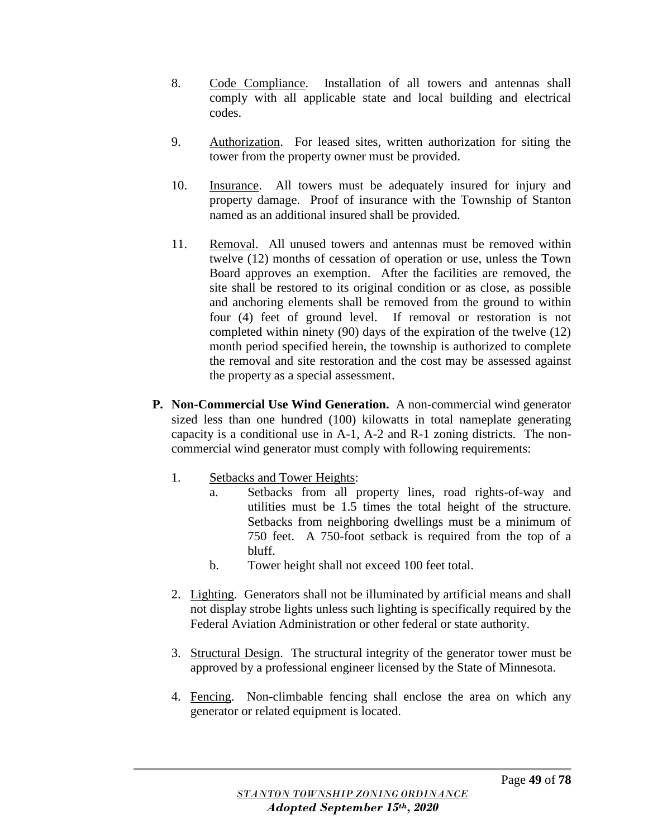- 8. Code Compliance. Installation of all towers and antennas shall comply with all applicable state and local building and electrical codes.
- 9. Authorization. For leased sites, written authorization for siting the tower from the property owner must be provided.
- 10. Insurance. All towers must be adequately insured for injury and property damage. Proof of insurance with the Township of Stanton named as an additional insured shall be provided.
- 11. Removal. All unused towers and antennas must be removed within twelve (12) months of cessation of operation or use, unless the Town Board approves an exemption. After the facilities are removed, the site shall be restored to its original condition or as close, as possible and anchoring elements shall be removed from the ground to within four (4) feet of ground level. If removal or restoration is not completed within ninety (90) days of the expiration of the twelve (12) month period specified herein, the township is authorized to complete the removal and site restoration and the cost may be assessed against the property as a special assessment.
- **P. Non-Commercial Use Wind Generation.** A non-commercial wind generator sized less than one hundred (100) kilowatts in total nameplate generating capacity is a conditional use in A-1, A-2 and R-1 zoning districts. The noncommercial wind generator must comply with following requirements:
	- 1. Setbacks and Tower Heights:
		- a. Setbacks from all property lines, road rights-of-way and utilities must be 1.5 times the total height of the structure. Setbacks from neighboring dwellings must be a minimum of 750 feet. A 750-foot setback is required from the top of a bluff.
		- b. Tower height shall not exceed 100 feet total.
	- 2. Lighting. Generators shall not be illuminated by artificial means and shall not display strobe lights unless such lighting is specifically required by the Federal Aviation Administration or other federal or state authority.
	- 3. Structural Design.The structural integrity of the generator tower must be approved by a professional engineer licensed by the State of Minnesota.
	- 4. Fencing.Non-climbable fencing shall enclose the area on which any generator or related equipment is located.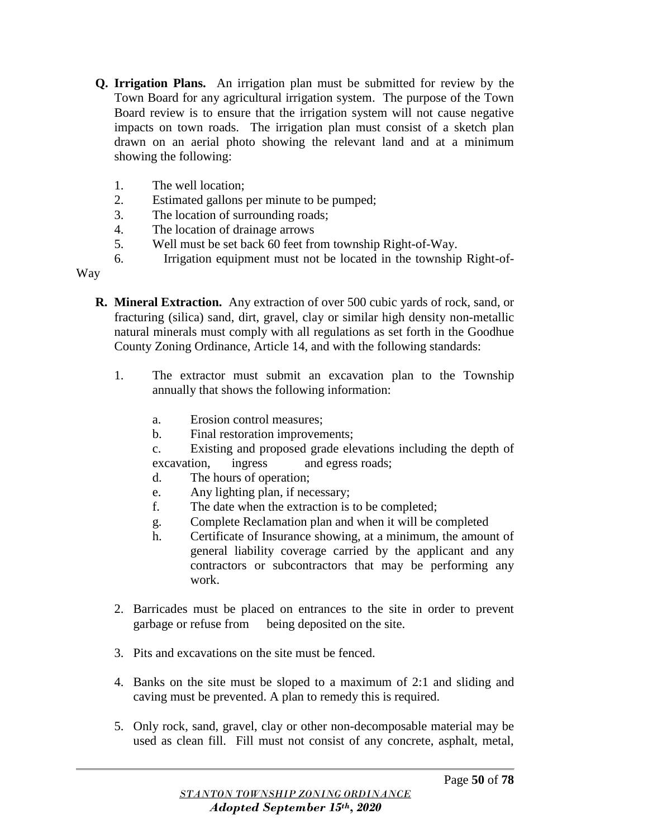- **Q. Irrigation Plans.** An irrigation plan must be submitted for review by the Town Board for any agricultural irrigation system. The purpose of the Town Board review is to ensure that the irrigation system will not cause negative impacts on town roads. The irrigation plan must consist of a sketch plan drawn on an aerial photo showing the relevant land and at a minimum showing the following:
	- 1. The well location;
	- 2. Estimated gallons per minute to be pumped;
	- 3. The location of surrounding roads;
	- 4. The location of drainage arrows
	- 5. Well must be set back 60 feet from township Right-of-Way.
	- 6. Irrigation equipment must not be located in the township Right-of-

#### Way

- **R. Mineral Extraction.** Any extraction of over 500 cubic yards of rock, sand, or fracturing (silica) sand, dirt, gravel, clay or similar high density non-metallic natural minerals must comply with all regulations as set forth in the Goodhue County Zoning Ordinance, Article 14, and with the following standards:
	- 1. The extractor must submit an excavation plan to the Township annually that shows the following information:
		- a. Erosion control measures;
		- b. Final restoration improvements;
		- c. Existing and proposed grade elevations including the depth of excavation, ingress and egress roads;
		- d. The hours of operation;
		- e. Any lighting plan, if necessary;
		- f. The date when the extraction is to be completed;
		- g. Complete Reclamation plan and when it will be completed
		- h. Certificate of Insurance showing, at a minimum, the amount of general liability coverage carried by the applicant and any contractors or subcontractors that may be performing any work.
	- 2. Barricades must be placed on entrances to the site in order to prevent garbage or refuse from being deposited on the site.
	- 3. Pits and excavations on the site must be fenced.
	- 4. Banks on the site must be sloped to a maximum of 2:1 and sliding and caving must be prevented. A plan to remedy this is required.
	- 5. Only rock, sand, gravel, clay or other non-decomposable material may be used as clean fill. Fill must not consist of any concrete, asphalt, metal,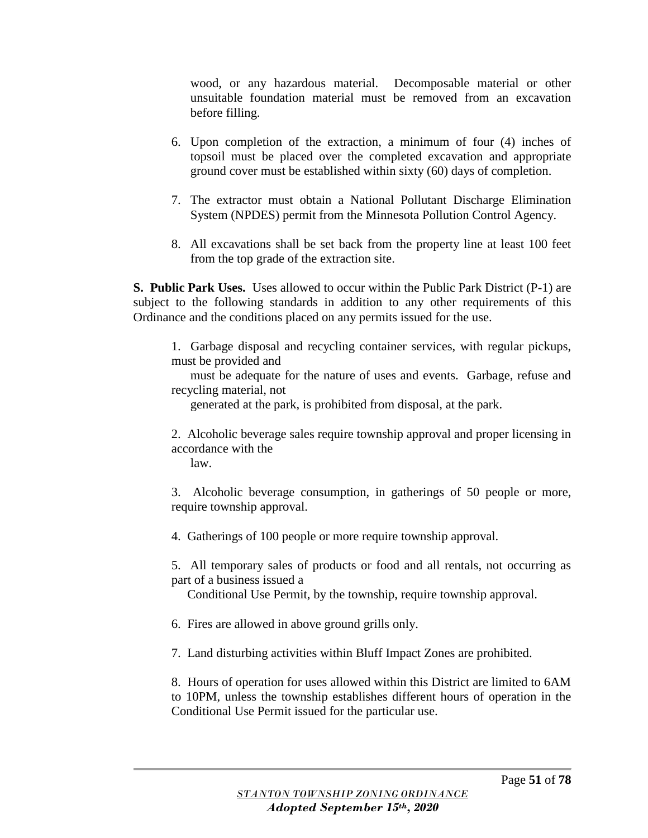wood, or any hazardous material. Decomposable material or other unsuitable foundation material must be removed from an excavation before filling.

- 6. Upon completion of the extraction, a minimum of four (4) inches of topsoil must be placed over the completed excavation and appropriate ground cover must be established within sixty (60) days of completion.
- 7. The extractor must obtain a National Pollutant Discharge Elimination System (NPDES) permit from the Minnesota Pollution Control Agency.
- 8. All excavations shall be set back from the property line at least 100 feet from the top grade of the extraction site.

**S. Public Park Uses.** Uses allowed to occur within the Public Park District (P-1) are subject to the following standards in addition to any other requirements of this Ordinance and the conditions placed on any permits issued for the use.

1. Garbage disposal and recycling container services, with regular pickups, must be provided and

 must be adequate for the nature of uses and events. Garbage, refuse and recycling material, not

generated at the park, is prohibited from disposal, at the park.

2. Alcoholic beverage sales require township approval and proper licensing in accordance with the law.

3. Alcoholic beverage consumption, in gatherings of 50 people or more, require township approval.

4. Gatherings of 100 people or more require township approval.

5. All temporary sales of products or food and all rentals, not occurring as part of a business issued a

Conditional Use Permit, by the township, require township approval.

6. Fires are allowed in above ground grills only.

7. Land disturbing activities within Bluff Impact Zones are prohibited.

8. Hours of operation for uses allowed within this District are limited to 6AM to 10PM, unless the township establishes different hours of operation in the Conditional Use Permit issued for the particular use.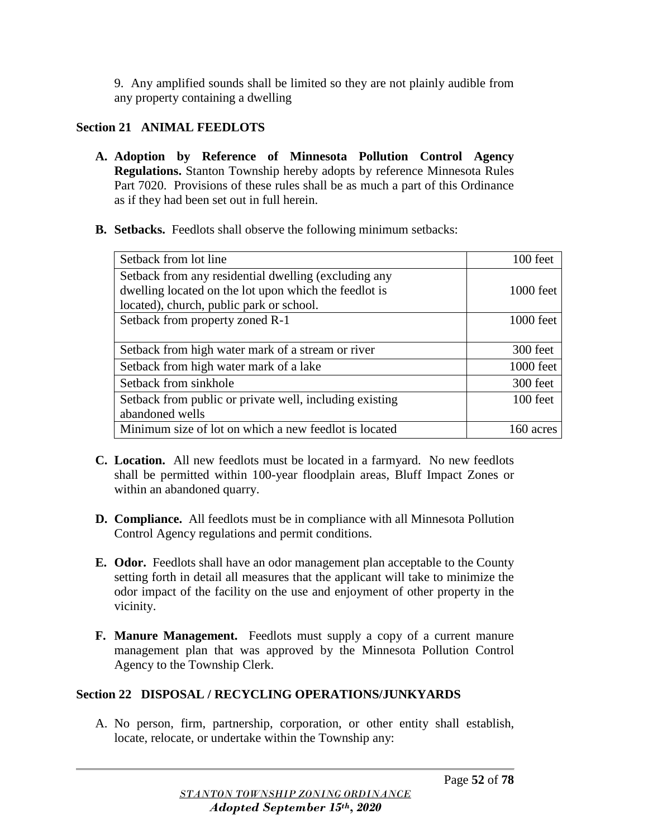9. Any amplified sounds shall be limited so they are not plainly audible from any property containing a dwelling

# **Section 21 ANIMAL FEEDLOTS**

- **A. Adoption by Reference of Minnesota Pollution Control Agency Regulations.** Stanton Township hereby adopts by reference Minnesota Rules Part 7020. Provisions of these rules shall be as much a part of this Ordinance as if they had been set out in full herein.
- **B. Setbacks.** Feedlots shall observe the following minimum setbacks:

| Setback from lot line                                   | 100 feet  |
|---------------------------------------------------------|-----------|
| Setback from any residential dwelling (excluding any    |           |
| dwelling located on the lot upon which the feedlot is   | 1000 feet |
| located), church, public park or school.                |           |
| Setback from property zoned R-1                         | 1000 feet |
|                                                         |           |
| Setback from high water mark of a stream or river       | 300 feet  |
| Setback from high water mark of a lake                  | 1000 feet |
| Setback from sinkhole                                   | 300 feet  |
| Setback from public or private well, including existing | 100 feet  |
| abandoned wells                                         |           |
| Minimum size of lot on which a new feedlot is located   | 160 acres |

- **C. Location.** All new feedlots must be located in a farmyard. No new feedlots shall be permitted within 100-year floodplain areas, Bluff Impact Zones or within an abandoned quarry.
- **D. Compliance.** All feedlots must be in compliance with all Minnesota Pollution Control Agency regulations and permit conditions.
- **E. Odor.** Feedlots shall have an odor management plan acceptable to the County setting forth in detail all measures that the applicant will take to minimize the odor impact of the facility on the use and enjoyment of other property in the vicinity.
- **F. Manure Management.** Feedlots must supply a copy of a current manure management plan that was approved by the Minnesota Pollution Control Agency to the Township Clerk.

# **Section 22 DISPOSAL / RECYCLING OPERATIONS/JUNKYARDS**

A. No person, firm, partnership, corporation, or other entity shall establish, locate, relocate, or undertake within the Township any: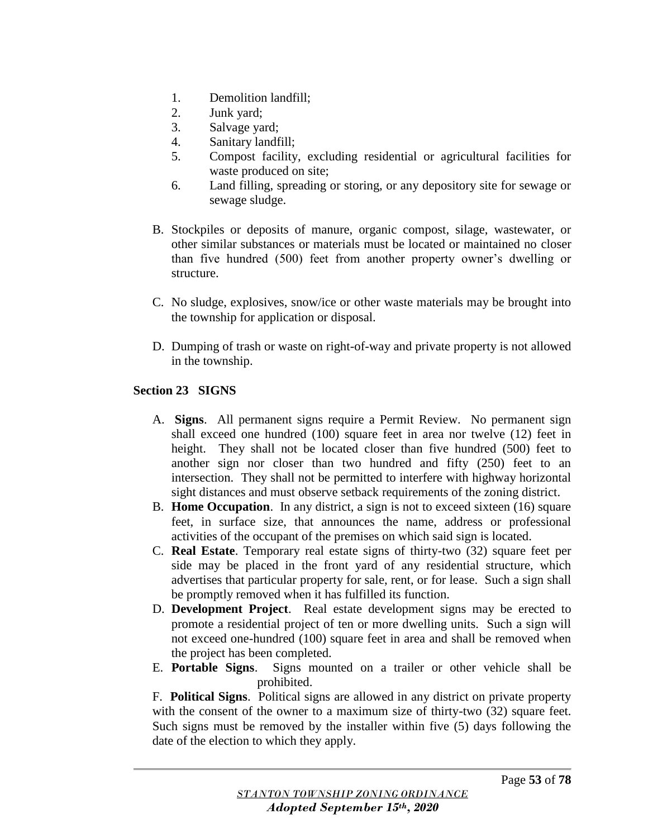- 1. Demolition landfill;
- 2. Junk yard;
- 3. Salvage yard;
- 4. Sanitary landfill;
- 5. Compost facility, excluding residential or agricultural facilities for waste produced on site;
- 6. Land filling, spreading or storing, or any depository site for sewage or sewage sludge.
- B. Stockpiles or deposits of manure, organic compost, silage, wastewater, or other similar substances or materials must be located or maintained no closer than five hundred (500) feet from another property owner's dwelling or structure.
- C. No sludge, explosives, snow/ice or other waste materials may be brought into the township for application or disposal.
- D. Dumping of trash or waste on right-of-way and private property is not allowed in the township.

## **Section 23 SIGNS**

- A. **Signs**. All permanent signs require a Permit Review. No permanent sign shall exceed one hundred (100) square feet in area nor twelve (12) feet in height. They shall not be located closer than five hundred (500) feet to another sign nor closer than two hundred and fifty (250) feet to an intersection. They shall not be permitted to interfere with highway horizontal sight distances and must observe setback requirements of the zoning district.
- B. **Home Occupation**. In any district, a sign is not to exceed sixteen (16) square feet, in surface size, that announces the name, address or professional activities of the occupant of the premises on which said sign is located.
- C. **Real Estate**. Temporary real estate signs of thirty-two (32) square feet per side may be placed in the front yard of any residential structure, which advertises that particular property for sale, rent, or for lease. Such a sign shall be promptly removed when it has fulfilled its function.
- D. **Development Project**. Real estate development signs may be erected to promote a residential project of ten or more dwelling units. Such a sign will not exceed one-hundred (100) square feet in area and shall be removed when the project has been completed.
- E. **Portable Signs**. Signs mounted on a trailer or other vehicle shall be prohibited.

F. **Political Signs**. Political signs are allowed in any district on private property with the consent of the owner to a maximum size of thirty-two (32) square feet. Such signs must be removed by the installer within five (5) days following the date of the election to which they apply.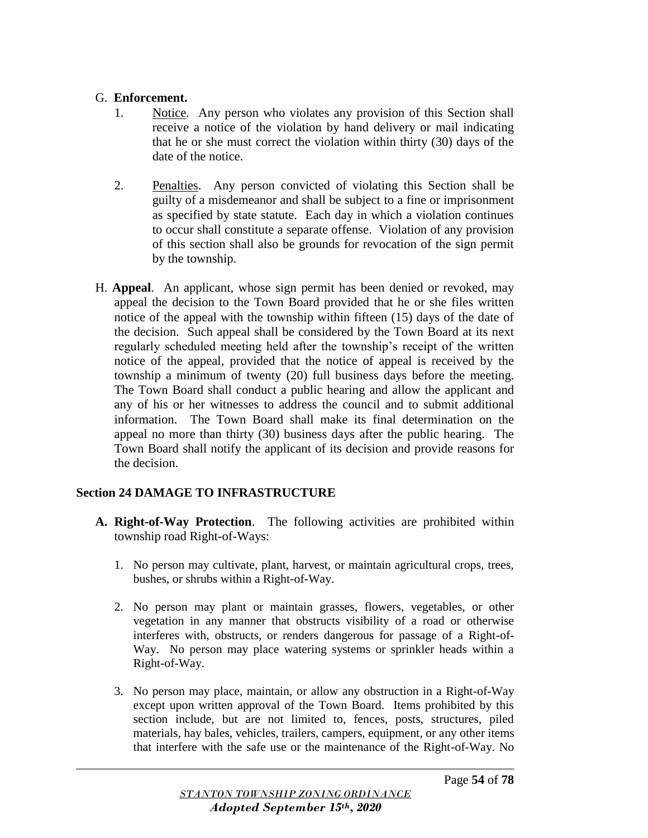## G. **Enforcement.**

- 1. Notice. Any person who violates any provision of this Section shall receive a notice of the violation by hand delivery or mail indicating that he or she must correct the violation within thirty (30) days of the date of the notice.
- 2. Penalties. Any person convicted of violating this Section shall be guilty of a misdemeanor and shall be subject to a fine or imprisonment as specified by state statute. Each day in which a violation continues to occur shall constitute a separate offense. Violation of any provision of this section shall also be grounds for revocation of the sign permit by the township.
- H. **Appeal**. An applicant, whose sign permit has been denied or revoked, may appeal the decision to the Town Board provided that he or she files written notice of the appeal with the township within fifteen (15) days of the date of the decision. Such appeal shall be considered by the Town Board at its next regularly scheduled meeting held after the township's receipt of the written notice of the appeal, provided that the notice of appeal is received by the township a minimum of twenty (20) full business days before the meeting. The Town Board shall conduct a public hearing and allow the applicant and any of his or her witnesses to address the council and to submit additional information. The Town Board shall make its final determination on the appeal no more than thirty (30) business days after the public hearing. The Town Board shall notify the applicant of its decision and provide reasons for the decision.

# **Section 24 DAMAGE TO INFRASTRUCTURE**

- **A. Right-of-Way Protection**. The following activities are prohibited within township road Right-of-Ways:
	- 1. No person may cultivate, plant, harvest, or maintain agricultural crops, trees, bushes, or shrubs within a Right-of-Way.
	- 2. No person may plant or maintain grasses, flowers, vegetables, or other vegetation in any manner that obstructs visibility of a road or otherwise interferes with, obstructs, or renders dangerous for passage of a Right-of-Way. No person may place watering systems or sprinkler heads within a Right-of-Way.
	- 3. No person may place, maintain, or allow any obstruction in a Right-of-Way except upon written approval of the Town Board. Items prohibited by this section include, but are not limited to, fences, posts, structures, piled materials, hay bales, vehicles, trailers, campers, equipment, or any other items that interfere with the safe use or the maintenance of the Right-of-Way. No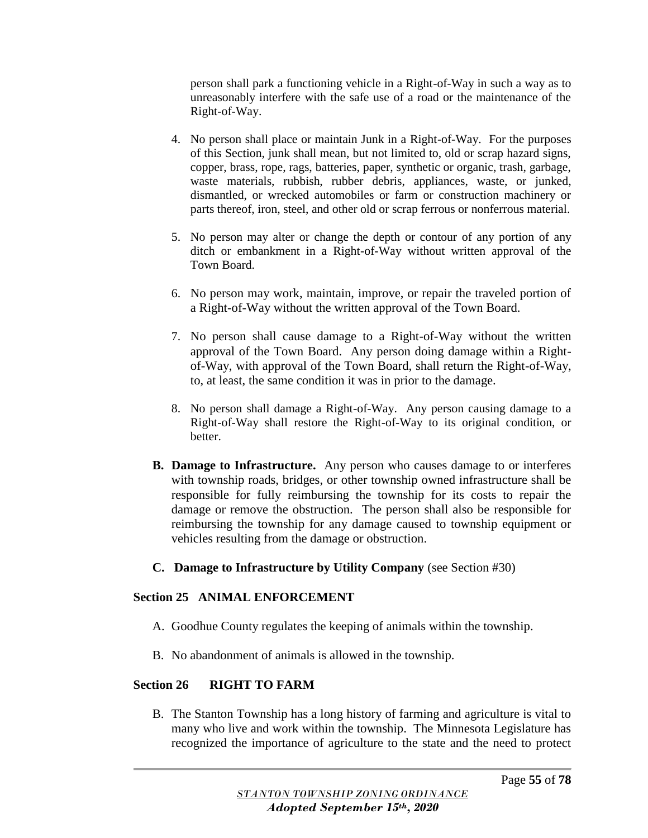person shall park a functioning vehicle in a Right-of-Way in such a way as to unreasonably interfere with the safe use of a road or the maintenance of the Right-of-Way.

- 4. No person shall place or maintain Junk in a Right-of-Way. For the purposes of this Section, junk shall mean, but not limited to, old or scrap hazard signs, copper, brass, rope, rags, batteries, paper, synthetic or organic, trash, garbage, waste materials, rubbish, rubber debris, appliances, waste, or junked, dismantled, or wrecked automobiles or farm or construction machinery or parts thereof, iron, steel, and other old or scrap ferrous or nonferrous material.
- 5. No person may alter or change the depth or contour of any portion of any ditch or embankment in a Right-of-Way without written approval of the Town Board.
- 6. No person may work, maintain, improve, or repair the traveled portion of a Right-of-Way without the written approval of the Town Board.
- 7. No person shall cause damage to a Right-of-Way without the written approval of the Town Board. Any person doing damage within a Rightof-Way, with approval of the Town Board, shall return the Right-of-Way, to, at least, the same condition it was in prior to the damage.
- 8. No person shall damage a Right-of-Way. Any person causing damage to a Right-of-Way shall restore the Right-of-Way to its original condition, or better.
- **B. Damage to Infrastructure.** Any person who causes damage to or interferes with township roads, bridges, or other township owned infrastructure shall be responsible for fully reimbursing the township for its costs to repair the damage or remove the obstruction. The person shall also be responsible for reimbursing the township for any damage caused to township equipment or vehicles resulting from the damage or obstruction.
- **C. Damage to Infrastructure by Utility Company** (see Section #30)

# **Section 25 ANIMAL ENFORCEMENT**

- A. Goodhue County regulates the keeping of animals within the township.
- B. No abandonment of animals is allowed in the township.

# **Section 26 RIGHT TO FARM**

B. The Stanton Township has a long history of farming and agriculture is vital to many who live and work within the township. The Minnesota Legislature has recognized the importance of agriculture to the state and the need to protect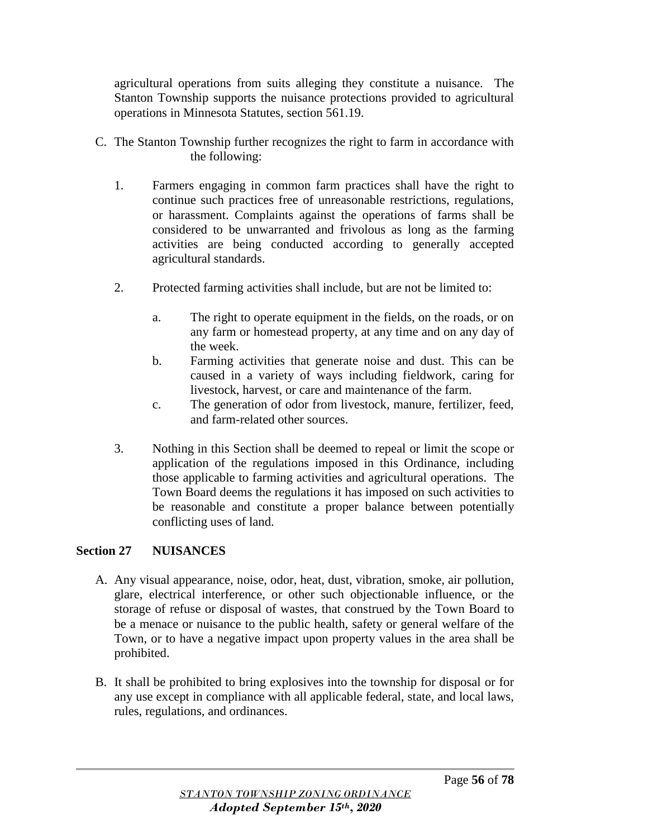agricultural operations from suits alleging they constitute a nuisance. The Stanton Township supports the nuisance protections provided to agricultural operations in Minnesota Statutes, section 561.19.

- C. The Stanton Township further recognizes the right to farm in accordance with the following:
	- 1. Farmers engaging in common farm practices shall have the right to continue such practices free of unreasonable restrictions, regulations, or harassment. Complaints against the operations of farms shall be considered to be unwarranted and frivolous as long as the farming activities are being conducted according to generally accepted agricultural standards.
	- 2. Protected farming activities shall include, but are not be limited to:
		- a. The right to operate equipment in the fields, on the roads, or on any farm or homestead property, at any time and on any day of the week.
		- b. Farming activities that generate noise and dust. This can be caused in a variety of ways including fieldwork, caring for livestock, harvest, or care and maintenance of the farm.
		- c. The generation of odor from livestock, manure, fertilizer, feed, and farm-related other sources.
	- 3. Nothing in this Section shall be deemed to repeal or limit the scope or application of the regulations imposed in this Ordinance, including those applicable to farming activities and agricultural operations. The Town Board deems the regulations it has imposed on such activities to be reasonable and constitute a proper balance between potentially conflicting uses of land.

# **Section 27 NUISANCES**

- A. Any visual appearance, noise, odor, heat, dust, vibration, smoke, air pollution, glare, electrical interference, or other such objectionable influence, or the storage of refuse or disposal of wastes, that construed by the Town Board to be a menace or nuisance to the public health, safety or general welfare of the Town, or to have a negative impact upon property values in the area shall be prohibited.
- B. It shall be prohibited to bring explosives into the township for disposal or for any use except in compliance with all applicable federal, state, and local laws, rules, regulations, and ordinances.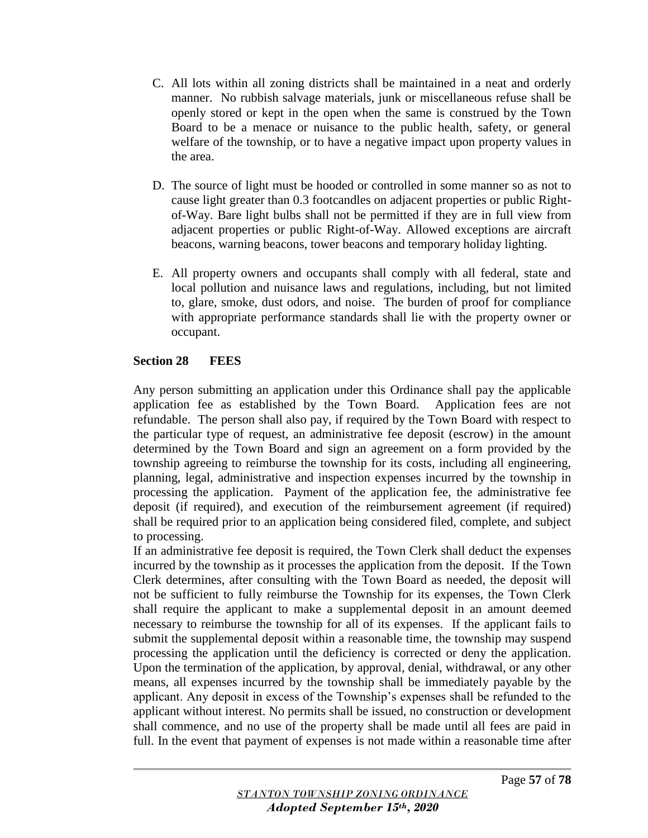- C. All lots within all zoning districts shall be maintained in a neat and orderly manner. No rubbish salvage materials, junk or miscellaneous refuse shall be openly stored or kept in the open when the same is construed by the Town Board to be a menace or nuisance to the public health, safety, or general welfare of the township, or to have a negative impact upon property values in the area.
- D. The source of light must be hooded or controlled in some manner so as not to cause light greater than 0.3 footcandles on adjacent properties or public Rightof-Way. Bare light bulbs shall not be permitted if they are in full view from adjacent properties or public Right-of-Way. Allowed exceptions are aircraft beacons, warning beacons, tower beacons and temporary holiday lighting.
- E. All property owners and occupants shall comply with all federal, state and local pollution and nuisance laws and regulations, including, but not limited to, glare, smoke, dust odors, and noise. The burden of proof for compliance with appropriate performance standards shall lie with the property owner or occupant.

# **Section 28 FEES**

Any person submitting an application under this Ordinance shall pay the applicable application fee as established by the Town Board. Application fees are not refundable. The person shall also pay, if required by the Town Board with respect to the particular type of request, an administrative fee deposit (escrow) in the amount determined by the Town Board and sign an agreement on a form provided by the township agreeing to reimburse the township for its costs, including all engineering, planning, legal, administrative and inspection expenses incurred by the township in processing the application. Payment of the application fee, the administrative fee deposit (if required), and execution of the reimbursement agreement (if required) shall be required prior to an application being considered filed, complete, and subject to processing.

If an administrative fee deposit is required, the Town Clerk shall deduct the expenses incurred by the township as it processes the application from the deposit. If the Town Clerk determines, after consulting with the Town Board as needed, the deposit will not be sufficient to fully reimburse the Township for its expenses, the Town Clerk shall require the applicant to make a supplemental deposit in an amount deemed necessary to reimburse the township for all of its expenses. If the applicant fails to submit the supplemental deposit within a reasonable time, the township may suspend processing the application until the deficiency is corrected or deny the application. Upon the termination of the application, by approval, denial, withdrawal, or any other means, all expenses incurred by the township shall be immediately payable by the applicant. Any deposit in excess of the Township's expenses shall be refunded to the applicant without interest. No permits shall be issued, no construction or development shall commence, and no use of the property shall be made until all fees are paid in full. In the event that payment of expenses is not made within a reasonable time after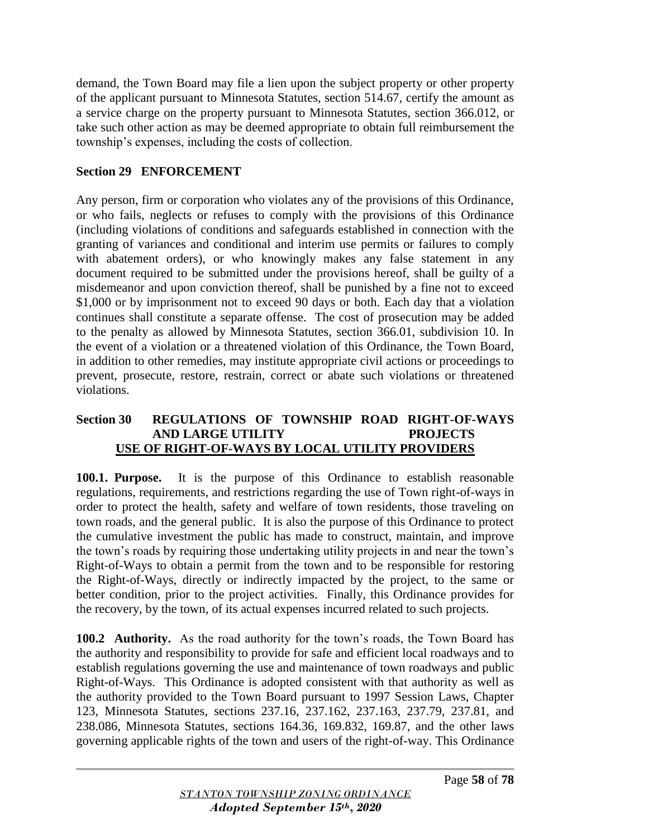demand, the Town Board may file a lien upon the subject property or other property of the applicant pursuant to Minnesota Statutes, section 514.67, certify the amount as a service charge on the property pursuant to Minnesota Statutes, section 366.012, or take such other action as may be deemed appropriate to obtain full reimbursement the township's expenses, including the costs of collection.

## **Section 29 ENFORCEMENT**

Any person, firm or corporation who violates any of the provisions of this Ordinance, or who fails, neglects or refuses to comply with the provisions of this Ordinance (including violations of conditions and safeguards established in connection with the granting of variances and conditional and interim use permits or failures to comply with abatement orders), or who knowingly makes any false statement in any document required to be submitted under the provisions hereof, shall be guilty of a misdemeanor and upon conviction thereof, shall be punished by a fine not to exceed \$1,000 or by imprisonment not to exceed 90 days or both. Each day that a violation continues shall constitute a separate offense. The cost of prosecution may be added to the penalty as allowed by Minnesota Statutes, section 366.01, subdivision 10. In the event of a violation or a threatened violation of this Ordinance, the Town Board, in addition to other remedies, may institute appropriate civil actions or proceedings to prevent, prosecute, restore, restrain, correct or abate such violations or threatened violations.

## **Section 30 REGULATIONS OF TOWNSHIP ROAD RIGHT-OF-WAYS AND LARGE UTILITY PROJECTS USE OF RIGHT-OF-WAYS BY LOCAL UTILITY PROVIDERS**

**100.1. Purpose.** It is the purpose of this Ordinance to establish reasonable regulations, requirements, and restrictions regarding the use of Town right-of-ways in order to protect the health, safety and welfare of town residents, those traveling on town roads, and the general public. It is also the purpose of this Ordinance to protect the cumulative investment the public has made to construct, maintain, and improve the town's roads by requiring those undertaking utility projects in and near the town's Right-of-Ways to obtain a permit from the town and to be responsible for restoring the Right-of-Ways, directly or indirectly impacted by the project, to the same or better condition, prior to the project activities. Finally, this Ordinance provides for the recovery, by the town, of its actual expenses incurred related to such projects.

**100.2 Authority.** As the road authority for the town's roads, the Town Board has the authority and responsibility to provide for safe and efficient local roadways and to establish regulations governing the use and maintenance of town roadways and public Right-of-Ways. This Ordinance is adopted consistent with that authority as well as the authority provided to the Town Board pursuant to 1997 Session Laws, Chapter 123, Minnesota Statutes, sections 237.16, 237.162, 237.163, 237.79, 237.81, and 238.086, Minnesota Statutes, sections 164.36, 169.832, 169.87, and the other laws governing applicable rights of the town and users of the right-of-way. This Ordinance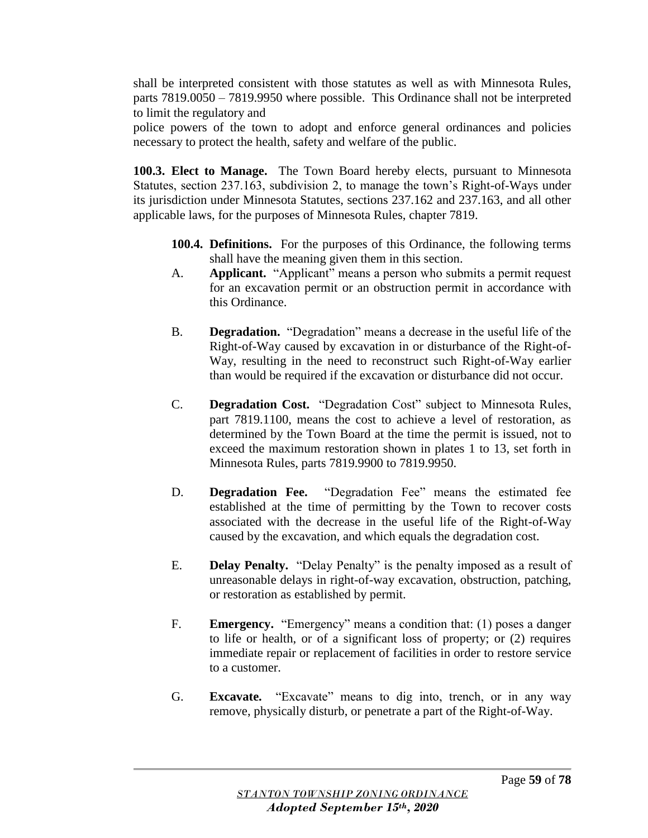shall be interpreted consistent with those statutes as well as with Minnesota Rules, parts 7819.0050 – 7819.9950 where possible. This Ordinance shall not be interpreted to limit the regulatory and

police powers of the town to adopt and enforce general ordinances and policies necessary to protect the health, safety and welfare of the public.

**100.3. Elect to Manage.** The Town Board hereby elects, pursuant to Minnesota Statutes, section 237.163, subdivision 2, to manage the town's Right-of-Ways under its jurisdiction under Minnesota Statutes, sections 237.162 and 237.163, and all other applicable laws, for the purposes of Minnesota Rules, chapter 7819.

- **100.4. Definitions.** For the purposes of this Ordinance, the following terms shall have the meaning given them in this section.
- A. **Applicant.** "Applicant" means a person who submits a permit request for an excavation permit or an obstruction permit in accordance with this Ordinance.
- B. **Degradation.** "Degradation" means a decrease in the useful life of the Right-of-Way caused by excavation in or disturbance of the Right-of-Way, resulting in the need to reconstruct such Right-of-Way earlier than would be required if the excavation or disturbance did not occur.
- C. **Degradation Cost.** "Degradation Cost" subject to Minnesota Rules, part 7819.1100, means the cost to achieve a level of restoration, as determined by the Town Board at the time the permit is issued, not to exceed the maximum restoration shown in plates 1 to 13, set forth in Minnesota Rules, parts 7819.9900 to 7819.9950.
- D. **Degradation Fee.** "Degradation Fee" means the estimated fee established at the time of permitting by the Town to recover costs associated with the decrease in the useful life of the Right-of-Way caused by the excavation, and which equals the degradation cost.
- E. **Delay Penalty.** "Delay Penalty" is the penalty imposed as a result of unreasonable delays in right-of-way excavation, obstruction, patching, or restoration as established by permit.
- F. **Emergency.** "Emergency" means a condition that: (1) poses a danger to life or health, or of a significant loss of property; or (2) requires immediate repair or replacement of facilities in order to restore service to a customer.
- G. **Excavate.** "Excavate" means to dig into, trench, or in any way remove, physically disturb, or penetrate a part of the Right-of-Way.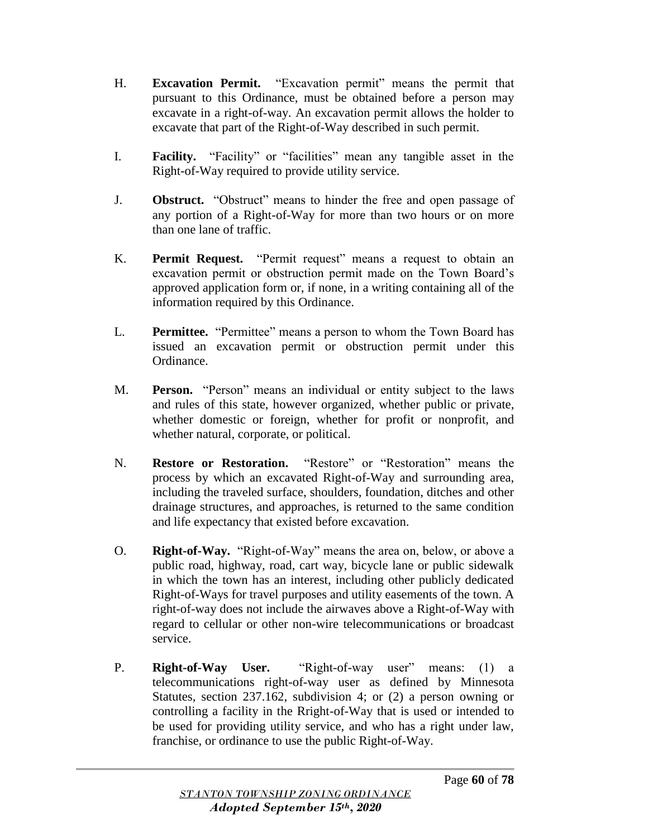- H. **Excavation Permit.** "Excavation permit" means the permit that pursuant to this Ordinance, must be obtained before a person may excavate in a right-of-way. An excavation permit allows the holder to excavate that part of the Right-of-Way described in such permit.
- I. **Facility.** "Facility" or "facilities" mean any tangible asset in the Right-of-Way required to provide utility service.
- J. **Obstruct.** "Obstruct" means to hinder the free and open passage of any portion of a Right-of-Way for more than two hours or on more than one lane of traffic.
- K. **Permit Request.** "Permit request" means a request to obtain an excavation permit or obstruction permit made on the Town Board's approved application form or, if none, in a writing containing all of the information required by this Ordinance.
- L. **Permittee.** "Permittee" means a person to whom the Town Board has issued an excavation permit or obstruction permit under this Ordinance.
- M. **Person.** "Person" means an individual or entity subject to the laws and rules of this state, however organized, whether public or private, whether domestic or foreign, whether for profit or nonprofit, and whether natural, corporate, or political.
- N. **Restore or Restoration.** "Restore" or "Restoration" means the process by which an excavated Right-of-Way and surrounding area, including the traveled surface, shoulders, foundation, ditches and other drainage structures, and approaches, is returned to the same condition and life expectancy that existed before excavation.
- O. **Right-of-Way.** "Right-of-Way" means the area on, below, or above a public road, highway, road, cart way, bicycle lane or public sidewalk in which the town has an interest, including other publicly dedicated Right-of-Ways for travel purposes and utility easements of the town. A right-of-way does not include the airwaves above a Right-of-Way with regard to cellular or other non-wire telecommunications or broadcast service.
- P. **Right-of-Way User.** "Right-of-way user" means: (1) a telecommunications right-of-way user as defined by Minnesota Statutes, section 237.162, subdivision 4; or (2) a person owning or controlling a facility in the Rright-of-Way that is used or intended to be used for providing utility service, and who has a right under law, franchise, or ordinance to use the public Right-of-Way.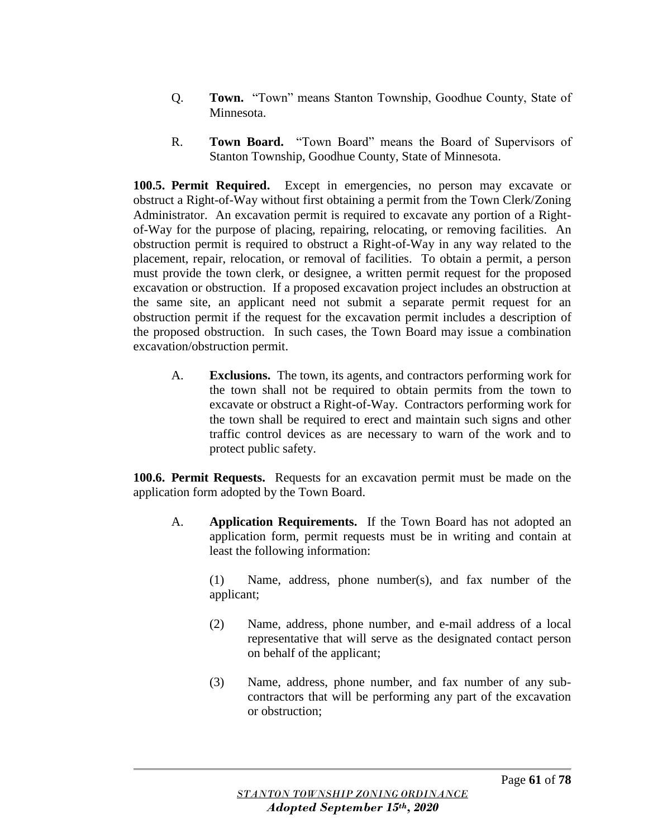- Q. **Town.** "Town" means Stanton Township, Goodhue County, State of Minnesota.
- R. **Town Board.** "Town Board" means the Board of Supervisors of Stanton Township, Goodhue County, State of Minnesota.

**100.5. Permit Required.** Except in emergencies, no person may excavate or obstruct a Right-of-Way without first obtaining a permit from the Town Clerk/Zoning Administrator. An excavation permit is required to excavate any portion of a Rightof-Way for the purpose of placing, repairing, relocating, or removing facilities. An obstruction permit is required to obstruct a Right-of-Way in any way related to the placement, repair, relocation, or removal of facilities. To obtain a permit, a person must provide the town clerk, or designee, a written permit request for the proposed excavation or obstruction. If a proposed excavation project includes an obstruction at the same site, an applicant need not submit a separate permit request for an obstruction permit if the request for the excavation permit includes a description of the proposed obstruction. In such cases, the Town Board may issue a combination excavation/obstruction permit.

A. **Exclusions.** The town, its agents, and contractors performing work for the town shall not be required to obtain permits from the town to excavate or obstruct a Right-of-Way. Contractors performing work for the town shall be required to erect and maintain such signs and other traffic control devices as are necessary to warn of the work and to protect public safety.

**100.6. Permit Requests.** Requests for an excavation permit must be made on the application form adopted by the Town Board.

A. **Application Requirements.** If the Town Board has not adopted an application form, permit requests must be in writing and contain at least the following information:

(1) Name, address, phone number(s), and fax number of the applicant;

- (2) Name, address, phone number, and e-mail address of a local representative that will serve as the designated contact person on behalf of the applicant;
- (3) Name, address, phone number, and fax number of any subcontractors that will be performing any part of the excavation or obstruction;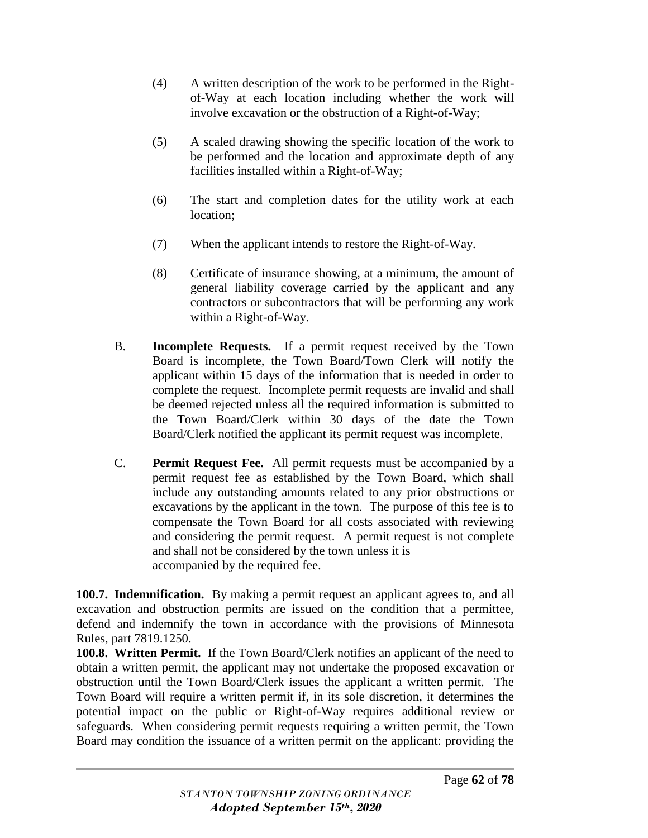- (4) A written description of the work to be performed in the Rightof-Way at each location including whether the work will involve excavation or the obstruction of a Right-of-Way;
- (5) A scaled drawing showing the specific location of the work to be performed and the location and approximate depth of any facilities installed within a Right-of-Way;
- (6) The start and completion dates for the utility work at each location;
- (7) When the applicant intends to restore the Right-of-Way.
- (8) Certificate of insurance showing, at a minimum, the amount of general liability coverage carried by the applicant and any contractors or subcontractors that will be performing any work within a Right-of-Way.
- B. **Incomplete Requests.** If a permit request received by the Town Board is incomplete, the Town Board/Town Clerk will notify the applicant within 15 days of the information that is needed in order to complete the request. Incomplete permit requests are invalid and shall be deemed rejected unless all the required information is submitted to the Town Board/Clerk within 30 days of the date the Town Board/Clerk notified the applicant its permit request was incomplete.
- C. **Permit Request Fee.** All permit requests must be accompanied by a permit request fee as established by the Town Board, which shall include any outstanding amounts related to any prior obstructions or excavations by the applicant in the town. The purpose of this fee is to compensate the Town Board for all costs associated with reviewing and considering the permit request. A permit request is not complete and shall not be considered by the town unless it is accompanied by the required fee.

**100.7. Indemnification.** By making a permit request an applicant agrees to, and all excavation and obstruction permits are issued on the condition that a permittee, defend and indemnify the town in accordance with the provisions of Minnesota Rules, part 7819.1250.

**100.8. Written Permit.** If the Town Board/Clerk notifies an applicant of the need to obtain a written permit, the applicant may not undertake the proposed excavation or obstruction until the Town Board/Clerk issues the applicant a written permit. The Town Board will require a written permit if, in its sole discretion, it determines the potential impact on the public or Right-of-Way requires additional review or safeguards. When considering permit requests requiring a written permit, the Town Board may condition the issuance of a written permit on the applicant: providing the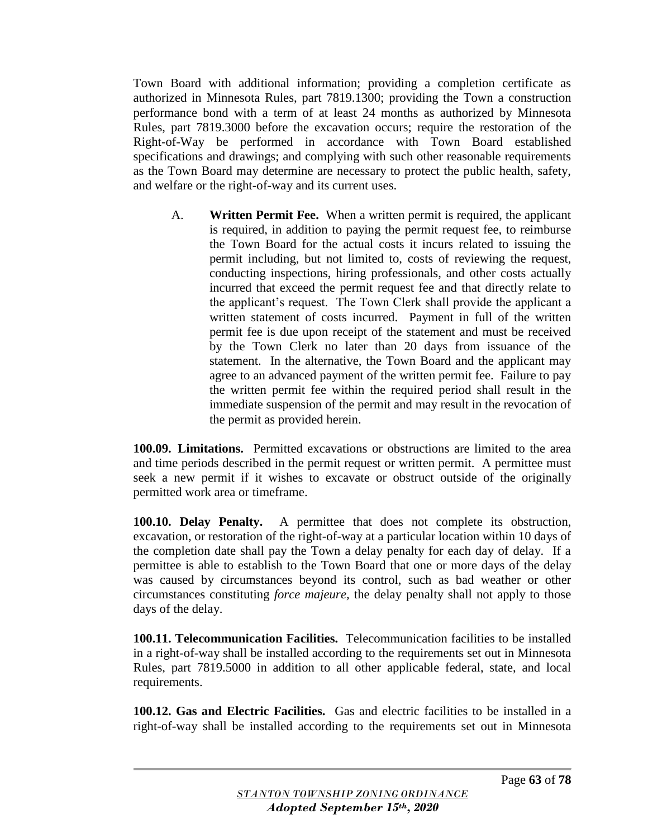Town Board with additional information; providing a completion certificate as authorized in Minnesota Rules, part 7819.1300; providing the Town a construction performance bond with a term of at least 24 months as authorized by Minnesota Rules, part 7819.3000 before the excavation occurs; require the restoration of the Right-of-Way be performed in accordance with Town Board established specifications and drawings; and complying with such other reasonable requirements as the Town Board may determine are necessary to protect the public health, safety, and welfare or the right-of-way and its current uses.

A. **Written Permit Fee.** When a written permit is required, the applicant is required, in addition to paying the permit request fee, to reimburse the Town Board for the actual costs it incurs related to issuing the permit including, but not limited to, costs of reviewing the request, conducting inspections, hiring professionals, and other costs actually incurred that exceed the permit request fee and that directly relate to the applicant's request. The Town Clerk shall provide the applicant a written statement of costs incurred. Payment in full of the written permit fee is due upon receipt of the statement and must be received by the Town Clerk no later than 20 days from issuance of the statement. In the alternative, the Town Board and the applicant may agree to an advanced payment of the written permit fee. Failure to pay the written permit fee within the required period shall result in the immediate suspension of the permit and may result in the revocation of the permit as provided herein.

**100.09. Limitations.** Permitted excavations or obstructions are limited to the area and time periods described in the permit request or written permit. A permittee must seek a new permit if it wishes to excavate or obstruct outside of the originally permitted work area or timeframe.

**100.10. Delay Penalty.** A permittee that does not complete its obstruction, excavation, or restoration of the right-of-way at a particular location within 10 days of the completion date shall pay the Town a delay penalty for each day of delay. If a permittee is able to establish to the Town Board that one or more days of the delay was caused by circumstances beyond its control, such as bad weather or other circumstances constituting *force majeure,* the delay penalty shall not apply to those days of the delay.

**100.11. Telecommunication Facilities.** Telecommunication facilities to be installed in a right-of-way shall be installed according to the requirements set out in Minnesota Rules, part 7819.5000 in addition to all other applicable federal, state, and local requirements.

**100.12. Gas and Electric Facilities.** Gas and electric facilities to be installed in a right-of-way shall be installed according to the requirements set out in Minnesota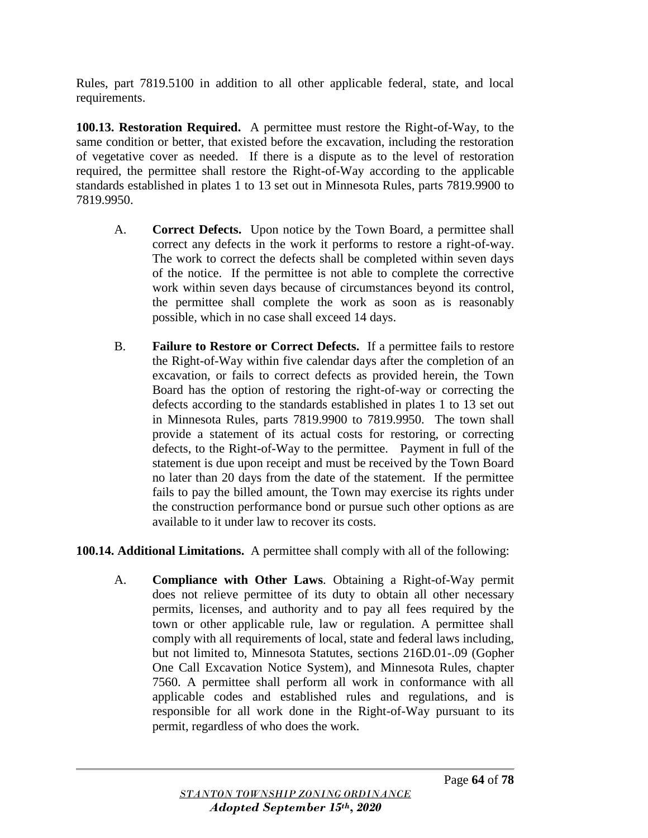Rules, part 7819.5100 in addition to all other applicable federal, state, and local requirements.

**100.13. Restoration Required.** A permittee must restore the Right-of-Way, to the same condition or better, that existed before the excavation, including the restoration of vegetative cover as needed. If there is a dispute as to the level of restoration required, the permittee shall restore the Right-of-Way according to the applicable standards established in plates 1 to 13 set out in Minnesota Rules, parts 7819.9900 to 7819.9950.

- A. **Correct Defects.** Upon notice by the Town Board, a permittee shall correct any defects in the work it performs to restore a right-of-way. The work to correct the defects shall be completed within seven days of the notice. If the permittee is not able to complete the corrective work within seven days because of circumstances beyond its control, the permittee shall complete the work as soon as is reasonably possible, which in no case shall exceed 14 days.
- B. **Failure to Restore or Correct Defects.** If a permittee fails to restore the Right-of-Way within five calendar days after the completion of an excavation, or fails to correct defects as provided herein, the Town Board has the option of restoring the right-of-way or correcting the defects according to the standards established in plates 1 to 13 set out in Minnesota Rules, parts 7819.9900 to 7819.9950. The town shall provide a statement of its actual costs for restoring, or correcting defects, to the Right-of-Way to the permittee. Payment in full of the statement is due upon receipt and must be received by the Town Board no later than 20 days from the date of the statement. If the permittee fails to pay the billed amount, the Town may exercise its rights under the construction performance bond or pursue such other options as are available to it under law to recover its costs.

**100.14. Additional Limitations.** A permittee shall comply with all of the following:

A. **Compliance with Other Laws***.* Obtaining a Right-of-Way permit does not relieve permittee of its duty to obtain all other necessary permits, licenses, and authority and to pay all fees required by the town or other applicable rule, law or regulation. A permittee shall comply with all requirements of local, state and federal laws including, but not limited to, Minnesota Statutes, sections 216D.01-.09 (Gopher One Call Excavation Notice System), and Minnesota Rules, chapter 7560. A permittee shall perform all work in conformance with all applicable codes and established rules and regulations, and is responsible for all work done in the Right-of-Way pursuant to its permit, regardless of who does the work.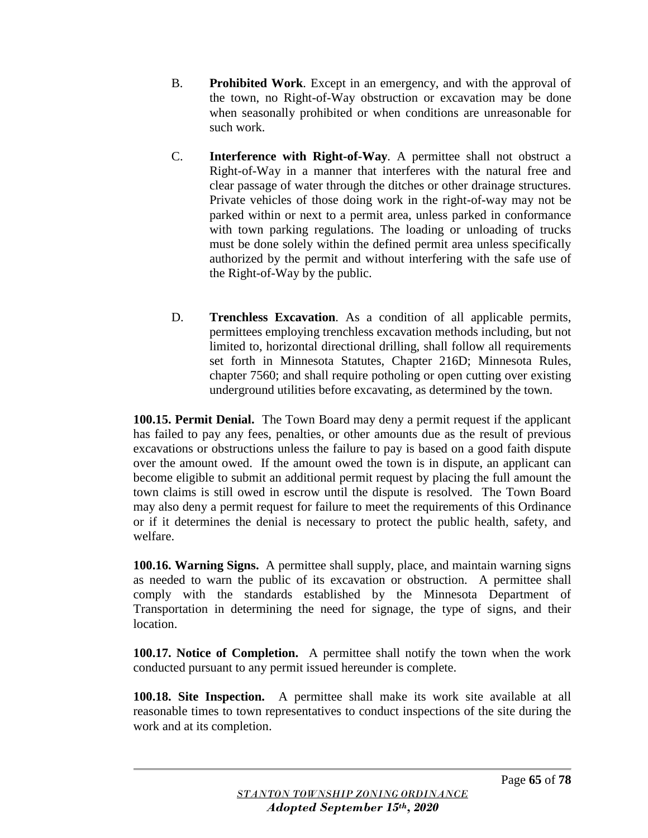- B. **Prohibited Work***.* Except in an emergency, and with the approval of the town, no Right-of-Way obstruction or excavation may be done when seasonally prohibited or when conditions are unreasonable for such work.
- C. **Interference with Right-of-Way***.* A permittee shall not obstruct a Right-of-Way in a manner that interferes with the natural free and clear passage of water through the ditches or other drainage structures. Private vehicles of those doing work in the right-of-way may not be parked within or next to a permit area, unless parked in conformance with town parking regulations. The loading or unloading of trucks must be done solely within the defined permit area unless specifically authorized by the permit and without interfering with the safe use of the Right-of-Way by the public.
- D. **Trenchless Excavation***.* As a condition of all applicable permits, permittees employing trenchless excavation methods including, but not limited to, horizontal directional drilling, shall follow all requirements set forth in Minnesota Statutes, Chapter 216D; Minnesota Rules, chapter 7560; and shall require potholing or open cutting over existing underground utilities before excavating, as determined by the town.

**100.15. Permit Denial.** The Town Board may deny a permit request if the applicant has failed to pay any fees, penalties, or other amounts due as the result of previous excavations or obstructions unless the failure to pay is based on a good faith dispute over the amount owed. If the amount owed the town is in dispute, an applicant can become eligible to submit an additional permit request by placing the full amount the town claims is still owed in escrow until the dispute is resolved. The Town Board may also deny a permit request for failure to meet the requirements of this Ordinance or if it determines the denial is necessary to protect the public health, safety, and welfare.

**100.16. Warning Signs.** A permittee shall supply, place, and maintain warning signs as needed to warn the public of its excavation or obstruction. A permittee shall comply with the standards established by the Minnesota Department of Transportation in determining the need for signage, the type of signs, and their location.

**100.17. Notice of Completion.** A permittee shall notify the town when the work conducted pursuant to any permit issued hereunder is complete.

**100.18. Site Inspection.** A permittee shall make its work site available at all reasonable times to town representatives to conduct inspections of the site during the work and at its completion.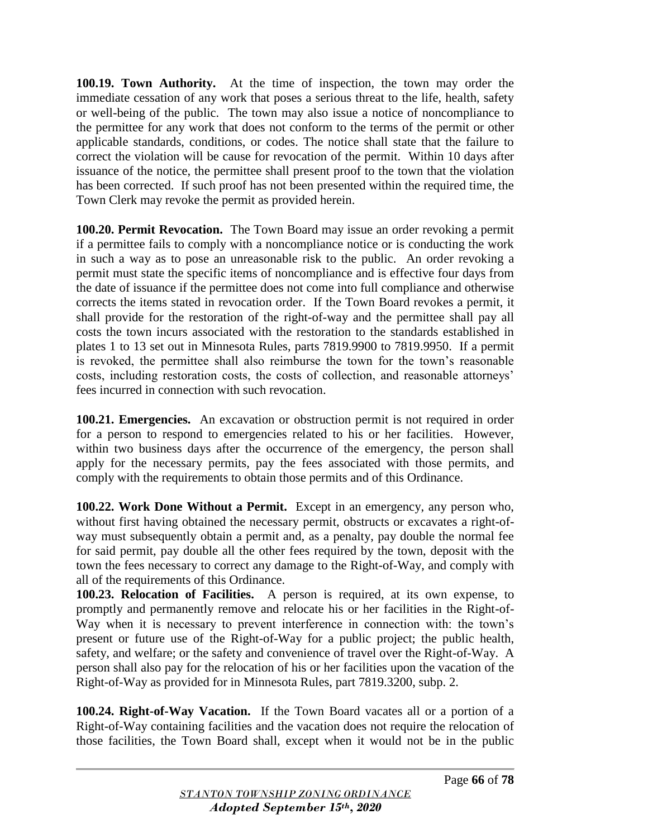**100.19. Town Authority.** At the time of inspection, the town may order the immediate cessation of any work that poses a serious threat to the life, health, safety or well-being of the public. The town may also issue a notice of noncompliance to the permittee for any work that does not conform to the terms of the permit or other applicable standards, conditions, or codes. The notice shall state that the failure to correct the violation will be cause for revocation of the permit. Within 10 days after issuance of the notice, the permittee shall present proof to the town that the violation has been corrected. If such proof has not been presented within the required time, the Town Clerk may revoke the permit as provided herein.

**100.20. Permit Revocation.** The Town Board may issue an order revoking a permit if a permittee fails to comply with a noncompliance notice or is conducting the work in such a way as to pose an unreasonable risk to the public. An order revoking a permit must state the specific items of noncompliance and is effective four days from the date of issuance if the permittee does not come into full compliance and otherwise corrects the items stated in revocation order. If the Town Board revokes a permit, it shall provide for the restoration of the right-of-way and the permittee shall pay all costs the town incurs associated with the restoration to the standards established in plates 1 to 13 set out in Minnesota Rules, parts 7819.9900 to 7819.9950. If a permit is revoked, the permittee shall also reimburse the town for the town's reasonable costs, including restoration costs, the costs of collection, and reasonable attorneys' fees incurred in connection with such revocation.

**100.21. Emergencies.** An excavation or obstruction permit is not required in order for a person to respond to emergencies related to his or her facilities. However, within two business days after the occurrence of the emergency, the person shall apply for the necessary permits, pay the fees associated with those permits, and comply with the requirements to obtain those permits and of this Ordinance.

**100.22. Work Done Without a Permit.** Except in an emergency, any person who, without first having obtained the necessary permit, obstructs or excavates a right-ofway must subsequently obtain a permit and, as a penalty, pay double the normal fee for said permit, pay double all the other fees required by the town, deposit with the town the fees necessary to correct any damage to the Right-of-Way, and comply with all of the requirements of this Ordinance.

**100.23. Relocation of Facilities.** A person is required, at its own expense, to promptly and permanently remove and relocate his or her facilities in the Right-of-Way when it is necessary to prevent interference in connection with: the town's present or future use of the Right-of-Way for a public project; the public health, safety, and welfare; or the safety and convenience of travel over the Right-of-Way. A person shall also pay for the relocation of his or her facilities upon the vacation of the Right-of-Way as provided for in Minnesota Rules, part 7819.3200, subp. 2.

**100.24. Right-of-Way Vacation.** If the Town Board vacates all or a portion of a Right-of-Way containing facilities and the vacation does not require the relocation of those facilities, the Town Board shall, except when it would not be in the public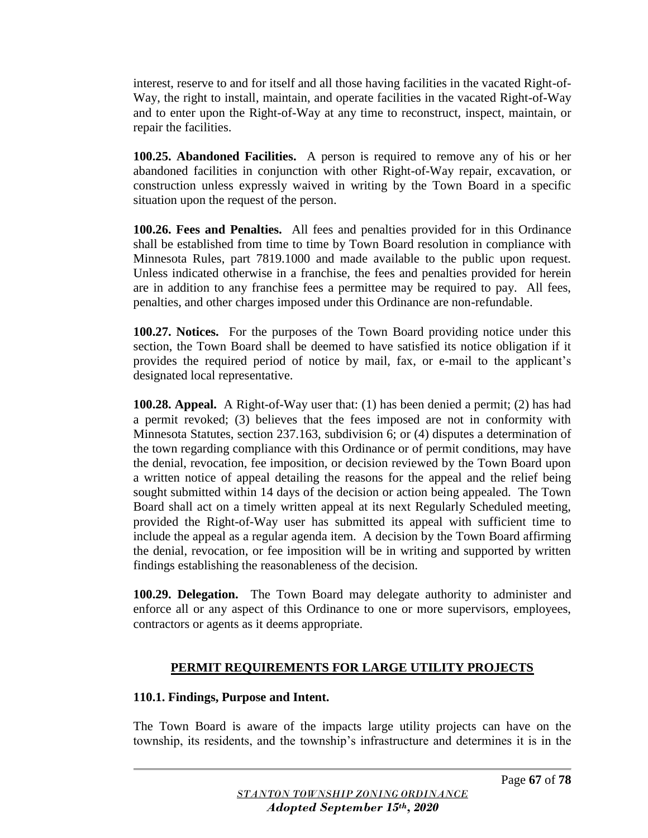interest, reserve to and for itself and all those having facilities in the vacated Right-of-Way, the right to install, maintain, and operate facilities in the vacated Right-of-Way and to enter upon the Right-of-Way at any time to reconstruct, inspect, maintain, or repair the facilities.

**100.25. Abandoned Facilities.** A person is required to remove any of his or her abandoned facilities in conjunction with other Right-of-Way repair, excavation, or construction unless expressly waived in writing by the Town Board in a specific situation upon the request of the person.

**100.26. Fees and Penalties.** All fees and penalties provided for in this Ordinance shall be established from time to time by Town Board resolution in compliance with Minnesota Rules, part 7819.1000 and made available to the public upon request. Unless indicated otherwise in a franchise, the fees and penalties provided for herein are in addition to any franchise fees a permittee may be required to pay. All fees, penalties, and other charges imposed under this Ordinance are non-refundable.

**100.27. Notices.** For the purposes of the Town Board providing notice under this section, the Town Board shall be deemed to have satisfied its notice obligation if it provides the required period of notice by mail, fax, or e-mail to the applicant's designated local representative.

**100.28. Appeal.** A Right-of-Way user that: (1) has been denied a permit; (2) has had a permit revoked; (3) believes that the fees imposed are not in conformity with Minnesota Statutes, section 237.163, subdivision 6; or (4) disputes a determination of the town regarding compliance with this Ordinance or of permit conditions, may have the denial, revocation, fee imposition, or decision reviewed by the Town Board upon a written notice of appeal detailing the reasons for the appeal and the relief being sought submitted within 14 days of the decision or action being appealed. The Town Board shall act on a timely written appeal at its next Regularly Scheduled meeting, provided the Right-of-Way user has submitted its appeal with sufficient time to include the appeal as a regular agenda item. A decision by the Town Board affirming the denial, revocation, or fee imposition will be in writing and supported by written findings establishing the reasonableness of the decision.

**100.29. Delegation.** The Town Board may delegate authority to administer and enforce all or any aspect of this Ordinance to one or more supervisors, employees, contractors or agents as it deems appropriate.

# **PERMIT REQUIREMENTS FOR LARGE UTILITY PROJECTS**

## **110.1. Findings, Purpose and Intent.**

The Town Board is aware of the impacts large utility projects can have on the township, its residents, and the township's infrastructure and determines it is in the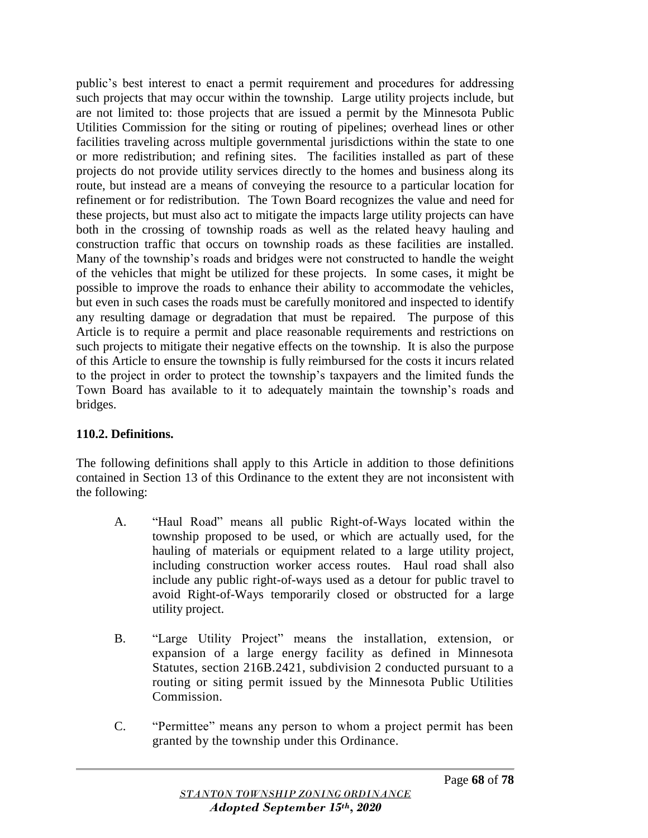public's best interest to enact a permit requirement and procedures for addressing such projects that may occur within the township. Large utility projects include, but are not limited to: those projects that are issued a permit by the Minnesota Public Utilities Commission for the siting or routing of pipelines; overhead lines or other facilities traveling across multiple governmental jurisdictions within the state to one or more redistribution; and refining sites. The facilities installed as part of these projects do not provide utility services directly to the homes and business along its route, but instead are a means of conveying the resource to a particular location for refinement or for redistribution. The Town Board recognizes the value and need for these projects, but must also act to mitigate the impacts large utility projects can have both in the crossing of township roads as well as the related heavy hauling and construction traffic that occurs on township roads as these facilities are installed. Many of the township's roads and bridges were not constructed to handle the weight of the vehicles that might be utilized for these projects. In some cases, it might be possible to improve the roads to enhance their ability to accommodate the vehicles, but even in such cases the roads must be carefully monitored and inspected to identify any resulting damage or degradation that must be repaired. The purpose of this Article is to require a permit and place reasonable requirements and restrictions on such projects to mitigate their negative effects on the township. It is also the purpose of this Article to ensure the township is fully reimbursed for the costs it incurs related to the project in order to protect the township's taxpayers and the limited funds the Town Board has available to it to adequately maintain the township's roads and bridges.

## **110.2. Definitions.**

The following definitions shall apply to this Article in addition to those definitions contained in Section 13 of this Ordinance to the extent they are not inconsistent with the following:

- A. "Haul Road" means all public Right-of-Ways located within the township proposed to be used, or which are actually used, for the hauling of materials or equipment related to a large utility project, including construction worker access routes. Haul road shall also include any public right-of-ways used as a detour for public travel to avoid Right-of-Ways temporarily closed or obstructed for a large utility project.
- B. "Large Utility Project" means the installation, extension, or expansion of a large energy facility as defined in Minnesota Statutes, section 216B.2421, subdivision 2 conducted pursuant to a routing or siting permit issued by the Minnesota Public Utilities Commission.
- C. "Permittee" means any person to whom a project permit has been granted by the township under this Ordinance.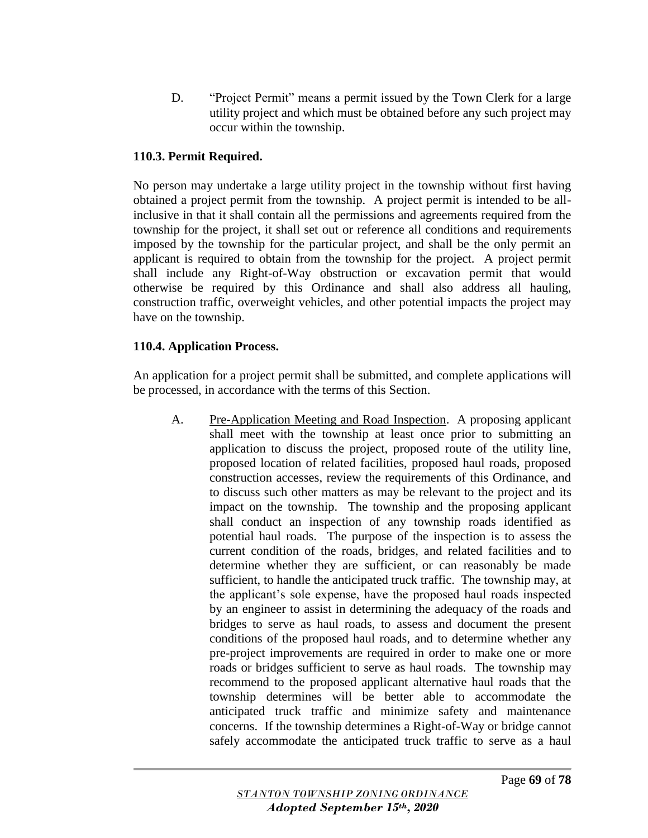D. "Project Permit" means a permit issued by the Town Clerk for a large utility project and which must be obtained before any such project may occur within the township.

# **110.3. Permit Required.**

No person may undertake a large utility project in the township without first having obtained a project permit from the township. A project permit is intended to be allinclusive in that it shall contain all the permissions and agreements required from the township for the project, it shall set out or reference all conditions and requirements imposed by the township for the particular project, and shall be the only permit an applicant is required to obtain from the township for the project. A project permit shall include any Right-of-Way obstruction or excavation permit that would otherwise be required by this Ordinance and shall also address all hauling, construction traffic, overweight vehicles, and other potential impacts the project may have on the township.

## **110.4. Application Process.**

An application for a project permit shall be submitted, and complete applications will be processed, in accordance with the terms of this Section.

A. Pre-Application Meeting and Road Inspection. A proposing applicant shall meet with the township at least once prior to submitting an application to discuss the project, proposed route of the utility line, proposed location of related facilities, proposed haul roads, proposed construction accesses, review the requirements of this Ordinance, and to discuss such other matters as may be relevant to the project and its impact on the township. The township and the proposing applicant shall conduct an inspection of any township roads identified as potential haul roads. The purpose of the inspection is to assess the current condition of the roads, bridges, and related facilities and to determine whether they are sufficient, or can reasonably be made sufficient, to handle the anticipated truck traffic. The township may, at the applicant's sole expense, have the proposed haul roads inspected by an engineer to assist in determining the adequacy of the roads and bridges to serve as haul roads, to assess and document the present conditions of the proposed haul roads, and to determine whether any pre-project improvements are required in order to make one or more roads or bridges sufficient to serve as haul roads. The township may recommend to the proposed applicant alternative haul roads that the township determines will be better able to accommodate the anticipated truck traffic and minimize safety and maintenance concerns. If the township determines a Right-of-Way or bridge cannot safely accommodate the anticipated truck traffic to serve as a haul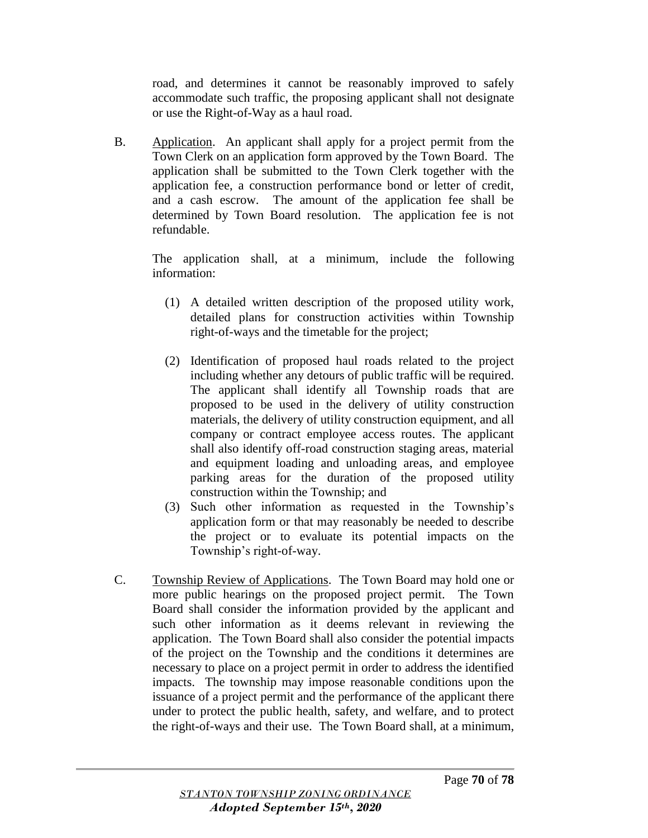road, and determines it cannot be reasonably improved to safely accommodate such traffic, the proposing applicant shall not designate or use the Right-of-Way as a haul road.

B. Application. An applicant shall apply for a project permit from the Town Clerk on an application form approved by the Town Board. The application shall be submitted to the Town Clerk together with the application fee, a construction performance bond or letter of credit, and a cash escrow. The amount of the application fee shall be determined by Town Board resolution. The application fee is not refundable.

The application shall, at a minimum, include the following information:

- (1) A detailed written description of the proposed utility work, detailed plans for construction activities within Township right-of-ways and the timetable for the project;
- (2) Identification of proposed haul roads related to the project including whether any detours of public traffic will be required. The applicant shall identify all Township roads that are proposed to be used in the delivery of utility construction materials, the delivery of utility construction equipment, and all company or contract employee access routes. The applicant shall also identify off-road construction staging areas, material and equipment loading and unloading areas, and employee parking areas for the duration of the proposed utility construction within the Township; and
- (3) Such other information as requested in the Township's application form or that may reasonably be needed to describe the project or to evaluate its potential impacts on the Township's right-of-way.
- C. Township Review of Applications. The Town Board may hold one or more public hearings on the proposed project permit. The Town Board shall consider the information provided by the applicant and such other information as it deems relevant in reviewing the application. The Town Board shall also consider the potential impacts of the project on the Township and the conditions it determines are necessary to place on a project permit in order to address the identified impacts. The township may impose reasonable conditions upon the issuance of a project permit and the performance of the applicant there under to protect the public health, safety, and welfare, and to protect the right-of-ways and their use. The Town Board shall, at a minimum,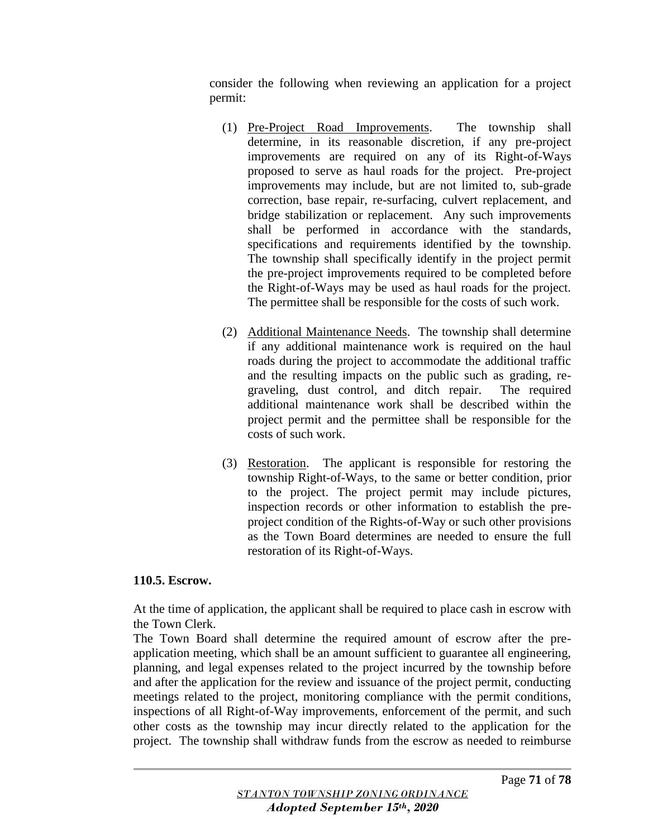consider the following when reviewing an application for a project permit:

- (1) Pre-Project Road Improvements. The township shall determine, in its reasonable discretion, if any pre-project improvements are required on any of its Right-of-Ways proposed to serve as haul roads for the project. Pre-project improvements may include, but are not limited to, sub-grade correction, base repair, re-surfacing, culvert replacement, and bridge stabilization or replacement. Any such improvements shall be performed in accordance with the standards, specifications and requirements identified by the township. The township shall specifically identify in the project permit the pre-project improvements required to be completed before the Right-of-Ways may be used as haul roads for the project. The permittee shall be responsible for the costs of such work.
- (2) Additional Maintenance Needs. The township shall determine if any additional maintenance work is required on the haul roads during the project to accommodate the additional traffic and the resulting impacts on the public such as grading, regraveling, dust control, and ditch repair. The required additional maintenance work shall be described within the project permit and the permittee shall be responsible for the costs of such work.
- (3) Restoration. The applicant is responsible for restoring the township Right-of-Ways, to the same or better condition, prior to the project. The project permit may include pictures, inspection records or other information to establish the preproject condition of the Rights-of-Way or such other provisions as the Town Board determines are needed to ensure the full restoration of its Right-of-Ways.

## **110.5. Escrow.**

At the time of application, the applicant shall be required to place cash in escrow with the Town Clerk.

The Town Board shall determine the required amount of escrow after the preapplication meeting, which shall be an amount sufficient to guarantee all engineering, planning, and legal expenses related to the project incurred by the township before and after the application for the review and issuance of the project permit, conducting meetings related to the project, monitoring compliance with the permit conditions, inspections of all Right-of-Way improvements, enforcement of the permit, and such other costs as the township may incur directly related to the application for the project. The township shall withdraw funds from the escrow as needed to reimburse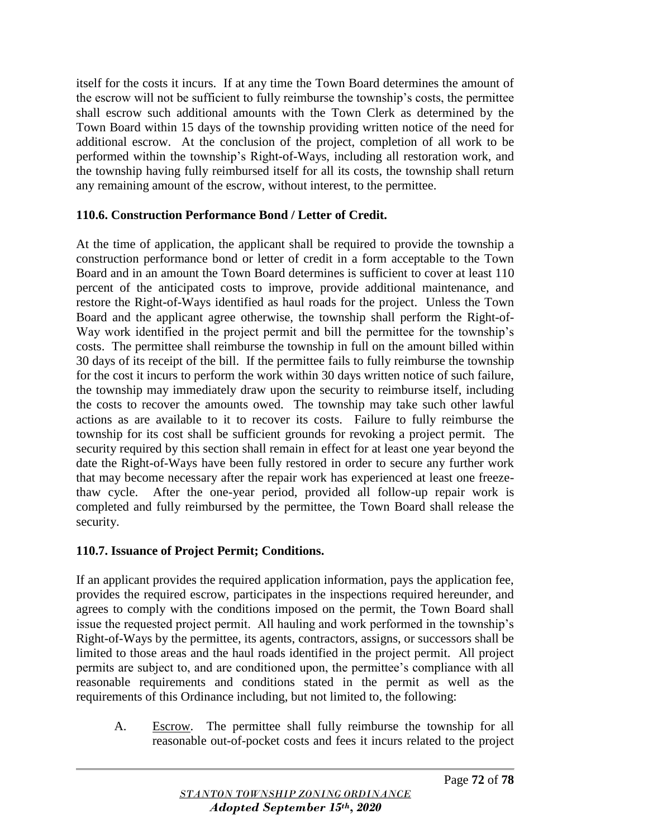itself for the costs it incurs. If at any time the Town Board determines the amount of the escrow will not be sufficient to fully reimburse the township's costs, the permittee shall escrow such additional amounts with the Town Clerk as determined by the Town Board within 15 days of the township providing written notice of the need for additional escrow. At the conclusion of the project, completion of all work to be performed within the township's Right-of-Ways, including all restoration work, and the township having fully reimbursed itself for all its costs, the township shall return any remaining amount of the escrow, without interest, to the permittee.

## **110.6. Construction Performance Bond / Letter of Credit.**

At the time of application, the applicant shall be required to provide the township a construction performance bond or letter of credit in a form acceptable to the Town Board and in an amount the Town Board determines is sufficient to cover at least 110 percent of the anticipated costs to improve, provide additional maintenance, and restore the Right-of-Ways identified as haul roads for the project. Unless the Town Board and the applicant agree otherwise, the township shall perform the Right-of-Way work identified in the project permit and bill the permittee for the township's costs. The permittee shall reimburse the township in full on the amount billed within 30 days of its receipt of the bill. If the permittee fails to fully reimburse the township for the cost it incurs to perform the work within 30 days written notice of such failure, the township may immediately draw upon the security to reimburse itself, including the costs to recover the amounts owed. The township may take such other lawful actions as are available to it to recover its costs. Failure to fully reimburse the township for its cost shall be sufficient grounds for revoking a project permit. The security required by this section shall remain in effect for at least one year beyond the date the Right-of-Ways have been fully restored in order to secure any further work that may become necessary after the repair work has experienced at least one freezethaw cycle. After the one-year period, provided all follow-up repair work is completed and fully reimbursed by the permittee, the Town Board shall release the security.

## **110.7. Issuance of Project Permit; Conditions.**

If an applicant provides the required application information, pays the application fee, provides the required escrow, participates in the inspections required hereunder, and agrees to comply with the conditions imposed on the permit, the Town Board shall issue the requested project permit. All hauling and work performed in the township's Right-of-Ways by the permittee, its agents, contractors, assigns, or successors shall be limited to those areas and the haul roads identified in the project permit. All project permits are subject to, and are conditioned upon, the permittee's compliance with all reasonable requirements and conditions stated in the permit as well as the requirements of this Ordinance including, but not limited to, the following:

A. Escrow. The permittee shall fully reimburse the township for all reasonable out-of-pocket costs and fees it incurs related to the project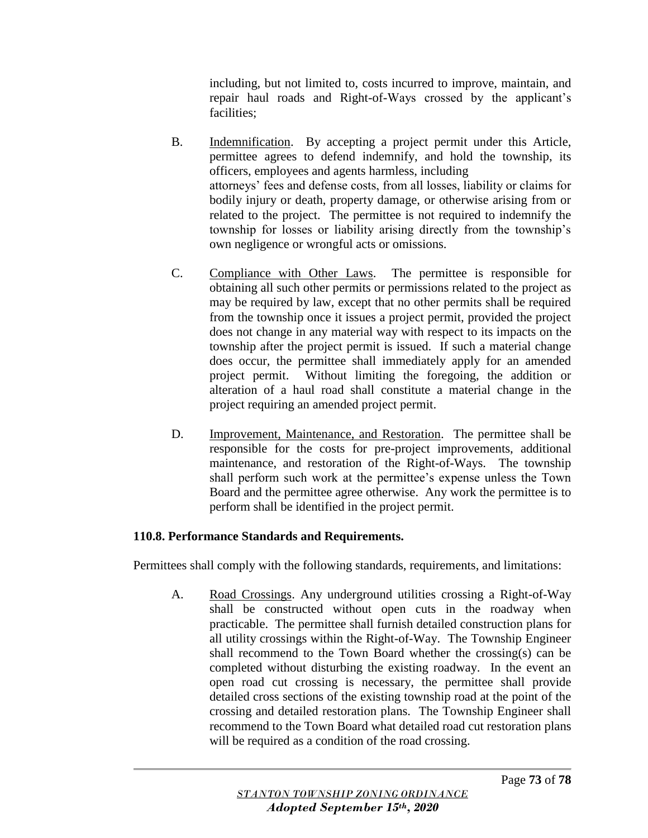including, but not limited to, costs incurred to improve, maintain, and repair haul roads and Right-of-Ways crossed by the applicant's facilities;

- B. Indemnification. By accepting a project permit under this Article, permittee agrees to defend indemnify, and hold the township, its officers, employees and agents harmless, including attorneys' fees and defense costs, from all losses, liability or claims for bodily injury or death, property damage, or otherwise arising from or related to the project. The permittee is not required to indemnify the township for losses or liability arising directly from the township's own negligence or wrongful acts or omissions.
- C. Compliance with Other Laws. The permittee is responsible for obtaining all such other permits or permissions related to the project as may be required by law, except that no other permits shall be required from the township once it issues a project permit, provided the project does not change in any material way with respect to its impacts on the township after the project permit is issued. If such a material change does occur, the permittee shall immediately apply for an amended project permit. Without limiting the foregoing, the addition or alteration of a haul road shall constitute a material change in the project requiring an amended project permit.
- D. Improvement, Maintenance, and Restoration. The permittee shall be responsible for the costs for pre-project improvements, additional maintenance, and restoration of the Right-of-Ways. The township shall perform such work at the permittee's expense unless the Town Board and the permittee agree otherwise. Any work the permittee is to perform shall be identified in the project permit.

# **110.8. Performance Standards and Requirements.**

Permittees shall comply with the following standards, requirements, and limitations:

A. Road Crossings. Any underground utilities crossing a Right-of-Way shall be constructed without open cuts in the roadway when practicable. The permittee shall furnish detailed construction plans for all utility crossings within the Right-of-Way. The Township Engineer shall recommend to the Town Board whether the crossing(s) can be completed without disturbing the existing roadway. In the event an open road cut crossing is necessary, the permittee shall provide detailed cross sections of the existing township road at the point of the crossing and detailed restoration plans. The Township Engineer shall recommend to the Town Board what detailed road cut restoration plans will be required as a condition of the road crossing.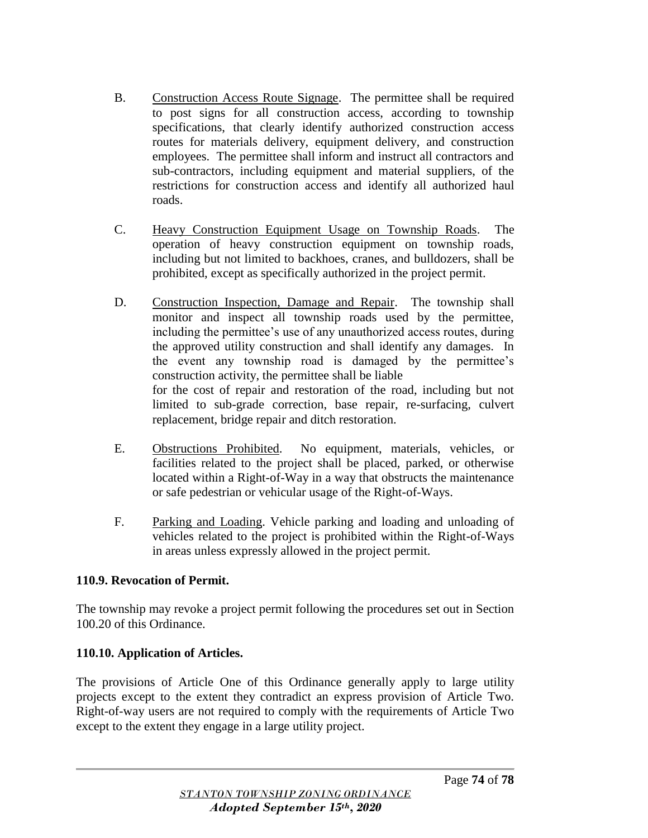- B. Construction Access Route Signage. The permittee shall be required to post signs for all construction access, according to township specifications, that clearly identify authorized construction access routes for materials delivery, equipment delivery, and construction employees. The permittee shall inform and instruct all contractors and sub-contractors, including equipment and material suppliers, of the restrictions for construction access and identify all authorized haul roads.
- C. Heavy Construction Equipment Usage on Township Roads. The operation of heavy construction equipment on township roads, including but not limited to backhoes, cranes, and bulldozers, shall be prohibited, except as specifically authorized in the project permit.
- D. Construction Inspection, Damage and Repair. The township shall monitor and inspect all township roads used by the permittee, including the permittee's use of any unauthorized access routes, during the approved utility construction and shall identify any damages. In the event any township road is damaged by the permittee's construction activity, the permittee shall be liable for the cost of repair and restoration of the road, including but not limited to sub-grade correction, base repair, re-surfacing, culvert replacement, bridge repair and ditch restoration.
- E. Obstructions Prohibited. No equipment, materials, vehicles, or facilities related to the project shall be placed, parked, or otherwise located within a Right-of-Way in a way that obstructs the maintenance or safe pedestrian or vehicular usage of the Right-of-Ways.
- F. Parking and Loading. Vehicle parking and loading and unloading of vehicles related to the project is prohibited within the Right-of-Ways in areas unless expressly allowed in the project permit.

# **110.9. Revocation of Permit.**

The township may revoke a project permit following the procedures set out in Section 100.20 of this Ordinance.

#### **110.10. Application of Articles.**

The provisions of Article One of this Ordinance generally apply to large utility projects except to the extent they contradict an express provision of Article Two. Right-of-way users are not required to comply with the requirements of Article Two except to the extent they engage in a large utility project.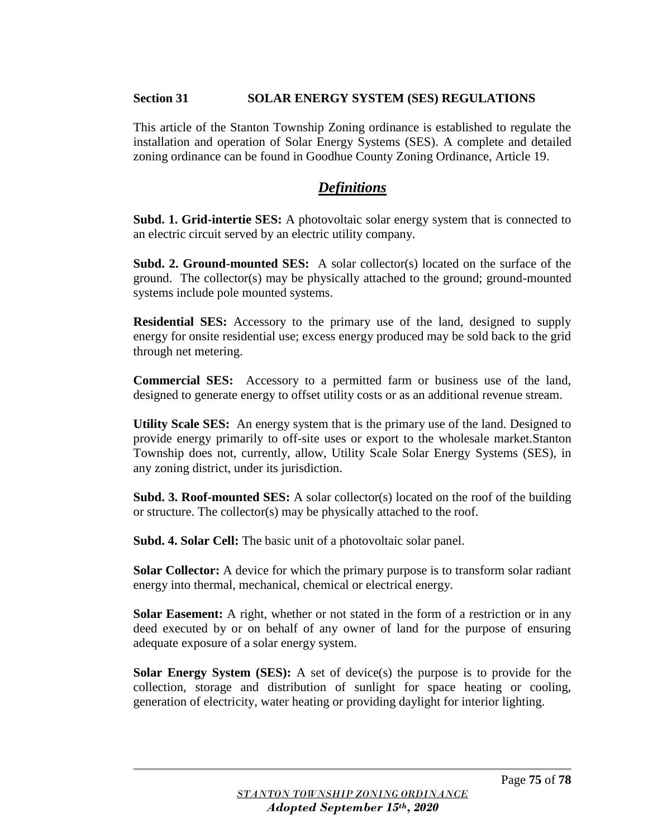#### **Section 31 SOLAR ENERGY SYSTEM (SES) REGULATIONS**

This article of the Stanton Township Zoning ordinance is established to regulate the installation and operation of Solar Energy Systems (SES). A complete and detailed zoning ordinance can be found in Goodhue County Zoning Ordinance, Article 19.

# *Definitions*

**Subd. 1. Grid-intertie SES:** A photovoltaic solar energy system that is connected to an electric circuit served by an electric utility company.

**Subd. 2. Ground-mounted SES:** A solar collector(s) located on the surface of the ground. The collector(s) may be physically attached to the ground; ground-mounted systems include pole mounted systems.

**Residential SES:** Accessory to the primary use of the land, designed to supply energy for onsite residential use; excess energy produced may be sold back to the grid through net metering.

**Commercial SES:** Accessory to a permitted farm or business use of the land, designed to generate energy to offset utility costs or as an additional revenue stream.

**Utility Scale SES:** An energy system that is the primary use of the land. Designed to provide energy primarily to off-site uses or export to the wholesale market.Stanton Township does not, currently, allow, Utility Scale Solar Energy Systems (SES), in any zoning district, under its jurisdiction.

**Subd. 3. Roof-mounted SES:** A solar collector(s) located on the roof of the building or structure. The collector(s) may be physically attached to the roof.

**Subd. 4. Solar Cell:** The basic unit of a photovoltaic solar panel.

**Solar Collector:** A device for which the primary purpose is to transform solar radiant energy into thermal, mechanical, chemical or electrical energy.

**Solar Easement:** A right, whether or not stated in the form of a restriction or in any deed executed by or on behalf of any owner of land for the purpose of ensuring adequate exposure of a solar energy system.

**Solar Energy System (SES):** A set of device(s) the purpose is to provide for the collection, storage and distribution of sunlight for space heating or cooling, generation of electricity, water heating or providing daylight for interior lighting.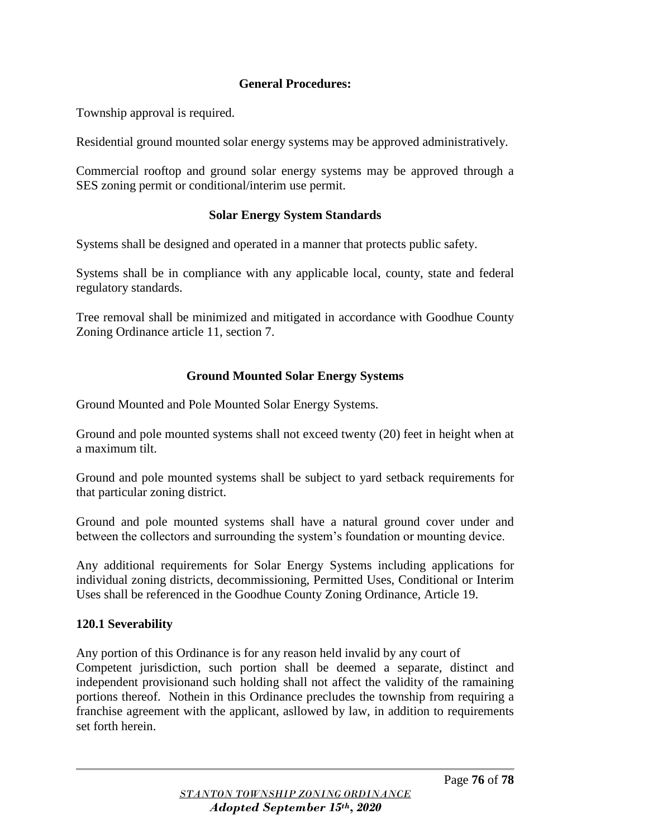## **General Procedures:**

Township approval is required.

Residential ground mounted solar energy systems may be approved administratively.

Commercial rooftop and ground solar energy systems may be approved through a SES zoning permit or conditional/interim use permit.

## **Solar Energy System Standards**

Systems shall be designed and operated in a manner that protects public safety.

Systems shall be in compliance with any applicable local, county, state and federal regulatory standards.

Tree removal shall be minimized and mitigated in accordance with Goodhue County Zoning Ordinance article 11, section 7.

## **Ground Mounted Solar Energy Systems**

Ground Mounted and Pole Mounted Solar Energy Systems.

Ground and pole mounted systems shall not exceed twenty (20) feet in height when at a maximum tilt.

Ground and pole mounted systems shall be subject to yard setback requirements for that particular zoning district.

Ground and pole mounted systems shall have a natural ground cover under and between the collectors and surrounding the system's foundation or mounting device.

Any additional requirements for Solar Energy Systems including applications for individual zoning districts, decommissioning, Permitted Uses, Conditional or Interim Uses shall be referenced in the Goodhue County Zoning Ordinance, Article 19.

#### **120.1 Severability**

Any portion of this Ordinance is for any reason held invalid by any court of Competent jurisdiction, such portion shall be deemed a separate, distinct and independent provisionand such holding shall not affect the validity of the ramaining portions thereof. Nothein in this Ordinance precludes the township from requiring a franchise agreement with the applicant, asllowed by law, in addition to requirements set forth herein.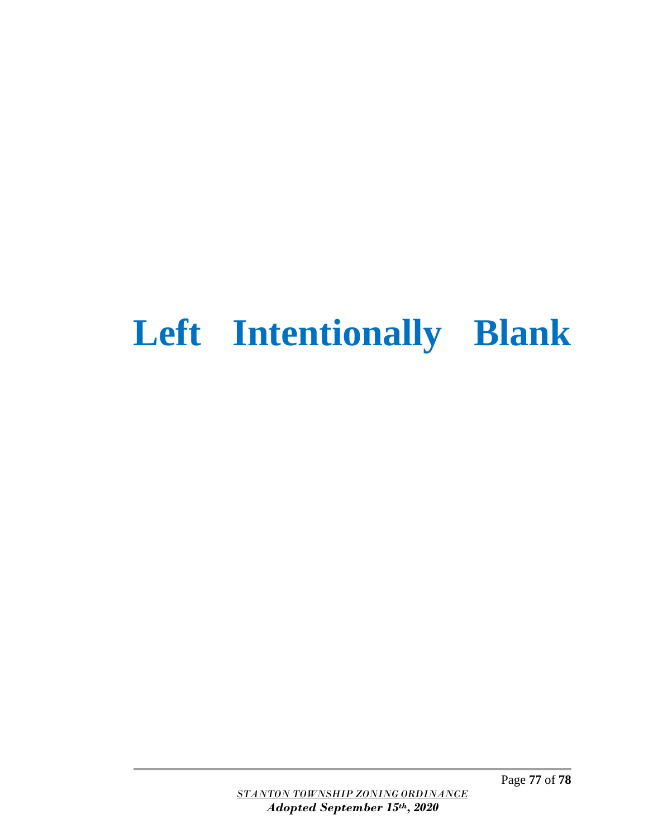# **Left Intentionally Blank**